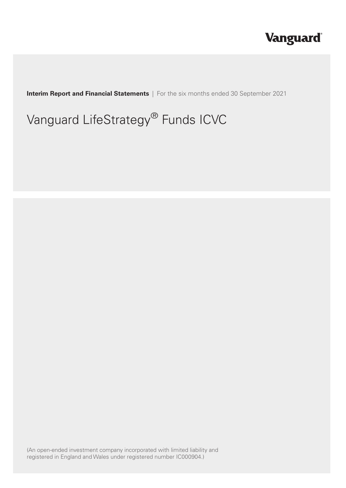# **Vanguard**®

**Interim Report and Financial Statements** | For the six months ended 30 September 2021

# Vanguard LifeStrategy® Funds ICVC

(An open-ended investment company incorporated with limited liability and registered in England and Wales under registered number IC000904.)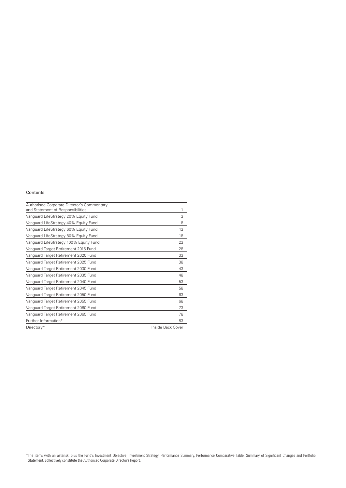#### Contents

| Authorised Corporate Director's Commentary<br>and Statement of Responsibilities | 1                 |
|---------------------------------------------------------------------------------|-------------------|
| Vanguard LifeStrategy 20% Equity Fund                                           | 3                 |
| Vanguard LifeStrategy 40% Equity Fund                                           | 8                 |
| Vanguard LifeStrategy 60% Equity Fund                                           | 13                |
| Vanguard LifeStrategy 80% Equity Fund                                           | 18                |
| Vanguard LifeStrategy 100% Equity Fund                                          | 23                |
| Vanguard Target Retirement 2015 Fund                                            | 28                |
| Vanguard Target Retirement 2020 Fund                                            | 33                |
| Vanguard Target Retirement 2025 Fund                                            | 38                |
| Vanguard Target Retirement 2030 Fund                                            | 43                |
| Vanguard Target Retirement 2035 Fund                                            | 48                |
| Vanguard Target Retirement 2040 Fund                                            | 53                |
| Vanguard Target Retirement 2045 Fund                                            | 58                |
| Vanguard Target Retirement 2050 Fund                                            | 63                |
| Vanguard Target Retirement 2055 Fund                                            | 68                |
| Vanguard Target Retirement 2060 Fund                                            | 73                |
| Vanguard Target Retirement 2065 Fund                                            | 78                |
| Further Information*                                                            | 83                |
| Directory*                                                                      | Inside Back Cover |

\*The items with an asterisk, plus the Fund's Investment Objective, Investment Strategy, Performance Summary, Performance Comparative Table, Summary of Significant Changes and Portfolio Statement, collectively constitute the Authorised Corporate Director's Report.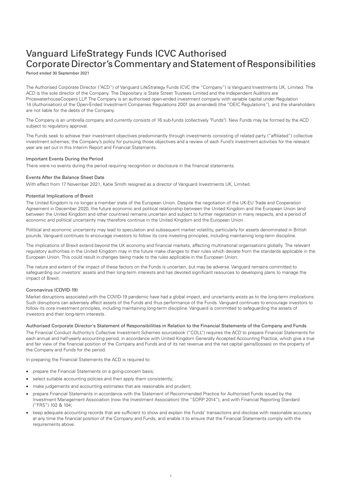# Vanguard LifeStrategy Funds ICVC Authorised Corporate Director's Commentary and Statement of Responsibilities

Period ended 30 September 2021

The Authorised Corporate Director ("ACD") of Vanguard LifeStrategy Funds ICVC (the "Company") is Vanguard Investments UK, Limited. The ACD is the sole director of the Company. The Depositary is State Street Trustees Limited and the Independent Auditors are PricewaterhouseCoopers LLP. The Company is an authorised open-ended investment company with variable capital under Regulation 14 (Authorisation) of the Open-Ended Investment Companies Regulations 2001 (as amended) (the "OEIC Regulations"), and the shareholders are not liable for the debts of the Company.

The Company is an umbrella company and currently consists of 16 sub-funds (collectively "Funds"). New Funds may be formed by the ACD subject to regulatory approval.

The Funds seek to achieve their investment objectives predominantly through investments consisting of related party ("affiliated") collective investment schemes; the Company's policy for pursuing those objectives and a review of each Fund's investment activities for the relevant year are set out in this Interim Report and Financial Statements.

#### Important Events During the Period

There were no events during the period requiring recognition or disclosure in the financial statements.

#### Events After the Balance Sheet Date

With effect from 17 November 2021, Katie Smith resigned as a director of Vanguard Investments UK, Limited.

#### Potential Implications of Brexit

The United Kingdom is no longer a member state of the European Union. Despite the negotiation of the UK-EU Trade and Cooperation Agreement in December 2020, the future economic and political relationship between the United Kingdom and the European Union (and between the United Kingdom and other countries) remains uncertain and subject to further negotiation in many respects, and a period of economic and political uncertainty may therefore continue in the United Kingdom and the European Union.

Political and economic uncertainty may lead to speculation and subsequent market volatility, particularly for assets denominated in British pounds. Vanguard continues to encourage investors to follow its core investing principles, including maintaining long-term discipline.

The implications of Brexit extend beyond the UK economy and financial markets, affecting multinational organisations globally. The relevant regulatory authorities in the United Kingdom may in the future make changes to their rules which deviate from the standards applicable in the European Union. This could result in changes being made to the rules applicable in the European Union.

The nature and extent of the impact of these factors on the Funds is uncertain, but may be adverse. Vanguard remains committed to safeguarding our investors' assets and their long-term interests and has devoted significant resources to developing plans to manage the impact of Brexit.

#### Coronavirus (COVID-19)

Market disruptions associated with the COVID-19 pandemic have had a global impact, and uncertainty exists as to the long-term implications. Such disruptions can adversely affect assets of the Funds and thus performance of the Funds. Vanguard continues to encourage investors to follow its core investment principles, including maintaining long-term discipline. Vanguard is committed to safeguarding the assets of investors and their long-term interests.

#### Authorised Corporate Director's Statement of Responsibilities in Relation to the Financial Statements of the Company and Funds

The Financial Conduct Authority's Collective Investment Schemes sourcebook ("COLL") requires the ACD to prepare Financial Statements for each annual and half-yearly accounting period, in accordance with United Kingdom Generally Accepted Accounting Practice, which give a true and fair view of the financial position of the Company and Funds and of its net revenue and the net capital gains/(losses) on the property of the Company and Funds for the period.

In preparing the Financial Statements the ACD is required to:

- prepare the Financial Statements on a going-concern basis;
- select suitable accounting policies and then apply them consistently;
- make judgements and accounting estimates that are reasonable and prudent;
- prepare Financial Statements in accordance with the Statement of Recommended Practice for Authorised Funds issued by the Investment Management Association (now the Investment Association) (the "SORP 2014"), and with Financial Reporting Standard ("FRS") 102 & 104;
- keep adequate accounting records that are sufficient to show and explain the Funds' transactions and disclose with reasonable accuracy at any time the financial position of the Company and Funds, and enable it to ensure that the Financial Statements comply with the requirements above.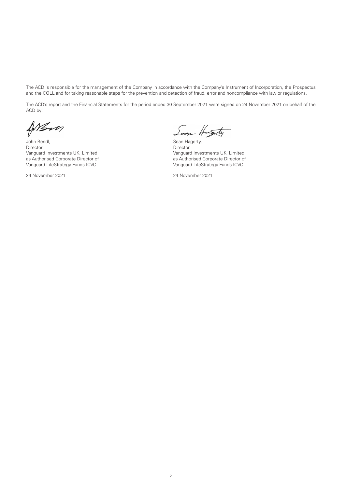The ACD is responsible for the management of the Company in accordance with the Company's Instrument of Incorporation, the Prospectus and the COLL and for taking reasonable steps for the prevention and detection of fraud, error and noncompliance with law or regulations.

The ACD's report and the Financial Statements for the period ended 30 September 2021 were signed on 24 November 2021 on behalf of the ACD by:

ANSva

John Bendl, Sean Hagerty, Sean Hagerty, Sean Hagerty, Sean Hagerty, Sean Hagerty, Sean Hagerty, Sean Hagerty, Sean Hagerty, Sean Hagerty, Sean Hagerty, Sean Hagerty, Sean Hagerty, Sean Hagerty, Sean Hagerty, Sean Hagerty, Director Director Vanguard Investments UK, Limited<br>
as Authorised Corporate Director of Theorem Corporate Director of Theorem Authorised Corporate Director of Vanguard LifeStrategy Funds ICVC

24 November 2021 24 November 2021

Soon Hasty

as Authorised Corporate Director of<br>Vanguard LifeStrategy Funds ICVC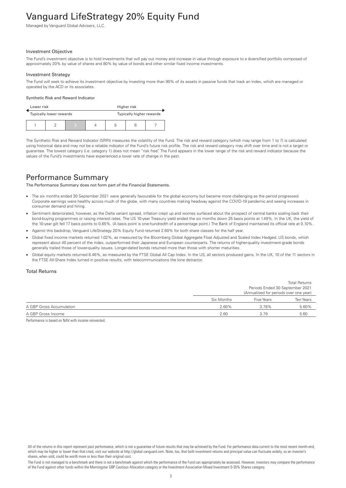# <span id="page-4-0"></span>Vanguard LifeStrategy 20% Equity Fund

Managed by Vanguard Global Advisers, LLC.

#### Investment Objective

The Fund's investment objective is to hold investments that will pay out money and increase in value through exposure to a diversified portfolio composed of approximately 20% by value of shares and 80% by value of bonds and other similar fixed income investments.

#### Investment Strategy

The Fund will seek to achieve its investment objective by investing more than 90% of its assets in passive funds that track an index, which are managed or operated by the ACD or its associates.

#### Synthetic Risk and Reward Indicator

| Lower risk |                         |  |                          | Higher risk |  |  |
|------------|-------------------------|--|--------------------------|-------------|--|--|
|            | Typically lower rewards |  | Typically higher rewards |             |  |  |
|            |                         |  |                          | b           |  |  |

The Synthetic Risk and Reward Indicator (SRRI) measures the volatility of the Fund. The risk and reward category (which may range from 1 to 7) is calculated using historical data and may not be a reliable indicator of the Fund's future risk profile. The risk and reward category may shift over time and is not a target or guarantee. The lowest category (i.e. category 1) does not mean "risk free". The Fund appears in the lower range of the risk and reward indicator because the values of the Fund's investments have experienced a lower rate of change in the past.

### Performance Summary

The Performance Summary does not form part of the Financial Statements.

- The six months ended 30 September 2021 were generally favourable for the global economy but became more challenging as the period progressed. Corporate earnings were healthy across much of the globe, with many countries making headway against the COVID-19 pandemic and seeing increases in consumer demand and hiring.
- Sentiment deteriorated, however, as the Delta variant spread, inflation crept up and worries surfaced about the prospect of central banks scaling back their bond-buying programmes or raising interest rates. The US 10-year Treasury yield ended the six months down 25 basis points at 1.49%. In the UK, the yield of the 10-year gilt fell 17 basis points to 0.85%. (A basis point is one-hundredth of a percentage point.) The Bank of England maintained its official rate at 0.10%.
- Against this backdrop, Vanguard LifeStrategy 20% Equity Fund returned 2.60% for both share classes for the half year.
- Global fixed income markets returned 1.02%, as measured by the Bloomberg Global Aggregate Float Adjusted and Scaled Index Hedged. US bonds, which represent about 40 percent of the index, outperformed their Japanese and European counterparts. The returns of higher-quality investment-grade bonds generally trailed those of lower-quality issues. Longer-dated bonds returned more than those with shorter maturities.
- Global equity markets returned 8.46%, as measured by the FTSE Global All Cap Index. In the US, all sectors produced gains. In the UK, 10 of the 11 sectors in the FTSE All-Share Index turned in positive results, with telecommunications the lone detractor.

#### Total Returns

|                          |            |                                        | <b>Total Returns</b> |  |
|--------------------------|------------|----------------------------------------|----------------------|--|
|                          |            | Periods Ended 30 September 2021        |                      |  |
|                          |            | (Annualised for periods over one year) |                      |  |
|                          | Six Months | Five Years                             | Ten Years            |  |
| A GBP Gross Accumulation | 2.60%      | 3.78%                                  | 5.60%                |  |
| A GBP Gross Income       | 2.60       | 3.79                                   | 5.60                 |  |

Performance is based on NAV with income reinvested.

The Fund is not managed to a benchmark and there is not a benchmark against which the performance of the Fund can appropriately be assessed. However, investors may compare the performance of the Fund against other funds within the Morningstar GBP Cautious Allocation category or the Investment Association Mixed Investment 0-35% Shares category.

All of the returns in this report represent past performance, which is not a guarantee of future results that may be achieved by the Fund. For performance data current to the most recent month-end, which may be higher or lower than that cited, visit our website at http://global.vanguard.com. Note, too, that both investment returns and principal value can fluctuate widely, so an investor's shares, when sold, could be worth more or less than their original cost.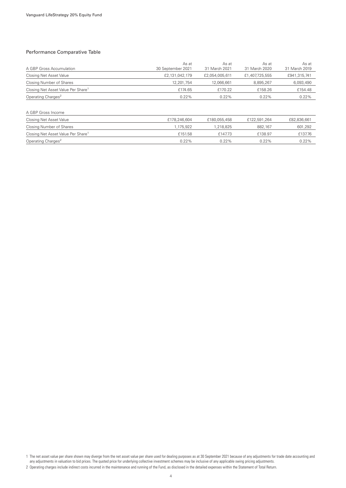#### Performance Comparative Table

| A GBP Gross Accumulation                       | As at<br>30 September 2021 | As at<br>31 March 2021 | As at<br>31 March 2020 | As at<br>31 March 2019 |
|------------------------------------------------|----------------------------|------------------------|------------------------|------------------------|
| Closing Net Asset Value                        | £2,131,042,179             | £2,054,005,611         | £1,407,725,555         | £941,315,741           |
| Closing Number of Shares                       | 12.201.754                 | 12.066.661             | 8.895.267              | 6,093,490              |
| Closing Net Asset Value Per Share <sup>1</sup> | £174.65                    | £170.22                | £158.26                | £154.48                |
| Operating Charges <sup>2</sup>                 | 0.22%                      | 0.22%                  | 0.22%                  | 0.22%                  |
| A GBP Gross Income                             |                            |                        |                        |                        |
| Closing Net Asset Value                        | £178,246,604               | £180,055,458           | £122,591,264           | £82,836,661            |
| Closing Number of Shares                       | 1,175,922                  | 1,218,825              | 882.167                | 601,292                |
| Closing Net Asset Value Per Share <sup>1</sup> | £151.58                    | £147.73                | £138.97                | £137.76                |

Operating Charges<sup>2</sup> 0.22% 0.22% 0.22% 0.22% 0.22% 0.22% 0.22%

1 The net asset value per share shown may diverge from the net asset value per share used for dealing purposes as at 30 September 2021 because of any adjustments for trade date accounting and any adjustments in valuation to bid prices. The quoted price for underlying collective investment schemes may be inclusive of any applicable swing pricing adjustments.

<sup>2</sup> Operating charges include indirect costs incurred in the maintenance and running of the Fund, as disclosed in the detailed expenses within the Statement of Total Return.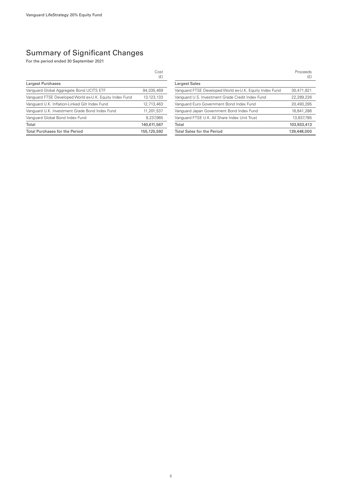### Summary of Significant Changes

For the period ended 30 September 2021

|                                                         | Cost<br>(E)  |
|---------------------------------------------------------|--------------|
| Largest Purchases                                       |              |
| Vanguard Global Aggregate Bond UCITS ETF                | 94.335.469   |
| Vanguard FTSE Developed World ex-U.K. Equity Index Fund | 13, 123, 133 |
| Vanguard U.K. Inflation-Linked Gilt Index Fund          | 12,713,463   |
| Vanquard U.K. Investment Grade Bond Index Fund          | 11.201.537   |
| Vanguard Global Bond Index Fund                         | 9.237,965    |
| Total                                                   | 140,611,567  |
| <b>Total Purchases for the Period</b>                   | 155,125,592  |

|                                                         | Proceeds<br>(E) |
|---------------------------------------------------------|-----------------|
| <b>Largest Sales</b>                                    |                 |
| Vanguard FTSE Developed World ex-U.K. Equity Index Fund | 30,471,821      |
| Vanguard U.S. Investment Grade Credit Index Fund        | 22,289,226      |
| Vanguard Euro Government Bond Index Fund                | 20,493,295      |
| Vanguard Japan Government Bond Index Fund               | 16.841.286      |
| Vanguard FTSE U.K. All Share Index Unit Trust           | 13,837,785      |
| Total                                                   | 103,933,413     |
| <b>Total Sales for the Period</b>                       | 139,448,000     |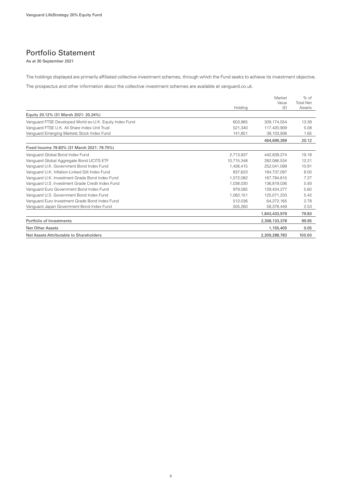### Portfolio Statement

As at 30 September 2021

The holdings displayed are primarily affiliated collective investment schemes, through which the Fund seeks to achieve its investment objective.

The prospectus and other information about the collective investment schemes are available at vanguard.co.uk.

|                                                         | Holding    | Market<br>Value<br>(E) | $%$ of<br><b>Total Net</b><br>Assets |
|---------------------------------------------------------|------------|------------------------|--------------------------------------|
| Equity 20.12% (31 March 2021: 20.24%)                   |            |                        |                                      |
| Vanguard FTSE Developed World ex-U.K. Equity Index Fund | 603,965    | 309, 174, 554          | 13.39                                |
| Vanguard FTSE U.K. All Share Index Unit Trust           | 521.340    | 117,420,909            | 5.08                                 |
| Vanguard Emerging Markets Stock Index Fund              | 141.851    | 38.103.936             | 1.65                                 |
|                                                         |            | 464,699,399            | 20.12                                |
| Fixed Income 79.83% (31 March 2021: 79.75%)             |            |                        |                                      |
| Vanguard Global Bond Index Fund                         | 2,713,937  | 442,839,274            | 19.18                                |
| Vanguard Global Aggregate Bond UCITS ETF                | 10.715.348 | 282.066.534            | 12.21                                |
| Vanguard U.K. Government Bond Index Fund                | 1.426.415  | 252.041.099            | 10.91                                |
| Vanguard U.K. Inflation-Linked Gilt Index Fund          | 837.623    | 184.737.097            | 8.00                                 |
| Vanguard U.K. Investment Grade Bond Index Fund          | 1.572.082  | 167.784.815            | 7.27                                 |
| Vanguard U.S. Investment Grade Credit Index Fund        | 1.038.030  | 136.819.036            | 5.93                                 |
| Vanguard Euro Government Bond Index Fund                | 979,585    | 129,424,277            | 5.60                                 |
| Vanguard U.S. Government Bond Index Fund                | 1.082.151  | 125.071.233            | 5.42                                 |
| Vanguard Euro Investment Grade Bond Index Fund          | 512,036    | 64.272.165             | 2.78                                 |
| Vanguard Japan Government Bond Index Fund               | 505,260    | 58,378,449             | 2.53                                 |
|                                                         |            | 1,843,433,979          | 79.83                                |
| Portfolio of Investments                                |            | 2,308,133,378          | 99.95                                |
| <b>Net Other Assets</b>                                 |            | 1,155,405              | 0.05                                 |
| Net Assets Attributable to Shareholders                 |            | 2,309,288,783          | 100.00                               |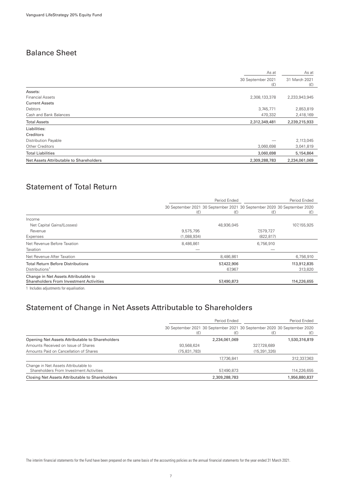### Balance Sheet

|                                                          | As at<br>30 September 2021<br>(E) |               |
|----------------------------------------------------------|-----------------------------------|---------------|
|                                                          |                                   |               |
| Assets:                                                  |                                   |               |
| <b>Financial Assets</b><br>2,308,133,378                 |                                   | 2,233,943,945 |
| <b>Current Assets</b>                                    |                                   |               |
| <b>Debtors</b>                                           | 3,745,771                         | 2,853,819     |
| Cash and Bank Balances                                   | 470,332                           | 2,418,169     |
| 2,312,349,481<br><b>Total Assets</b>                     |                                   | 2,239,215,933 |
| Liabilities:                                             |                                   |               |
| Creditors                                                |                                   |               |
| <b>Distribution Payable</b>                              |                                   | 2,113,045     |
| Other Creditors                                          | 3,060,698                         | 3,041,819     |
| <b>Total Liabilities</b>                                 | 3,060,698                         | 5,154,864     |
| Net Assets Attributable to Shareholders<br>2,309,288,783 |                                   | 2,234,061,069 |

### Statement of Total Return

|                                                                                        | Period Ended |                                                                                | Period Ended |             |
|----------------------------------------------------------------------------------------|--------------|--------------------------------------------------------------------------------|--------------|-------------|
|                                                                                        | (E)          | 30 September 2021 30 September 2021 30 September 2020 30 September 2020<br>(E) | (E)          | (E)         |
| Income                                                                                 |              |                                                                                |              |             |
| Net Capital Gains/(Losses)                                                             |              | 48,936,045                                                                     |              | 107,155,925 |
| Revenue                                                                                | 9,575,795    |                                                                                | 7,579,727    |             |
| Expenses                                                                               | (1,088,934)  |                                                                                | (822, 817)   |             |
| Net Revenue Before Taxation                                                            | 8,486,861    |                                                                                | 6,756,910    |             |
| Taxation                                                                               |              |                                                                                |              |             |
| Net Revenue After Taxation                                                             |              | 8,486,861                                                                      |              | 6,756,910   |
| <b>Total Return Before Distributions</b>                                               |              | 57,422,906                                                                     |              | 113,912,835 |
| Distributions <sup>1</sup>                                                             |              | 67,967                                                                         |              | 313,820     |
| Change in Net Assets Attributable to<br><b>Shareholders From Investment Activities</b> |              | 57,490,873                                                                     |              | 114,226,655 |
|                                                                                        |              |                                                                                |              |             |

1 Includes adjustments for equalisation.

### Statement of Change in Net Assets Attributable to Shareholders

|                                                                                 | Period Ended |               | Period Ended   |                                                                                |
|---------------------------------------------------------------------------------|--------------|---------------|----------------|--------------------------------------------------------------------------------|
|                                                                                 | (E)          | (E)           | (£)            | 30 September 2021 30 September 2021 30 September 2020 30 September 2020<br>(£) |
| Opening Net Assets Attributable to Shareholders                                 |              | 2,234,061,069 |                | 1,530,316,819                                                                  |
| Amounts Received on Issue of Shares                                             | 93,568,624   |               | 327,728,689    |                                                                                |
| Amounts Paid on Cancellation of Shares                                          | (75,831,783) |               | (15, 391, 326) |                                                                                |
|                                                                                 |              | 17.736.841    |                | 312.337.363                                                                    |
| Change in Net Assets Attributable to<br>Shareholders From Investment Activities |              | 57,490,873    |                | 114,226,655                                                                    |
| Closing Net Assets Attributable to Shareholders                                 |              | 2,309,288,783 |                | 1,956,880,837                                                                  |

The interim financial statements for the Fund have been prepared on the same basis of the accounting policies as the annual financial statements for the year ended 31 March 2021.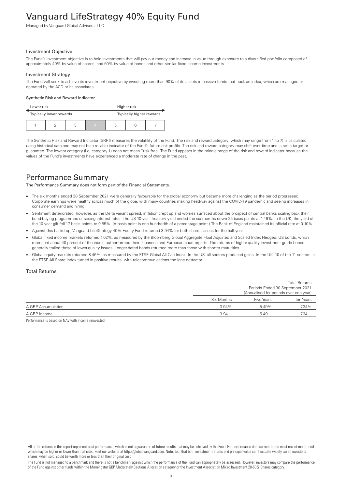# <span id="page-9-0"></span>Vanguard LifeStrategy 40% Equity Fund

Managed by Vanguard Global Advisers, LLC.

#### Investment Objective

The Fund's investment objective is to hold investments that will pay out money and increase in value through exposure to a diversified portfolio composed of approximately 40% by value of shares; and 60% by value of bonds and other similar fixed income investments.

#### Investment Strategy

The Fund will seek to achieve its investment objective by investing more than 90% of its assets in passive funds that track an index, which are managed or operated by the ACD or its associates.

#### Synthetic Risk and Reward Indicator

| Lower risk |  |                         | Higher risk |                          |  |  |
|------------|--|-------------------------|-------------|--------------------------|--|--|
|            |  | Typically lower rewards |             | Typically higher rewards |  |  |
|            |  |                         | $\Delta$    | b                        |  |  |

The Synthetic Risk and Reward Indicator (SRRI) measures the volatility of the Fund. The risk and reward category (which may range from 1 to 7) is calculated using historical data and may not be a reliable indicator of the Fund's future risk profile. The risk and reward category may shift over time and is not a target or guarantee. The lowest category (i.e. category 1) does not mean "risk free". The Fund appears in the middle range of the risk and reward indicator because the values of the Fund's investments have experienced a moderate rate of change in the past.

### Performance Summary

The Performance Summary does not form part of the Financial Statements.

- The six months ended 30 September 2021 were generally favourable for the global economy but became more challenging as the period progressed. Corporate earnings were healthy across much of the globe, with many countries making headway against the COVID-19 pandemic and seeing increases in consumer demand and hiring.
- Sentiment deteriorated, however, as the Delta variant spread, inflation crept up and worries surfaced about the prospect of central banks scaling back their bond-buying programmes or raising interest rates. The US 10-year Treasury yield ended the six months down 25 basis points at 1.49%. In the UK, the yield of the 10-year gilt fell 17 basis points to 0.85%. (A basis point is one-hundredth of a percentage point.) The Bank of England maintained its official rate at 0.10%.
- Against this backdrop, Vanguard LifeStrategy 40% Equity Fund returned 3.94% for both share classes for the half year.
- Global fixed income markets returned 1.02%, as measured by the Bloomberg Global Aggregate Float Adjusted and Scaled Index Hedged. US bonds, which represent about 40 percent of the index, outperformed their Japanese and European counterparts. The returns of higher-quality investment-grade bonds generally trailed those of lower-quality issues. Longer-dated bonds returned more than those with shorter maturities.
- Global equity markets returned 8.46%, as measured by the FTSE Global All Cap Index. In the US, all sectors produced gains. In the UK, 10 of the 11 sectors in the FTSE All-Share Index turned in positive results, with telecommunications the lone detractor.

#### Total Returns

|                    |            |                                        | <b>Total Returns</b>            |  |
|--------------------|------------|----------------------------------------|---------------------------------|--|
|                    |            |                                        | Periods Ended 30 September 2021 |  |
|                    |            | (Annualised for periods over one year) |                                 |  |
|                    | Six Months | <b>Five Years</b>                      | Ten Years                       |  |
| A GBP Accumulation | $3.94\%$   | 5.49%                                  | 7.34%                           |  |
| A GBP Income       | 3.94       | 5.49                                   | 7.34                            |  |

Performance is based on NAV with income reinvested.

The Fund is not managed to a benchmark and there is not a benchmark against which the performance of the Fund can appropriately be assessed. However, investors may compare the performance of the Fund against other funds within the Morningstar GBP Moderately Cautious Allocation category or the Investment Association Mixed Investment 20-60% Shares category.

All of the returns in this report represent past performance, which is not a guarantee of future results that may be achieved by the Fund. For performance data current to the most recent month-end, which may be higher or lower than that cited, visit our website at http://global.vanguard.com. Note, too, that both investment returns and principal value can fluctuate widely, so an investor's shares, when sold, could be worth more or less than their original cost.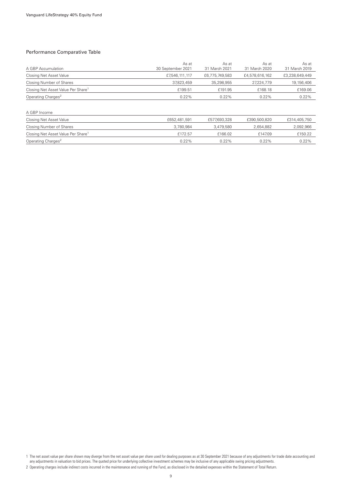#### Performance Comparative Table

| A GBP Accumulation                             | As at<br>30 September 2021 | As at<br>31 March 2021 | As at<br>31 March 2020 | As at<br>31 March 2019 |
|------------------------------------------------|----------------------------|------------------------|------------------------|------------------------|
| Closing Net Asset Value                        | £7,546,111,117             | £6,775,749,583         | £4,578,616,162         | £3,238,649,449         |
| Closing Number of Shares                       | 37,823,459                 | 35,298,955             | 27,224,779             | 19,156,406             |
| Closing Net Asset Value Per Share <sup>1</sup> | £199.51                    | £191.95                | £168.18                | £169.06                |
| Operating Charges <sup>2</sup>                 | 0.22%                      | 0.22%                  | 0.22%                  | 0.22%                  |
|                                                |                            |                        |                        |                        |
| A GBP Income                                   |                            |                        |                        |                        |
| Closing Net Asset Value                        | £652,481,591               | £577,693,328           | £390,500,820           | £314,405,750           |
| Closing Number of Shares                       | 3.780.984                  | 3,479,580              | 2,654,882              | 2,092,966              |
| Closing Net Asset Value Per Share <sup>1</sup> | £172.57                    | £166.02                | £147.09                | £150.22                |
| Operating Charges <sup>2</sup>                 | $0.22\%$                   | $0.22\%$               | 0.22%                  | 0.22%                  |

1 The net asset value per share shown may diverge from the net asset value per share used for dealing purposes as at 30 September 2021 because of any adjustments for trade date accounting and any adjustments in valuation to bid prices. The quoted price for underlying collective investment schemes may be inclusive of any applicable swing pricing adjustments.

<sup>2</sup> Operating charges include indirect costs incurred in the maintenance and running of the Fund, as disclosed in the detailed expenses within the Statement of Total Return.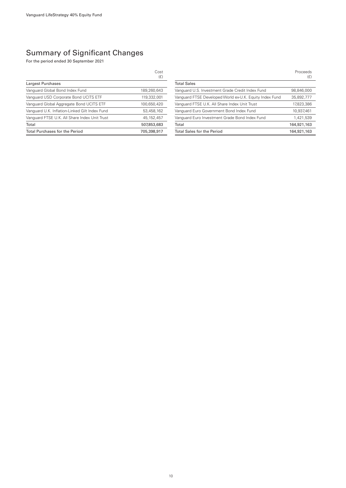### Summary of Significant Changes

For the period ended 30 September 2021

|                                                | Cost<br>(E)  |
|------------------------------------------------|--------------|
| Largest Purchases                              |              |
| Vanguard Global Bond Index Fund                | 189,260,643  |
| Vanguard USD Corporate Bond UCITS ETF          | 119,332,001  |
| Vanguard Global Aggregate Bond UCITS ETF       | 100,650,420  |
| Vanguard U.K. Inflation-Linked Gilt Index Fund | 53,458,162   |
| Vanguard FTSE U.K. All Share Index Unit Trust  | 45, 152, 457 |
| Total                                          | 507,853,683  |
| <b>Total Purchases for the Period</b>          | 705,398,917  |

|                                                         | Proceeds<br>(E) |
|---------------------------------------------------------|-----------------|
| <b>Total Sales</b>                                      |                 |
| Vanguard U.S. Investment Grade Credit Index Fund        | 98,846,000      |
| Vanguard FTSE Developed World ex-U.K. Equity Index Fund | 35,892,777      |
| Vanguard FTSE U.K. All Share Index Unit Trust           | 17,823,386      |
| Vanquard Euro Government Bond Index Fund                | 10,937,461      |
| Vanguard Euro Investment Grade Bond Index Fund          | 1,421,539       |
| Total                                                   | 164,921,163     |
| <b>Total Sales for the Period</b>                       | 164,921,163     |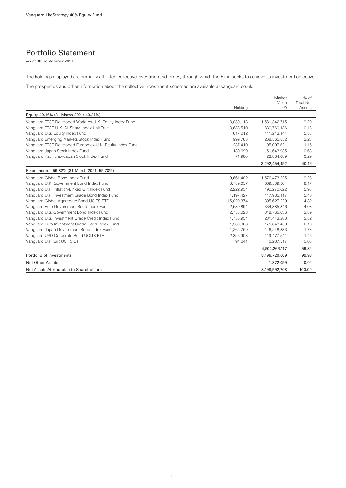### Portfolio Statement

As at 30 September 2021

The holdings displayed are primarily affiliated collective investment schemes, through which the Fund seeks to achieve its investment objective.

The prospectus and other information about the collective investment schemes are available at vanguard.co.uk.

|                                                          |            | Market<br>Value | $%$ of<br><b>Total Net</b> |
|----------------------------------------------------------|------------|-----------------|----------------------------|
|                                                          | Holding    | (E)             | Assets                     |
| Equity 40.16% (31 March 2021: 40.24%)                    |            |                 |                            |
| Vanquard FTSE Developed World ex-U.K. Equity Index Fund  | 3,089,113  | 1,581,342,715   | 19.29                      |
| Vanguard FTSE U.K. All Share Index Unit Trust            | 3,688,510  | 830,760,136     | 10.13                      |
| Vanguard U.S. Equity Index Fund                          | 617,212    | 441,213,144     | 5.38                       |
| Vanguard Emerging Markets Stock Index Fund               | 999,788    | 268,562,852     | 3.28                       |
| Vanquard FTSE Developed Europe ex-U.K. Equity Index Fund | 287.410    | 95.097.621      | 1.16                       |
| Vanguard Japan Stock Index Fund                          | 180,699    | 51,643,935      | 0.63                       |
| Vanguard Pacific ex-Japan Stock Index Fund               | 71,980     | 23,834,089      | 0.29                       |
|                                                          |            | 3,292,454,492   | 40.16                      |
| Fixed Income 59.82% (31 March 2021: 59.78%)              |            |                 |                            |
| Vanguard Global Bond Index Fund                          | 9,661,402  | 1,576,473,225   | 19.23                      |
| Vanguard U.K. Government Bond Index Fund                 | 3.789.057  | 669.509.304     | 8.17                       |
| Vanguard U.K. Inflation-Linked Gilt Index Fund           | 2,222,954  | 490,270,622     | 5.98                       |
| Vanguard U.K. Investment Grade Bond Index Fund           | 4,197,427  | 447.982.117     | 5.46                       |
| Vanguard Global Aggregate Bond UCITS ETF                 | 15,029,374 | 395,627,229     | 4.82                       |
| Vanguard Euro Government Bond Index Fund                 | 2,530,891  | 334,385,346     | 4.08                       |
| Vanguard U.S. Government Bond Index Fund                 | 2,758,023  | 318,762,636     | 3.89                       |
| Vanguard U.S. Investment Grade Credit Index Fund         | 1,755,934  | 231,443,288     | 2.82                       |
| Vanguard Euro Investment Grade Bond Index Fund           | 1,369,063  | 171,848,459     | 2.10                       |
| Vanguard Japan Government Bond Index Fund                | 1,265,769  | 146,248,833     | 1.78                       |
| Vanguard USD Corporate Bond UCITS ETF                    | 2,356,903  | 119,477,541     | 1.46                       |
| Vanguard U.K. Gilt UCITS ETF                             | 94,241     | 2,237,517       | 0.03                       |
|                                                          |            | 4,904,266,117   | 59.82                      |
| Portfolio of Investments                                 |            | 8,196,720,609   | 99.98                      |
| <b>Net Other Assets</b>                                  |            | 1,872,099       | 0.02                       |
| Net Assets Attributable to Shareholders                  |            | 8.198.592.708   | 100.00                     |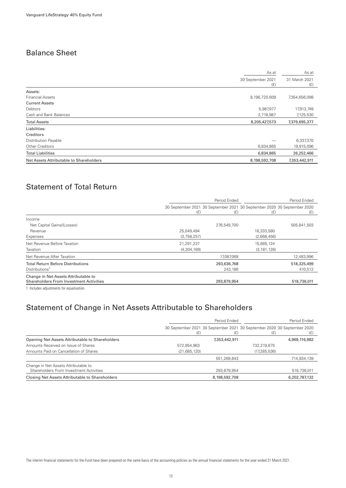### Balance Sheet

| As at                                                    | As at                |  |
|----------------------------------------------------------|----------------------|--|
| 30 September 2021<br>(E)                                 | 31 March 2021<br>(E) |  |
| Assets:                                                  |                      |  |
| 8,196,720,609<br><b>Financial Assets</b>                 | 7,354,656,098        |  |
| <b>Current Assets</b>                                    |                      |  |
| Debtors<br>5,987,977                                     | 17,913,749           |  |
| Cash and Bank Balances<br>2,718,987                      | 7,125,530            |  |
| <b>Total Assets</b><br>8,205,427,573                     | 7,379,695,377        |  |
| Liabilities:                                             |                      |  |
| Creditors                                                |                      |  |
| <b>Distribution Payable</b>                              | 6,337,370            |  |
| Other Creditors<br>6,834,865                             | 19,915,096           |  |
| <b>Total Liabilities</b><br>6,834,865                    | 26,252,466           |  |
| Net Assets Attributable to Shareholders<br>8,198,592,708 | 7,353,442,911        |  |

### Statement of Total Return

|                                                                                        | Period Ended  |             | Period Ended                                                                   |             |
|----------------------------------------------------------------------------------------|---------------|-------------|--------------------------------------------------------------------------------|-------------|
|                                                                                        | (E)           | (E)         | 30 September 2021 30 September 2021 30 September 2020 30 September 2020<br>(E) | (E)         |
| Income                                                                                 |               |             |                                                                                |             |
| Net Capital Gains/(Losses)                                                             |               | 276,549,700 |                                                                                | 505,841,503 |
| Revenue                                                                                | 25,049,494    |             | 18,333,580                                                                     |             |
| Expenses                                                                               | (3,758,257)   |             | (2,668,456)                                                                    |             |
| Net Revenue Before Taxation                                                            | 21,291,237    |             | 15,665,124                                                                     |             |
| Taxation                                                                               | (4, 204, 169) |             | (3, 181, 128)                                                                  |             |
| Net Revenue After Taxation                                                             |               | 17,087,068  |                                                                                | 12,483,996  |
| <b>Total Return Before Distributions</b>                                               |               | 293,636,768 |                                                                                | 518,325,499 |
| Distributions <sup>1</sup>                                                             |               | 243,186     |                                                                                | 410,512     |
| Change in Net Assets Attributable to<br><b>Shareholders From Investment Activities</b> |               | 293,879,954 |                                                                                | 518,736,011 |
|                                                                                        |               |             |                                                                                |             |

1 Includes adjustments for equalisation.

### Statement of Change in Net Assets Attributable to Shareholders

|                                                                                 | Period Ended |               | Period Ended                                                                   |               |
|---------------------------------------------------------------------------------|--------------|---------------|--------------------------------------------------------------------------------|---------------|
|                                                                                 | (E)          | (£)           | 30 September 2021 30 September 2021 30 September 2020 30 September 2020<br>(£) | (£)           |
| Opening Net Assets Attributable to Shareholders                                 |              | 7,353,442,911 |                                                                                | 4,969,116,982 |
| Amounts Received on Issue of Shares                                             | 572,954,963  |               | 732.219.675                                                                    |               |
| Amounts Paid on Cancellation of Shares                                          | (21,685,120) |               | (17, 285, 536)                                                                 |               |
|                                                                                 |              | 551,269,843   |                                                                                | 714.934.139   |
| Change in Net Assets Attributable to<br>Shareholders From Investment Activities |              | 293,879,954   |                                                                                | 518,736,011   |
| Closing Net Assets Attributable to Shareholders                                 |              | 8,198,592,708 |                                                                                | 6,202,787,132 |

The interim financial statements for the Fund have been prepared on the same basis of the accounting policies as the annual financial statements for the year ended 31 March 2021.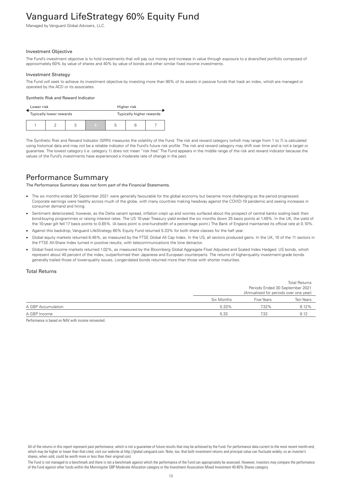# <span id="page-14-0"></span>Vanguard LifeStrategy 60% Equity Fund

Managed by Vanguard Global Advisers, LLC.

#### Investment Objective

The Fund's investment objective is to hold investments that will pay out money and increase in value through exposure to a diversified portfolio composed of approximately 60% by value of shares and 40% by value of bonds and other similar fixed income investments.

#### Investment Strategy

The Fund will seek to achieve its investment objective by investing more than 90% of its assets in passive funds that track an index, which are managed or operated by the ACD or its associates.

#### Synthetic Risk and Reward Indicator

| Lower risk |                         |  | Higher risk              |   |  |  |
|------------|-------------------------|--|--------------------------|---|--|--|
|            | Typically lower rewards |  | Typically higher rewards |   |  |  |
|            |                         |  | 4                        | b |  |  |

The Synthetic Risk and Reward Indicator (SRRI) measures the volatility of the Fund. The risk and reward category (which may range from 1 to 7) is calculated using historical data and may not be a reliable indicator of the Fund's future risk profile. The risk and reward category may shift over time and is not a target or guarantee. The lowest category (i.e. category 1) does not mean "risk free". The Fund appears in the middle range of the risk and reward indicator because the values of the Fund's investments have experienced a moderate rate of change in the past.

### Performance Summary

The Performance Summary does not form part of the Financial Statements.

- The six months ended 30 September 2021 were generally favourable for the global economy but became more challenging as the period progressed. Corporate earnings were healthy across much of the globe, with many countries making headway against the COVID-19 pandemic and seeing increases in consumer demand and hiring.
- Sentiment deteriorated, however, as the Delta variant spread, inflation crept up and worries surfaced about the prospect of central banks scaling back their bond-buying programmes or raising interest rates. The US 10-year Treasury yield ended the six months down 25 basis points at 1.49%. In the UK, the yield of the 10-year gilt fell 17 basis points to 0.85%. (A basis point is one-hundredth of a percentage point.) The Bank of England maintained its official rate at 0.10%.
- Against this backdrop, Vanguard LifeStrategy 60% Equity Fund returned 5.33% for both share classes for the half year.
- Global equity markets returned 8.46%, as measured by the FTSE Global All Cap Index. In the US, all sectors produced gains. In the UK, 10 of the 11 sectors in the FTSE All-Share Index turned in positive results, with telecommunications the lone detractor.
- Global fixed income markets returned 1.02%, as measured by the Bloomberg Global Aggregate Float Adjusted and Scaled Index Hedged. US bonds, which represent about 40 percent of the index, outperformed their Japanese and European counterparts. The returns of higher-quality investment-grade bonds generally trailed those of lower-quality issues. Longer-dated bonds returned more than those with shorter maturities.

#### Total Returns

|                    |            | <b>Total Returns</b>                   |           |  |
|--------------------|------------|----------------------------------------|-----------|--|
|                    |            | Periods Ended 30 September 2021        |           |  |
|                    |            | (Annualised for periods over one year) |           |  |
|                    | Six Months | Five Years                             | Ten Years |  |
| A GBP Accumulation | 5.33%      | 7.32%                                  | 9.12%     |  |
| A GBP Income       | 5.33       | 7.32                                   | 9.12      |  |

Performance is based on NAV with income reinvested.

The Fund is not managed to a benchmark and there is not a benchmark against which the performance of the Fund can appropriately be assessed. However, investors may compare the performance of the Fund against other funds within the Morningstar GBP Moderate Allocation category or the Investment Association Mixed Investment 40-85% Shares category.

All of the returns in this report represent past performance, which is not a guarantee of future results that may be achieved by the Fund. For performance data current to the most recent month-end, which may be higher or lower than that cited, visit our website at http://global.vanguard.com. Note, too, that both investment returns and principal value can fluctuate widely, so an investor's shares, when sold, could be worth more or less than their original cost.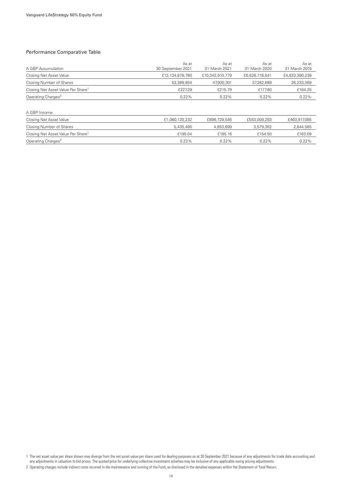#### Performance Comparative Table

| A GBP Accumulation                             | As at<br>30 September 2021 | As at<br>31 March 2021 | As at<br>31 March 2020 | As at<br>31 March 2019 |
|------------------------------------------------|----------------------------|------------------------|------------------------|------------------------|
| Closing Net Asset Value                        | £12,134,879,780            | £10,342,910,779        | £6,628,718,541         | £4,833,390,239         |
| Closing Number of Shares                       | 53,389,854                 | 47,930,301             | 37,282,689             | 26,233,369             |
| Closing Net Asset Value Per Share <sup>1</sup> | £227.29                    | £215.79                | £177.80                | £184.25                |
| Operating Charges <sup>2</sup>                 | 0.22%                      | 0.22%                  | 0.22%                  | 0.22%                  |
| A GBP Income                                   |                            |                        |                        |                        |
| Closing Net Asset Value                        | £1,060,120,232             | £898,729,546           | £553,009,293           | £463,917,085           |
| Closing Number of Shares                       | 5,435,490                  | 4,853,899              | 3,579,362              | 2,844,585              |
| Closing Net Asset Value Per Share <sup>1</sup> | £195.04                    | £185.16                | £154.50                | £163.09                |
| Operating Charges <sup>2</sup>                 | $0.22\%$                   | $0.22\%$               | 0.22%                  | 0.22%                  |

1 The net asset value per share shown may diverge from the net asset value per share used for dealing purposes as at 30 September 2021 because of any adjustments for trade date accounting and any adjustments in valuation to bid prices. The quoted price for underlying collective investment schemes may be inclusive of any applicable swing pricing adjustments.

<sup>2</sup> Operating charges include indirect costs incurred in the maintenance and running of the Fund, as disclosed in the detailed expenses within the Statement of Total Return.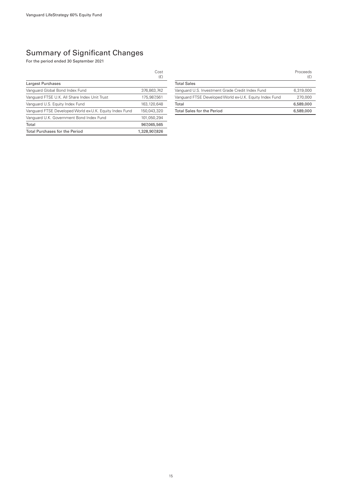### Summary of Significant Changes

For the period ended 30 September 2021

|                                                         | Cost<br>(E)   |
|---------------------------------------------------------|---------------|
| Largest Purchases                                       |               |
| Vanguard Global Bond Index Fund                         | 376,863,742   |
| Vanguard FTSE U.K. All Share Index Unit Trust           | 175,987,561   |
| Vanguard U.S. Equity Index Fund                         | 163,120,648   |
| Vanguard FTSE Developed World ex-U.K. Equity Index Fund | 150,043,320   |
| Vanguard U.K. Government Bond Index Fund                | 101,050,294   |
| Total                                                   | 967,065,565   |
| <b>Total Purchases for the Period</b>                   | 1,328,907,826 |

|                                                         | Proceeds<br>(£) |
|---------------------------------------------------------|-----------------|
| <b>Total Sales</b>                                      |                 |
| Vanguard U.S. Investment Grade Credit Index Fund        | 6.319.000       |
| Vanguard FTSE Developed World ex-U.K. Equity Index Fund | 270,000         |
| Total                                                   | 6,589,000       |
| <b>Total Sales for the Period</b>                       | 6,589,000       |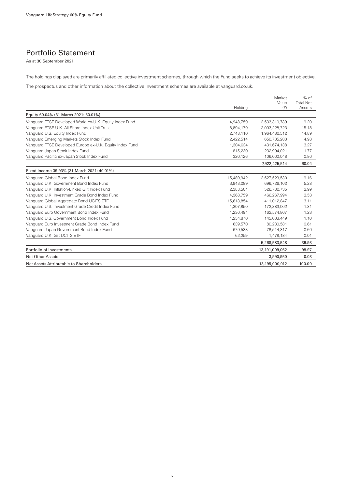### Portfolio Statement

As at 30 September 2021

The holdings displayed are primarily affiliated collective investment schemes, through which the Fund seeks to achieve its investment objective.

The prospectus and other information about the collective investment schemes are available at vanguard.co.uk.

|                                                          | Holding    | Market<br>Value<br>(E) | $%$ of<br><b>Total Net</b><br>Assets |
|----------------------------------------------------------|------------|------------------------|--------------------------------------|
| Equity 60.04% (31 March 2021: 60.01%)                    |            |                        |                                      |
| Vanguard FTSE Developed World ex-U.K. Equity Index Fund  | 4.948.759  | 2.533.310.789          | 19.20                                |
| Vanguard FTSE U.K. All Share Index Unit Trust            | 8,894,179  | 2,003,228,723          | 15.18                                |
| Vanguard U.S. Equity Index Fund                          | 2,748,110  | 1,964,482,512          | 14.89                                |
| Vanguard Emerging Markets Stock Index Fund               | 2,422,514  | 650.735.283            | 4.93                                 |
| Vanguard FTSE Developed Europe ex-U.K. Equity Index Fund | 1,304,634  | 431,674,138            | 3.27                                 |
| Vanguard Japan Stock Index Fund                          | 815,230    | 232,994,021            | 1.77                                 |
| Vanguard Pacific ex-Japan Stock Index Fund               | 320,126    | 106,000,048            | 0.80                                 |
|                                                          |            | 7,922,425,514          | 60.04                                |
| Fixed Income 39.93% (31 March 2021: 40.01%)              |            |                        |                                      |
| Vanguard Global Bond Index Fund                          | 15,489,942 | 2,527,529,530          | 19.16                                |
| Vanguard U.K. Government Bond Index Fund                 | 3,943,089  | 696,726,102            | 5.28                                 |
| Vanguard U.K. Inflation-Linked Gilt Index Fund           | 2,388,504  | 526,782,735            | 3.99                                 |
| Vanguard U.K. Investment Grade Bond Index Fund           | 4,368,759  | 466,267,994            | 3.53                                 |
| Vanguard Global Aggregate Bond UCITS ETF                 | 15,613,854 | 411.012.847            | 3.11                                 |
| Vanguard U.S. Investment Grade Credit Index Fund         | 1,307,850  | 172,383,002            | 1.31                                 |
| Vanquard Euro Government Bond Index Fund                 | 1.230.494  | 162.574.807            | 1.23                                 |
| Vanguard U.S. Government Bond Index Fund                 | 1,254,870  | 145,033,449            | 1.10                                 |
| Vanguard Euro Investment Grade Bond Index Fund           | 639,570    | 80,280,581             | 0.61                                 |
| Vanguard Japan Government Bond Index Fund                | 679,533    | 78.514.317             | 0.60                                 |
| Vanguard U.K. Gilt UCITS ETF                             | 62,259     | 1,478,184              | 0.01                                 |
|                                                          |            | 5,268,583,548          | 39.93                                |
| Portfolio of Investments                                 |            | 13,191,009,062         | 99.97                                |
| Net Other Assets                                         |            | 3,990,950              | 0.03                                 |
| Net Assets Attributable to Shareholders                  |            | 13,195,000,012         | 100.00                               |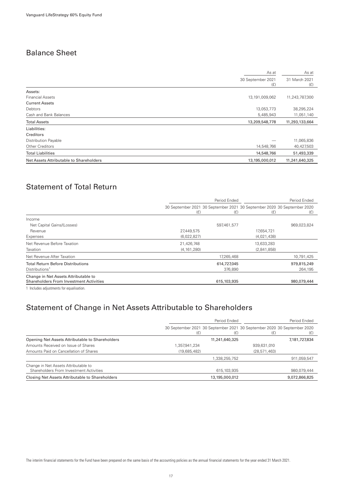### Balance Sheet

| As at                                                     | As at                |
|-----------------------------------------------------------|----------------------|
| 30 September 2021<br>(E)                                  | 31 March 2021<br>(f) |
| Assets:                                                   |                      |
| <b>Financial Assets</b><br>13,191,009,062                 | 11,243,787,300       |
| <b>Current Assets</b>                                     |                      |
| Debtors<br>13,053,773                                     | 38,295,224           |
| Cash and Bank Balances<br>5,485,943                       | 11,051,140           |
| <b>Total Assets</b><br>13,209,548,778                     | 11,293,133,664       |
| Liabilities:                                              |                      |
| Creditors                                                 |                      |
| Distribution Payable                                      | 11,065,836           |
| Other Creditors<br>14,548,766                             | 40,427,503           |
| <b>Total Liabilities</b><br>14,548,766                    | 51,493,339           |
| Net Assets Attributable to Shareholders<br>13,195,000,012 | 11,241,640,325       |

### Statement of Total Return

|                                                                                        |               | Period Ended |                                                                                |             |
|----------------------------------------------------------------------------------------|---------------|--------------|--------------------------------------------------------------------------------|-------------|
|                                                                                        | (E)           | (E)          | 30 September 2021 30 September 2021 30 September 2020 30 September 2020<br>(E) | (E)         |
| Income                                                                                 |               |              |                                                                                |             |
| Net Capital Gains/(Losses)                                                             |               | 597,461,577  |                                                                                | 969,023,824 |
| Revenue                                                                                | 27,449,575    |              | 17,654,721                                                                     |             |
| Expenses                                                                               | (6,022,827)   |              | (4,021,438)                                                                    |             |
| Net Revenue Before Taxation                                                            | 21,426,748    |              | 13,633,283                                                                     |             |
| Taxation                                                                               | (4, 161, 280) |              | (2,841,858)                                                                    |             |
| Net Revenue After Taxation                                                             |               | 17,265,468   |                                                                                | 10,791,425  |
| <b>Total Return Before Distributions</b>                                               |               | 614,727,045  |                                                                                | 979,815,249 |
| Distributions <sup>1</sup>                                                             |               | 376,890      |                                                                                | 264,195     |
| Change in Net Assets Attributable to<br><b>Shareholders From Investment Activities</b> |               | 615,103,935  |                                                                                | 980,079,444 |
|                                                                                        |               |              |                                                                                |             |

1 Includes adjustments for equalisation.

### Statement of Change in Net Assets Attributable to Shareholders

|                                                                                 | Period Ended |                | Period Ended                                                                   |               |
|---------------------------------------------------------------------------------|--------------|----------------|--------------------------------------------------------------------------------|---------------|
|                                                                                 | (E)          | (£)            | 30 September 2021 30 September 2021 30 September 2020 30 September 2020<br>(£) | (£)           |
| Opening Net Assets Attributable to Shareholders                                 |              | 11,241,640,325 |                                                                                | 7,181,727,834 |
| Amounts Received on Issue of Shares                                             | ,357,941,234 |                | 939,631,010                                                                    |               |
| Amounts Paid on Cancellation of Shares                                          | (19,685,482) |                | (28, 571, 463)                                                                 |               |
|                                                                                 |              | 1.338.255.752  |                                                                                | 911,059,547   |
| Change in Net Assets Attributable to<br>Shareholders From Investment Activities |              | 615, 103, 935  |                                                                                | 980,079,444   |
| Closing Net Assets Attributable to Shareholders                                 |              | 13,195,000,012 |                                                                                | 9,072,866,825 |

The interim financial statements for the Fund have been prepared on the same basis of the accounting policies as the annual financial statements for the year ended 31 March 2021.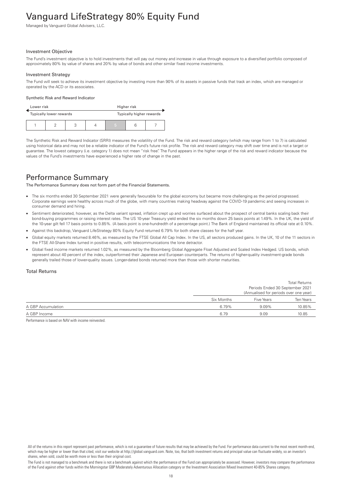# <span id="page-19-0"></span>Vanguard LifeStrategy 80% Equity Fund

Managed by Vanguard Global Advisers, LLC.

#### Investment Objective

The Fund's investment objective is to hold investments that will pay out money and increase in value through exposure to a diversified portfolio composed of approximately 80% by value of shares and 20% by value of bonds and other similar fixed income investments.

#### Investment Strategy

The Fund will seek to achieve its investment objective by investing more than 90% of its assets in passive funds that track an index, which are managed or operated by the ACD or its associates.

#### Synthetic Risk and Reward Indicator

| Lower risk |  | Higher risk                                         |  |  |   |  |  |
|------------|--|-----------------------------------------------------|--|--|---|--|--|
|            |  | Typically higher rewards<br>Typically lower rewards |  |  |   |  |  |
|            |  |                                                     |  |  | 5 |  |  |

The Synthetic Risk and Reward Indicator (SRRI) measures the volatility of the Fund. The risk and reward category (which may range from 1 to 7) is calculated using historical data and may not be a reliable indicator of the Fund's future risk profile. The risk and reward category may shift over time and is not a target or guarantee. The lowest category (i.e. category 1) does not mean "risk free". The Fund appears in the higher range of the risk and reward indicator because the values of the Fund's investments have experienced a higher rate of change in the past.

### Performance Summary

The Performance Summary does not form part of the Financial Statements.

- The six months ended 30 September 2021 were generally favourable for the global economy but became more challenging as the period progressed. Corporate earnings were healthy across much of the globe, with many countries making headway against the COVID-19 pandemic and seeing increases in consumer demand and hiring.
- Sentiment deteriorated, however, as the Delta variant spread, inflation crept up and worries surfaced about the prospect of central banks scaling back their bond-buying programmes or raising interest rates. The US 10-year Treasury yield ended the six months down 25 basis points at 1.49%. In the UK, the yield of the 10-year gilt fell 17 basis points to 0.85%. (A basis point is one-hundredth of a percentage point.) The Bank of England maintained its official rate at 0.10%.
- Against this backdrop, Vanguard LifeStrategy 80% Equity Fund returned 6.79% for both share classes for the half year.
- Global equity markets returned 8.46%, as measured by the FTSE Global All Cap Index. In the US, all sectors produced gains. In the UK, 10 of the 11 sectors in the FTSE All-Share Index turned in positive results, with telecommunications the lone detractor.
- Global fixed income markets returned 1.02%, as measured by the Bloomberg Global Aggregate Float Adjusted and Scaled Index Hedged. US bonds, which represent about 40 percent of the index, outperformed their Japanese and European counterparts. The returns of higher-quality investment-grade bonds generally trailed those of lower-quality issues. Longer-dated bonds returned more than those with shorter maturities.

#### Total Returns

|                    |            | <b>Total Returns</b>                   |                                 |  |
|--------------------|------------|----------------------------------------|---------------------------------|--|
|                    |            |                                        | Periods Ended 30 September 2021 |  |
|                    |            | (Annualised for periods over one year) |                                 |  |
|                    | Six Months | Five Years                             | Ten Years                       |  |
| A GBP Accumulation | 6.79%      | $9.09\%$                               | 10.85%                          |  |
| A GBP Income       | 6.79       | 9.09                                   | 10.85                           |  |

Performance is based on NAV with income reinvested.

The Fund is not managed to a benchmark and there is not a benchmark against which the performance of the Fund can appropriately be assessed. However, investors may compare the performance of the Fund against other funds within the Morningstar GBP Moderately Adventurous Allocation category or the Investment Association Mixed Investment 40-85% Shares category.

All of the returns in this report represent past performance, which is not a guarantee of future results that may be achieved by the Fund. For performance data current to the most recent month-end, which may be higher or lower than that cited, visit our website at http://global.vanguard.com. Note, too, that both investment returns and principal value can fluctuate widely, so an investor's shares, when sold, could be worth more or less than their original cost.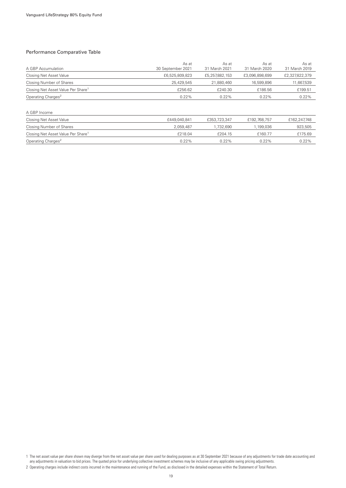#### Performance Comparative Table

| A GBP Accumulation                             | As at<br>30 September 2021 | As at<br>31 March 2021 | As at<br>31 March 2020 | As at<br>31 March 2019 |
|------------------------------------------------|----------------------------|------------------------|------------------------|------------------------|
| Closing Net Asset Value                        | £6,525,809,823             | £5,257,882,153         | £3,096,898,699         | £2,327,822,379         |
| Closing Number of Shares                       | 25,429,545                 | 21,880,460             | 16,599,896             | 11,667,539             |
| Closing Net Asset Value Per Share <sup>1</sup> | £256.62                    | £240.30                | £186.56                | £199.51                |
| Operating Charges <sup>2</sup>                 | 0.22%                      | 0.22%                  | 0.22%                  | 0.22%                  |
|                                                |                            |                        |                        |                        |
| A GBP Income                                   |                            |                        |                        |                        |
| Closing Net Asset Value                        | £449,040,841               | £353,723,347           | £192,768,757           | £162,247,748           |
| Closing Number of Shares                       | 2,059,487                  | 1,732,690              | 1,199,036              | 923,505                |
| Closing Net Asset Value Per Share <sup>1</sup> | £218.04                    | £204.15                | £160.77                | £175.69                |
| Operating Charges <sup>2</sup>                 | 0.22%                      | 0.22%                  | 0.22%                  | 0.22%                  |

1 The net asset value per share shown may diverge from the net asset value per share used for dealing purposes as at 30 September 2021 because of any adjustments for trade date accounting and any adjustments in valuation to bid prices. The quoted price for underlying collective investment schemes may be inclusive of any applicable swing pricing adjustments.

<sup>2</sup> Operating charges include indirect costs incurred in the maintenance and running of the Fund, as disclosed in the detailed expenses within the Statement of Total Return.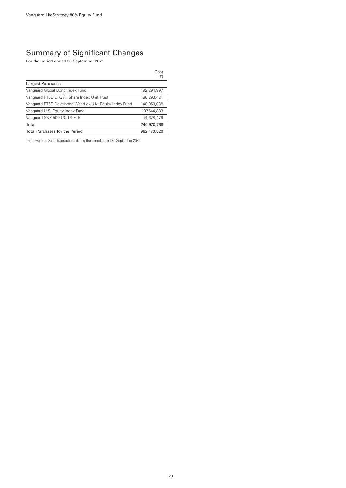### Summary of Significant Changes

For the period ended 30 September 2021

|                                                         | Cost<br>(E) |
|---------------------------------------------------------|-------------|
| Largest Purchases                                       |             |
| Vanguard Global Bond Index Fund                         | 192.294.997 |
| Vanguard FTSE U.K. All Share Index Unit Trust           | 188,293,421 |
| Vanguard FTSE Developed World ex-U.K. Equity Index Fund | 148,059,038 |
| Vanguard U.S. Equity Index Fund                         | 137,644,833 |
| Vanquard S&P 500 UCITS ETF                              | 74,678,479  |
| Total                                                   | 740,970,768 |
| <b>Total Purchases for the Period</b>                   | 962,170,520 |

There were no Sales transactions during the period ended 30 September 2021.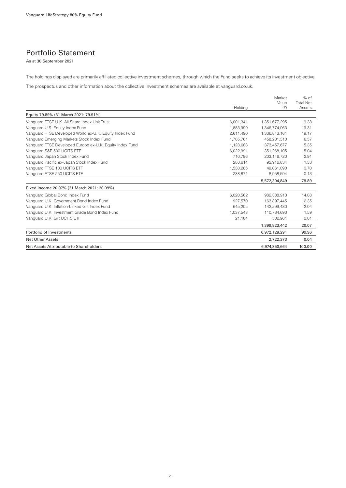### Portfolio Statement

As at 30 September 2021

The holdings displayed are primarily affiliated collective investment schemes, through which the Fund seeks to achieve its investment objective.

The prospectus and other information about the collective investment schemes are available at vanguard.co.uk.

|                                                          | Holding   | Market<br>Value<br>(E) | $%$ of<br><b>Total Net</b><br>Assets |
|----------------------------------------------------------|-----------|------------------------|--------------------------------------|
| Equity 79.89% (31 March 2021: 79.91%)                    |           |                        |                                      |
| Vanguard FTSE U.K. All Share Index Unit Trust            | 6,001,341 | 1,351,677,295          | 19.38                                |
| Vanguard U.S. Equity Index Fund                          | 1.883.999 | 1.346.774.063          | 19.31                                |
| Vanguard FTSE Developed World ex-U.K. Equity Index Fund  | 2,611,490 | 1,336,843,161          | 19.17                                |
| Vanguard Emerging Markets Stock Index Fund               | 1,705,761 | 458,201,310            | 6.57                                 |
| Vanguard FTSE Developed Europe ex-U.K. Equity Index Fund | 1.128.688 | 373.457.677            | 5.35                                 |
| Vanguard S&P 500 UCITS ETF                               | 6,022,991 | 351,268,105            | 5.04                                 |
| Vanguard Japan Stock Index Fund                          | 710.796   | 203,146,720            | 2.91                                 |
| Vanguard Pacific ex-Japan Stock Index Fund               | 280,614   | 92,916,834             | 1.33                                 |
| Vanguard FTSE 100 UCITS ETF                              | 1,530,285 | 49,061,090             | 0.70                                 |
| Vanguard FTSE 250 UCITS ETF                              | 238,871   | 8,958,594              | 0.13                                 |
|                                                          |           | 5,572,304,849          | 79.89                                |
| Fixed Income 20.07% (31 March 2021: 20.09%)              |           |                        |                                      |
| Vanguard Global Bond Index Fund                          | 6,020,562 | 982,388,913            | 14.08                                |
| Vanguard U.K. Government Bond Index Fund                 | 927,570   | 163,897,445            | 2.35                                 |
| Vanguard U.K. Inflation-Linked Gilt Index Fund           | 645,205   | 142,299,430            | 2.04                                 |
| Vanguard U.K. Investment Grade Bond Index Fund           | 1,037,543 | 110,734,693            | 1.59                                 |
| Vanguard U.K. Gilt UCITS ETF                             | 21,184    | 502,961                | 0.01                                 |
|                                                          |           | 1,399,823,442          | 20.07                                |
| Portfolio of Investments                                 |           | 6,972,128,291          | 99.96                                |
| Net Other Assets                                         |           | 2,722,373              | 0.04                                 |
| Net Assets Attributable to Shareholders                  |           | 6.974.850.664          | 100.00                               |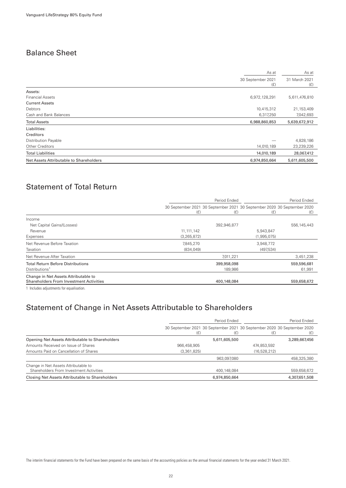### Balance Sheet

| As at                                                    | As at                |
|----------------------------------------------------------|----------------------|
| 30 September 2021<br>(E)                                 | 31 March 2021<br>(E) |
| Assets:                                                  |                      |
| <b>Financial Assets</b><br>6,972,128,291                 | 5,611,476,810        |
| <b>Current Assets</b>                                    |                      |
| Debtors<br>10,415,312                                    | 21,153,409           |
| Cash and Bank Balances<br>6,317,250                      | 7,042,693            |
| <b>Total Assets</b><br>6,988,860,853                     | 5,639,672,912        |
| Liabilities:                                             |                      |
| Creditors                                                |                      |
| Distribution Payable                                     | 4,828,186            |
| Other Creditors<br>14,010,189                            | 23,239,226           |
| <b>Total Liabilities</b><br>14,010,189                   | 28,067,412           |
| Net Assets Attributable to Shareholders<br>6,974,850,664 | 5,611,605,500        |

### Statement of Total Return

|                                                | Period Ended  |                                                                                |             | Period Ended |
|------------------------------------------------|---------------|--------------------------------------------------------------------------------|-------------|--------------|
|                                                | (E)           | 30 September 2021 30 September 2021 30 September 2020 30 September 2020<br>(E) | (E)         | (E)          |
| Income                                         |               |                                                                                |             |              |
| Net Capital Gains/(Losses)                     |               | 392,946,877                                                                    |             | 556,145,443  |
| Revenue                                        | 11, 111, 142  |                                                                                | 5,943,847   |              |
| Expenses                                       | (3, 265, 872) |                                                                                | (1,995,075) |              |
| Net Revenue Before Taxation                    | 7,845,270     |                                                                                | 3,948,772   |              |
| Taxation                                       | (834, 049)    |                                                                                | (497,534)   |              |
| Net Revenue After Taxation                     |               | 7,011,221                                                                      |             | 3,451,238    |
| <b>Total Return Before Distributions</b>       |               | 399,958,098                                                                    |             | 559,596,681  |
| Distributions <sup>1</sup>                     |               | 189,986                                                                        |             | 61,991       |
| Change in Net Assets Attributable to           |               |                                                                                |             |              |
| <b>Shareholders From Investment Activities</b> |               | 400,148,084                                                                    |             | 559,658,672  |

1 Includes adjustments for equalisation.

### Statement of Change in Net Assets Attributable to Shareholders

|                                                                                 | Period Ended |                                                                                | Period Ended   |               |
|---------------------------------------------------------------------------------|--------------|--------------------------------------------------------------------------------|----------------|---------------|
|                                                                                 | (E)          | 30 September 2021 30 September 2021 30 September 2020 30 September 2020<br>(£) | (£)            | (£)           |
| Opening Net Assets Attributable to Shareholders                                 |              | 5,611,605,500                                                                  |                | 3,289,667,456 |
| Amounts Received on Issue of Shares                                             | 966,458,905  |                                                                                | 474,853,592    |               |
| Amounts Paid on Cancellation of Shares                                          | (3,361,825)  |                                                                                | (16, 528, 212) |               |
|                                                                                 |              | 963.097.080                                                                    |                | 458.325.380   |
| Change in Net Assets Attributable to<br>Shareholders From Investment Activities |              | 400,148,084                                                                    |                | 559,658,672   |
| Closing Net Assets Attributable to Shareholders                                 |              | 6,974,850,664                                                                  |                | 4,307,651,508 |

The interim financial statements for the Fund have been prepared on the same basis of the accounting policies as the annual financial statements for the year ended 31 March 2021.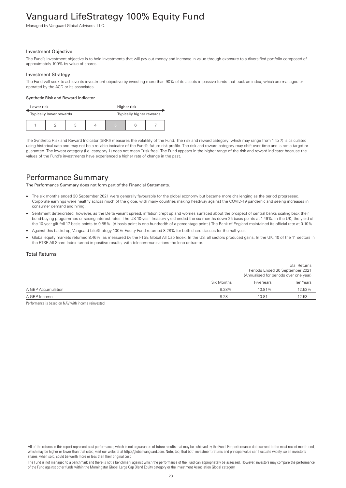# <span id="page-24-0"></span>Vanguard LifeStrategy 100% Equity Fund

Managed by Vanguard Global Advisers, LLC.

#### Investment Objective

The Fund's investment objective is to hold investments that will pay out money and increase in value through exposure to a diversified portfolio composed of approximately 100% by value of shares.

#### Investment Strategy

The Fund will seek to achieve its investment objective by investing more than 90% of its assets in passive funds that track an index, which are managed or operated by the ACD or its associates.

#### Synthetic Risk and Reward Indicator

| Lower risk |                         |                |   | Higher risk              |  |
|------------|-------------------------|----------------|---|--------------------------|--|
|            | Typically lower rewards |                |   | Typically higher rewards |  |
|            |                         | $\overline{ }$ | 5 |                          |  |

The Synthetic Risk and Reward Indicator (SRRI) measures the volatility of the Fund. The risk and reward category (which may range from 1 to 7) is calculated using historical data and may not be a reliable indicator of the Fund's future risk profile. The risk and reward category may shift over time and is not a target or guarantee. The lowest category (i.e. category 1) does not mean "risk free". The Fund appears in the higher range of the risk and reward indicator because the values of the Fund's investments have experienced a higher rate of change in the past.

### Performance Summary

The Performance Summary does not form part of the Financial Statements.

- The six months ended 30 September 2021 were generally favourable for the global economy but became more challenging as the period progressed. Corporate earnings were healthy across much of the globe, with many countries making headway against the COVID-19 pandemic and seeing increases in consumer demand and hiring.
- Sentiment deteriorated, however, as the Delta variant spread, inflation crept up and worries surfaced about the prospect of central banks scaling back their bond-buying programmes or raising interest rates. The US 10-year Treasury yield ended the six months down 25 basis points at 1.49%. In the UK, the yield of the 10-year gilt fell 17 basis points to 0.85%. (A basis point is one-hundredth of a percentage point.) The Bank of England maintained its official rate at 0.10%.
- Against this backdrop, Vanguard LifeStrategy 100% Equity Fund returned 8.28% for both share classes for the half year.
- Global equity markets returned 8.46%, as measured by the FTSE Global All Cap Index. In the US, all sectors produced gains. In the UK, 10 of the 11 sectors in the FTSE All-Share Index turned in positive results, with telecommunications the lone detractor.

#### Total Returns

|                    |            |            | Periods Ended 30 September 2021<br>(Annualised for periods over one year) |
|--------------------|------------|------------|---------------------------------------------------------------------------|
|                    | Six Months | Five Years | Ten Years                                                                 |
| A GBP Accumulation | 8.28%      | 10.81%     | 12.53%                                                                    |
| A GBP Income       | 8.28       | 1081       | 12.53                                                                     |

Total Returns

Performance is based on NAV with income reinvested.

All of the returns in this report represent past performance, which is not a guarantee of future results that may be achieved by the Fund. For performance data current to the most recent month-end, which may be higher or lower than that cited, visit our website at http://global.vanguard.com. Note, too, that both investment returns and principal value can fluctuate widely, so an investor's shares, when sold, could be worth more or less than their original cost.

The Fund is not managed to a benchmark and there is not a benchmark against which the performance of the Fund can appropriately be assessed. However, investors may compare the performance of the Fund against other funds within the Morningstar Global Large Cap Blend Equity category or the Investment Association Global category.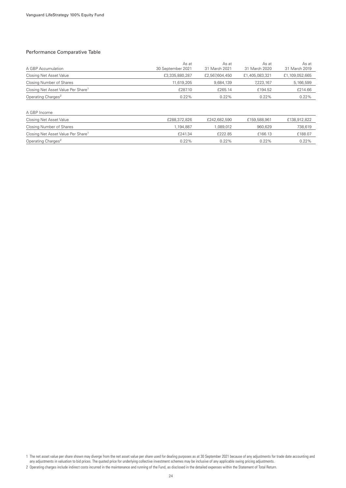#### Performance Comparative Table

| A GBP Accumulation                             | As at<br>30 September 2021 | As at<br>31 March 2021 | As at<br>31 March 2020 | As at<br>31 March 2019 |
|------------------------------------------------|----------------------------|------------------------|------------------------|------------------------|
| Closing Net Asset Value                        | £3,335,880,287             | £2,567,604,450         | £1,405,083,321         | £1,109,052,665         |
| Closing Number of Shares                       | 11.619.205                 | 9.684.139              | 7,223,167              | 5,166,599              |
| Closing Net Asset Value Per Share <sup>1</sup> | £287.10                    | £265.14                | £194.52                | £214.66                |
| Operating Charges <sup>2</sup>                 | 0.22%                      | 0.22%                  | 0.22%                  | 0.22%                  |
|                                                |                            |                        |                        |                        |
| A GBP Income                                   |                            |                        |                        |                        |
| Closing Net Asset Value                        | £288,372,826               | £242,682,590           | £159,588,961           | £138,912,822           |
| Closing Number of Shares                       | 1,194,887                  | 1,089,012              | 960.629                | 738,619                |
| Closing Net Asset Value Per Share <sup>1</sup> | £241.34                    | £222.85                | £166.13                | £188.07                |

Operating Charges<sup>2</sup> 0.22% 0.22% 0.22% 0.22% 0.22% 0.22% 0.22%

1 The net asset value per share shown may diverge from the net asset value per share used for dealing purposes as at 30 September 2021 because of any adjustments for trade date accounting and any adjustments in valuation to bid prices. The quoted price for underlying collective investment schemes may be inclusive of any applicable swing pricing adjustments.

<sup>2</sup> Operating charges include indirect costs incurred in the maintenance and running of the Fund, as disclosed in the detailed expenses within the Statement of Total Return.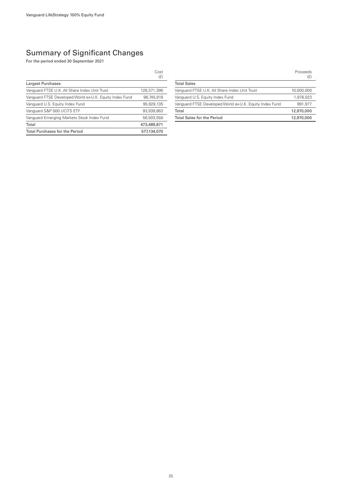### Summary of Significant Changes

For the period ended 30 September 2021

|                                                         | Cost<br>(E) |
|---------------------------------------------------------|-------------|
| Largest Purchases                                       |             |
| Vanguard FTSE U.K. All Share Index Unit Trust           | 128,371,396 |
| Vanguard FTSE Developed World ex-U.K. Equity Index Fund | 98,745,919  |
| Vanquard U.S. Equity Index Fund                         | 95,929,135  |
| Vanguard S&P 500 UCITS ETF                              | 93,939,863  |
| Vanguard Emerging Markets Stock Index Fund              | 56,503,558  |
| Total                                                   | 473,489,871 |
| <b>Total Purchases for the Period</b>                   | 577.134.070 |

|                                                         | Proceeds<br>(£) |
|---------------------------------------------------------|-----------------|
| <b>Total Sales</b>                                      |                 |
| Vanguard FTSE U.K. All Share Index Unit Trust           | 10,000,000      |
| Vanguard U.S. Equity Index Fund                         | 1.978.023       |
| Vanquard FTSE Developed World ex-U.K. Equity Index Fund | 991.977         |
| Total                                                   | 12,970,000      |
| <b>Total Sales for the Period</b>                       | 12,970,000      |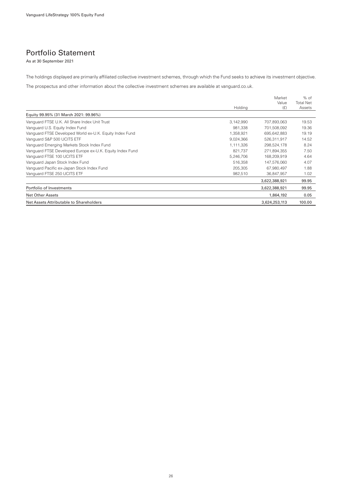### Portfolio Statement

As at 30 September 2021

The holdings displayed are primarily affiliated collective investment schemes, through which the Fund seeks to achieve its investment objective.

The prospectus and other information about the collective investment schemes are available at vanguard.co.uk.

|                                                          |           | Market        | % of             |
|----------------------------------------------------------|-----------|---------------|------------------|
|                                                          |           | Value         | <b>Total Net</b> |
|                                                          | Holding   | (E)           | Assets           |
| Equity 99.95% (31 March 2021: 99.96%)                    |           |               |                  |
| Vanguard FTSE U.K. All Share Index Unit Trust            | 3,142,990 | 707,893,063   | 19.53            |
| Vanguard U.S. Equity Index Fund                          | 981.338   | 701.508.092   | 19.36            |
| Vanguard FTSE Developed World ex-U.K. Equity Index Fund  | 1,358,921 | 695,642,883   | 19.19            |
| Vanguard S&P 500 UCITS ETF                               | 9,024,366 | 526,311,917   | 14.52            |
| Vanguard Emerging Markets Stock Index Fund               | 1,111,326 | 298,524,178   | 8.24             |
| Vanguard FTSE Developed Europe ex-U.K. Equity Index Fund | 821,737   | 271,894,355   | 7.50             |
| Vanguard FTSE 100 UCITS ETF                              | 5,246,706 | 168,209,919   | 4.64             |
| Vanguard Japan Stock Index Fund                          | 516,358   | 147,576,060   | 4.07             |
| Vanguard Pacific ex-Japan Stock Index Fund               | 205,305   | 67,980,497    | 1.88             |
| Vanguard FTSE 250 UCITS ETF                              | 982.510   | 36,847,957    | 1.02             |
|                                                          |           | 3,622,388,921 | 99.95            |
| Portfolio of Investments                                 |           | 3,622,388,921 | 99.95            |
| <b>Net Other Assets</b>                                  |           | 1,864,192     | 0.05             |
| Net Assets Attributable to Shareholders                  |           | 3,624,253,113 | 100.00           |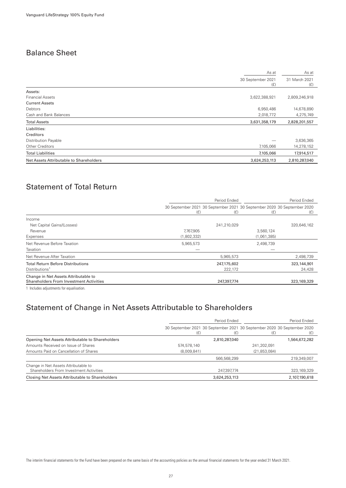### Balance Sheet

| As at                                                    | As at                |  |
|----------------------------------------------------------|----------------------|--|
| 30 September 2021<br>(E)                                 | 31 March 2021<br>(E) |  |
| Assets:                                                  |                      |  |
| 3,622,388,921<br><b>Financial Assets</b>                 | 2,809,246,918        |  |
| <b>Current Assets</b>                                    |                      |  |
| Debtors<br>6,950,486                                     | 14,678,890           |  |
| Cash and Bank Balances<br>2,018,772                      | 4,275,749            |  |
| <b>Total Assets</b><br>3,631,358,179                     | 2,828,201,557        |  |
| Liabilities:                                             |                      |  |
| Creditors                                                |                      |  |
| Distribution Payable                                     | 3,636,365            |  |
| Other Creditors<br>7,105,066                             | 14,278,152           |  |
| <b>Total Liabilities</b><br>7,105,066                    | 17,914,517           |  |
| Net Assets Attributable to Shareholders<br>3,624,253,113 | 2,810,287,040        |  |

### Statement of Total Return

|                                                                                        | Period Ended                                                                   |             | Period Ended |             |
|----------------------------------------------------------------------------------------|--------------------------------------------------------------------------------|-------------|--------------|-------------|
|                                                                                        | 30 September 2021 30 September 2021 30 September 2020 30 September 2020<br>(E) | (E)         | (E)          | (E)         |
| Income                                                                                 |                                                                                |             |              |             |
| Net Capital Gains/(Losses)                                                             |                                                                                | 241,210,029 |              | 320,646,162 |
| Revenue                                                                                | 7,767,905                                                                      |             | 3,560,124    |             |
| Expenses                                                                               | (1,802,332)                                                                    |             | (1,061,385)  |             |
| Net Revenue Before Taxation                                                            | 5,965,573                                                                      |             | 2,498,739    |             |
| Taxation                                                                               |                                                                                |             |              |             |
| Net Revenue After Taxation                                                             |                                                                                | 5,965,573   |              | 2,498,739   |
| <b>Total Return Before Distributions</b>                                               |                                                                                | 247,175,602 |              | 323,144,901 |
| Distributions <sup>1</sup>                                                             |                                                                                | 222,172     |              | 24,428      |
| Change in Net Assets Attributable to<br><b>Shareholders From Investment Activities</b> |                                                                                | 247,397,774 |              | 323,169,329 |
|                                                                                        |                                                                                |             |              |             |

1 Includes adjustments for equalisation.

### Statement of Change in Net Assets Attributable to Shareholders

|                                                                                 | Period Ended |                                                                                | Period Ended   |               |
|---------------------------------------------------------------------------------|--------------|--------------------------------------------------------------------------------|----------------|---------------|
|                                                                                 | (E)          | 30 September 2021 30 September 2021 30 September 2020 30 September 2020<br>(E) | (£)            | (£)           |
| Opening Net Assets Attributable to Shareholders                                 |              | 2.810.287.040                                                                  |                | 1,564,672,282 |
| Amounts Received on Issue of Shares                                             | 574,578,140  |                                                                                | 241.202.091    |               |
| Amounts Paid on Cancellation of Shares                                          | (8,009,841)  |                                                                                | (21, 853, 084) |               |
|                                                                                 |              | 566,568,299                                                                    |                | 219,349,007   |
| Change in Net Assets Attributable to<br>Shareholders From Investment Activities |              | 247,397,774                                                                    |                | 323,169,329   |
| Closing Net Assets Attributable to Shareholders                                 |              | 3,624,253,113                                                                  |                | 2,107,190,618 |

The interim financial statements for the Fund have been prepared on the same basis of the accounting policies as the annual financial statements for the year ended 31 March 2021.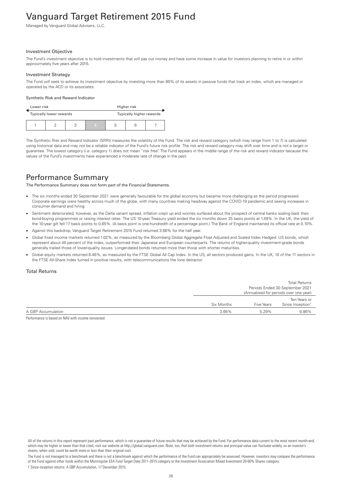# <span id="page-29-0"></span>Vanguard Target Retirement 2015 Fund

Managed by Vanguard Global Advisers, LLC.

#### Investment Objective

The Fund's investment objective is to hold investments that will pay out money and have some increase in value for investors planning to retire in or within approximately five years after 2015.

#### Investment Strategy

The Fund will seek to achieve its investment objective by investing more than 80% of its assets in passive funds that track an index, which are managed or operated by the ACD or its associates.

#### Synthetic Risk and Reward Indicator

| Lower risk              |  |                          |   | Higher risk |  |  |  |
|-------------------------|--|--------------------------|---|-------------|--|--|--|
| Typically lower rewards |  | Typically higher rewards |   |             |  |  |  |
|                         |  | 4                        | b |             |  |  |  |

The Synthetic Risk and Reward Indicator (SRRI) measures the volatility of the Fund. The risk and reward category (which may range from 1 to 7) is calculated using historical data and may not be a reliable indicator of the Fund's future risk profile. The risk and reward category may shift over time and is not a target or guarantee. The lowest category (i.e. category 1) does not mean "risk free". The Fund appears in the middle range of the risk and reward indicator because the values of the Fund's investments have experienced a moderate rate of change in the past.

### Performance Summary

The Performance Summary does not form part of the Financial Statements.

- The six months ended 30 September 2021 were generally favourable for the global economy but became more challenging as the period progressed. Corporate earnings were healthy across much of the globe, with many countries making headway against the COVID-19 pandemic and seeing increases in consumer demand and hiring.
- Sentiment deteriorated, however, as the Delta variant spread, inflation crept up and worries surfaced about the prospect of central banks scaling back their bond-buying programmes or raising interest rates. The US 10-year Treasury yield ended the six months down 25 basis points at 1.49%. In the UK, the yield of the 10-year gilt fell 17 basis points to 0.85%. (A basis point is one-hundredth of a percentage point.) The Bank of England maintained its official rate at 0.10%.
- Against this backdrop, Vanguard Target Retirement 2015 Fund returned 3.66% for the half year.
- Global fixed income markets returned 1.02%, as measured by the Bloomberg Global Aggregate Float Adjusted and Scaled Index Hedged. US bonds, which represent about 40 percent of the index, outperformed their Japanese and European counterparts. The returns of higher-quality investment-grade bonds generally trailed those of lower-quality issues. Longer-dated bonds returned more than those with shorter maturities.
- Global equity markets returned 8.46%, as measured by the FTSE Global All Cap Index. In the US, all sectors produced gains. In the UK, 10 of the 11 sectors in the FTSE All-Share Index turned in positive results, with telecommunications the lone detractor.

#### Total Returns

|                    |            |                   | <b>Total Returns</b><br>Periods Ended 30 September 2021<br>(Annualised for periods over one year) |
|--------------------|------------|-------------------|---------------------------------------------------------------------------------------------------|
|                    | Six Months | <b>Five Years</b> | Ten Years or<br>Since Inception <sup>1</sup>                                                      |
| A GBP Accumulation | 3.66%      | 5.29%             | 6.86%                                                                                             |

Performance is based on NAV with income reinvested.

All of the returns in this report represent past performance, which is not a guarantee of future results that may be achieved by the Fund. For performance data current to the most recent month-end, which may be higher or lower than that cited, visit our website at http://global.vanguard.com. Note, too, that both investment returns and principal value can fluctuate widely, so an investor's shares, when sold, could be worth more or less than their original cost.

The Fund is not managed to a benchmark and there is not a benchmark against which the performance of the Fund can appropriately be assessed. However, investors may compare the performance of the Fund against other funds within the Morningstar EEA Fund Target Date 2011-2015 category or the Investment Association Mixed Investment 20-60% Shares category. 1 Since-inception returns: A GBP Accumulation, 17 December 2015.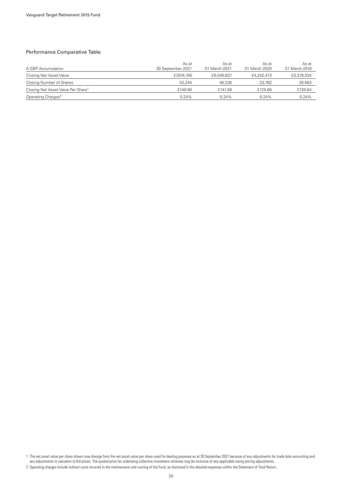#### Performance Comparative Table

| A GBP Accumulation                             | As at<br>30 September 2021 | As at<br>31 March 2021 | As at<br>31 March 2020 | As at<br>31 March 2019 |
|------------------------------------------------|----------------------------|------------------------|------------------------|------------------------|
| Closing Net Asset Value                        | £7.674,746                 | £6,546,837             | £4,242,413             | £3,379,034             |
| Closing Number of Shares                       | 52.244                     | 46.238                 | 33,762                 | 26,683                 |
| Closing Net Asset Value Per Share <sup>1</sup> | £146.90                    | £141.59                | £125.66                | £126.64                |
| Operating Charges <sup>2</sup>                 | 0.24%                      | 0.24%                  | $0.24\%$               | 0.24%                  |

1 The net asset value per share shown may diverge from the net asset value per share used for dealing purposes as at 30 September 2021 because of any adjustments for trade date accounting and any adjustments in valuation to bid prices. The quoted price for underlying collective investment schemes may be inclusive of any applicable swing pricing adjustments.

<sup>2</sup> Operating charges include indirect costs incurred in the maintenance and running of the Fund, as disclosed in the detailed expenses within the Statement of Total Return.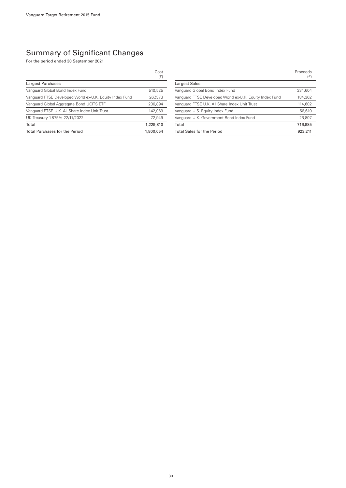### Summary of Significant Changes

For the period ended 30 September 2021

|                                                         | Cost<br>(E) |
|---------------------------------------------------------|-------------|
| Largest Purchases                                       |             |
| Vanguard Global Bond Index Fund                         | 510.525     |
| Vanguard FTSE Developed World ex-U.K. Equity Index Fund | 267.373     |
| Vanguard Global Aggregate Bond UCITS ETF                | 236,894     |
| Vanguard FTSE U.K. All Share Index Unit Trust           | 142,069     |
| UK Treasury 1.875% 22/11/2022                           | 72.949      |
| Total                                                   | 1,229,810   |
| <b>Total Purchases for the Period</b>                   | 1.800.054   |

|                                                         | Proceeds<br>(E) |
|---------------------------------------------------------|-----------------|
| <b>Largest Sales</b>                                    |                 |
| Vanguard Global Bond Index Fund                         | 334,604         |
| Vanguard FTSE Developed World ex-U.K. Equity Index Fund | 184.362         |
| Vanguard FTSE U.K. All Share Index Unit Trust           | 114,602         |
| Vanguard U.S. Equity Index Fund                         | 56,610          |
| Vanguard U.K. Government Bond Index Fund                | 26,807          |
| Total                                                   | 716,985         |
| <b>Total Sales for the Period</b>                       | 923,211         |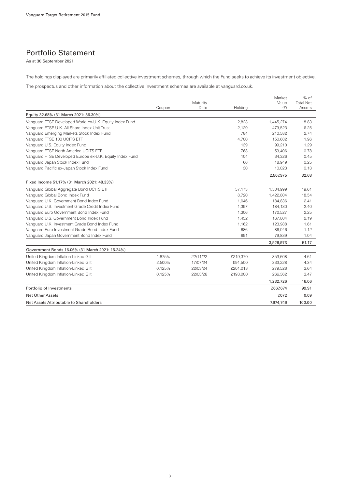### Portfolio Statement

As at 30 September 2021

The holdings displayed are primarily affiliated collective investment schemes, through which the Fund seeks to achieve its investment objective.

The prospectus and other information about the collective investment schemes are available at vanguard.co.uk.

|                                                          |        |                  |          | Market       | $%$ of                     |
|----------------------------------------------------------|--------|------------------|----------|--------------|----------------------------|
|                                                          | Coupon | Maturity<br>Date | Holding  | Value<br>(E) | <b>Total Net</b><br>Assets |
| Equity 32.68% (31 March 2021: 36.30%)                    |        |                  |          |              |                            |
| Vanguard FTSE Developed World ex-U.K. Equity Index Fund  |        |                  | 2,823    | 1,445,274    | 18.83                      |
| Vanquard FTSE U.K. All Share Index Unit Trust            |        |                  | 2.129    | 479,523      | 6.25                       |
| Vanguard Emerging Markets Stock Index Fund               |        |                  | 784      | 210,582      | 2.74                       |
| Vanquard FTSE 100 UCITS ETF                              |        |                  | 4.700    | 150,682      | 1.96                       |
| Vanguard U.S. Equity Index Fund                          |        |                  | 139      | 99,210       | 1.29                       |
| Vanquard FTSE North America UCITS ETF                    |        |                  | 768      | 59,406       | 0.78                       |
| Vanquard FTSE Developed Europe ex-U.K. Equity Index Fund |        |                  | 104      | 34,326       | 0.45                       |
| Vanguard Japan Stock Index Fund                          |        |                  | 66       | 18,949       | 0.25                       |
| Vanguard Pacific ex-Japan Stock Index Fund               |        |                  | 30       | 10,023       | 0.13                       |
|                                                          |        |                  |          | 2,507,975    | 32.68                      |
| Fixed Income 51.17% (31 March 2021: 48.33%)              |        |                  |          |              |                            |
| Vanguard Global Aggregate Bond UCITS ETF                 |        |                  | 57,173   | 1,504,999    | 19.61                      |
| Vanguard Global Bond Index Fund                          |        |                  | 8,720    | 1,422,804    | 18.54                      |
| Vanguard U.K. Government Bond Index Fund                 |        |                  | 1.046    | 184,836      | 2.41                       |
| Vanquard U.S. Investment Grade Credit Index Fund         |        |                  | 1.397    | 184,130      | 2.40                       |
| Vanguard Euro Government Bond Index Fund                 |        |                  | 1,306    | 172,527      | 2.25                       |
| Vanguard U.S. Government Bond Index Fund                 |        |                  | 1,452    | 167,804      | 2.19                       |
| Vanguard U.K. Investment Grade Bond Index Fund           |        |                  | 1,162    | 123,988      | 1.61                       |
| Vanquard Euro Investment Grade Bond Index Fund           |        |                  | 686      | 86,046       | 1.12                       |
| Vanguard Japan Government Bond Index Fund                |        |                  | 691      | 79,839       | 1.04                       |
|                                                          |        |                  |          | 3.926.973    | 51.17                      |
| Government Bonds 16.06% (31 March 2021: 15.24%)          |        |                  |          |              |                            |
| United Kingdom Inflation-Linked Gilt                     | 1.875% | 22/11/22         | £219,370 | 353,608      | 4.61                       |
| United Kingdom Inflation-Linked Gilt                     | 2.500% | 17/07/24         | £91,500  | 333,228      | 4.34                       |
| United Kingdom Inflation-Linked Gilt                     | 0.125% | 22/03/24         | £201,013 | 279,528      | 3.64                       |
| United Kingdom Inflation-Linked Gilt                     | 0.125% | 22/03/26         | £193,000 | 266,362      | 3.47                       |
|                                                          |        |                  |          | 1,232,726    | 16.06                      |
| Portfolio of Investments                                 |        |                  |          | 7.667.674    | 99.91                      |
| <b>Net Other Assets</b>                                  |        |                  |          | 7,072        | 0.09                       |
| Net Assets Attributable to Shareholders                  |        |                  |          | 7.674,746    | 100.00                     |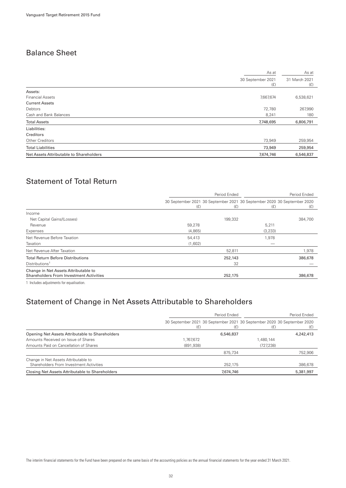### Balance Sheet

|                                         | As at                    |                      |  |
|-----------------------------------------|--------------------------|----------------------|--|
|                                         | 30 September 2021<br>(E) | 31 March 2021<br>(f) |  |
| Assets:                                 |                          |                      |  |
| <b>Financial Assets</b>                 | 7,667,674                | 6,538,621            |  |
| <b>Current Assets</b>                   |                          |                      |  |
| Debtors                                 | 72,780                   | 267,990              |  |
| Cash and Bank Balances                  | 8,241                    | 180                  |  |
| <b>Total Assets</b>                     | 7,748,695                | 6,806,791            |  |
| Liabilities:                            |                          |                      |  |
| Creditors                               |                          |                      |  |
| <b>Other Creditors</b>                  | 73,949                   | 259,954              |  |
| <b>Total Liabilities</b>                | 73,949                   | 259,954              |  |
| Net Assets Attributable to Shareholders | 7,674,746                | 6,546,837            |  |

### Statement of Total Return

|                                                                                        | Period Ended |         |                                                                                | Period Ended |  |
|----------------------------------------------------------------------------------------|--------------|---------|--------------------------------------------------------------------------------|--------------|--|
|                                                                                        | (E)          | (E)     | 30 September 2021 30 September 2021 30 September 2020 30 September 2020<br>(E) | (E)          |  |
| Income                                                                                 |              |         |                                                                                |              |  |
| Net Capital Gains/(Losses)                                                             |              | 199,332 |                                                                                | 384,700      |  |
| Revenue                                                                                | 59,278       |         | 5,211                                                                          |              |  |
| Expenses                                                                               | (4,865)      |         | (3,233)                                                                        |              |  |
| Net Revenue Before Taxation                                                            | 54,413       |         | 1,978                                                                          |              |  |
| Taxation                                                                               | (1,602)      |         |                                                                                |              |  |
| Net Revenue After Taxation                                                             |              | 52,811  |                                                                                | 1,978        |  |
| <b>Total Return Before Distributions</b>                                               |              | 252,143 |                                                                                | 386,678      |  |
| Distributions <sup>1</sup>                                                             |              | 32      |                                                                                |              |  |
| Change in Net Assets Attributable to<br><b>Shareholders From Investment Activities</b> |              | 252,175 |                                                                                | 386,678      |  |
|                                                                                        |              |         |                                                                                |              |  |

1 Includes adjustments for equalisation.

### Statement of Change in Net Assets Attributable to Shareholders

|                                                                                 | Period Ended |           |                                                                                | Period Ended |
|---------------------------------------------------------------------------------|--------------|-----------|--------------------------------------------------------------------------------|--------------|
|                                                                                 | (£)          | (£)       | 30 September 2021 30 September 2021 30 September 2020 30 September 2020<br>(f) |              |
| Opening Net Assets Attributable to Shareholders                                 |              | 6,546,837 |                                                                                | 4,242,413    |
| Amounts Received on Issue of Shares                                             | 1,767,672    |           | .480.144                                                                       |              |
| Amounts Paid on Cancellation of Shares                                          | (891, 938)   |           | (727, 238)                                                                     |              |
|                                                                                 |              | 875,734   |                                                                                | 752,906      |
| Change in Net Assets Attributable to<br>Shareholders From Investment Activities |              | 252.175   |                                                                                | 386,678      |
| Closing Net Assets Attributable to Shareholders                                 |              | 7,674,746 |                                                                                | 5,381,997    |

The interim financial statements for the Fund have been prepared on the same basis of the accounting policies as the annual financial statements for the year ended 31 March 2021.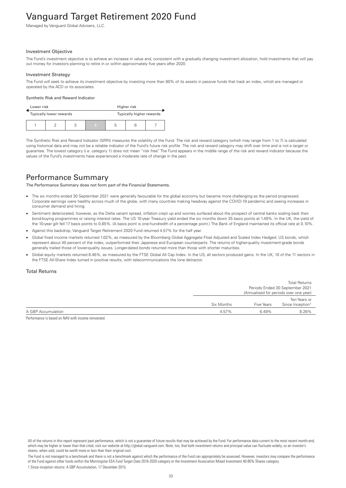# <span id="page-34-0"></span>Vanguard Target Retirement 2020 Fund

Managed by Vanguard Global Advisers, LLC.

#### Investment Objective

The Fund's investment objective is to achieve an increase in value and, consistent with a gradually changing investment allocation, hold investments that will pay out money for investors planning to retire in or within approximately five years after 2020.

#### Investment Strategy

The Fund will seek to achieve its investment objective by investing more than 80% of its assets in passive funds that track an index, which are managed or operated by the ACD or its associates.

#### Synthetic Risk and Reward Indicator

| Lower risk |                         |  | Higher risk |                          |   |  |  |
|------------|-------------------------|--|-------------|--------------------------|---|--|--|
|            | Typically lower rewards |  |             | Typically higher rewards |   |  |  |
|            |                         |  |             | 4                        | b |  |  |

The Synthetic Risk and Reward Indicator (SRRI) measures the volatility of the Fund. The risk and reward category (which may range from 1 to 7) is calculated using historical data and may not be a reliable indicator of the Fund's future risk profile. The risk and reward category may shift over time and is not a target or guarantee. The lowest category (i.e. category 1) does not mean "risk free". The Fund appears in the middle range of the risk and reward indicator because the values of the Fund's investments have experienced a moderate rate of change in the past.

### Performance Summary

The Performance Summary does not form part of the Financial Statements.

- The six months ended 30 September 2021 were generally favourable for the global economy but became more challenging as the period progressed. Corporate earnings were healthy across much of the globe, with many countries making headway against the COVID-19 pandemic and seeing increases in consumer demand and hiring.
- Sentiment deteriorated, however, as the Delta variant spread, inflation crept up and worries surfaced about the prospect of central banks scaling back their bond-buying programmes or raising interest rates. The US 10-year Treasury yield ended the six months down 25 basis points at 1.49%. In the UK, the yield of the 10-year gilt fell 17 basis points to 0.85%. (A basis point is one-hundredth of a percentage point.) The Bank of England maintained its official rate at 0.10%.
- Against this backdrop, Vanguard Target Retirement 2020 Fund returned 4.57% for the half year.
- Global fixed income markets returned 1.02%, as measured by the Bloomberg Global Aggregate Float Adjusted and Scaled Index Hedged. US bonds, which represent about 40 percent of the index, outperformed their Japanese and European counterparts. The returns of higher-quality investment-grade bonds generally trailed those of lower-quality issues. Longer-dated bonds returned more than those with shorter maturities.
- Global equity markets returned 8.46%, as measured by the FTSE Global All Cap Index. In the US, all sectors produced gains. In the UK, 10 of the 11 sectors in the FTSE All-Share Index turned in positive results, with telecommunications the lone detractor.

#### Total Returns

|                    |            |                   | <b>Total Returns</b>                   |
|--------------------|------------|-------------------|----------------------------------------|
|                    |            |                   | Periods Ended 30 September 2021        |
|                    |            |                   | (Annualised for periods over one year) |
|                    |            |                   | Ten Years or                           |
|                    | Six Months | <b>Five Years</b> | Since Inception <sup>1</sup>           |
| A GBP Accumulation | 4.57%      | 6.49%             | 8.26%                                  |
|                    |            |                   |                                        |

Performance is based on NAV with income reinvested.

All of the returns in this report represent past performance, which is not a guarantee of future results that may be achieved by the Fund. For performance data current to the most recent month-end, which may be higher or lower than that cited, visit our website at http://global.vanguard.com. Note, too, that both investment returns and principal value can fluctuate widely, so an investor's shares, when sold, could be worth more or less than their original cost.

The Fund is not managed to a benchmark and there is not a benchmark against which the performance of the Fund can appropriately be assessed. However, investors may compare the performance of the Fund against other funds within the Morningstar EEA Fund Target Date 2016-2020 category or the Investment Association Mixed Investment 40-85% Shares category. 1 Since-inception returns: A GBP Accumulation, 17 December 2015.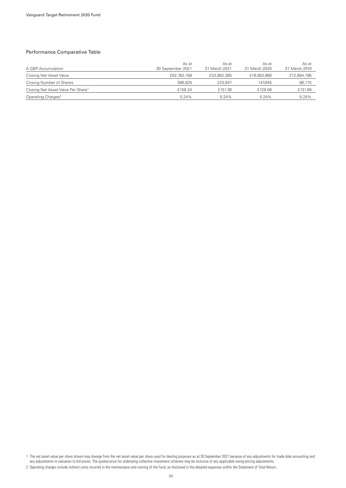#### Performance Comparative Table

| A GBP Accumulation                             | As at<br>30 September 2021 | As at<br>31 March 2021 | As at<br>31 March 2020 | As at<br>31 March 2019 |
|------------------------------------------------|----------------------------|------------------------|------------------------|------------------------|
| Closing Net Asset Value                        | £62,762,169                | £33,882,365            | £19,083,966            | £12,694,196            |
| Closing Number of Shares                       | 396.625                    | 223.847                | 147.845                | 96,175                 |
| Closing Net Asset Value Per Share <sup>1</sup> | £158.24                    | £151.36                | £129.08                | £131.99                |
| Operating Charges <sup>2</sup>                 | 0.24%                      | 0.24%                  | $0.24\%$               | 0.24%                  |

1 The net asset value per share shown may diverge from the net asset value per share used for dealing purposes as at 30 September 2021 because of any adjustments for trade date accounting and any adjustments in valuation to bid prices. The quoted price for underlying collective investment schemes may be inclusive of any applicable swing pricing adjustments.

<sup>2</sup> Operating charges include indirect costs incurred in the maintenance and running of the Fund, as disclosed in the detailed expenses within the Statement of Total Return.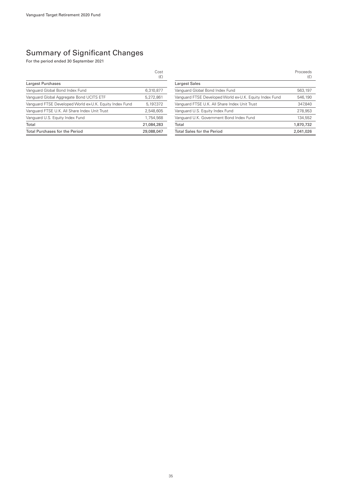|                                                         | Cost<br>(E) |
|---------------------------------------------------------|-------------|
| Largest Purchases                                       |             |
| Vanguard Global Bond Index Fund                         | 6,310,877   |
| Vanguard Global Aggregate Bond UCITS ETF                | 5.272.861   |
| Vanguard FTSE Developed World ex-U.K. Equity Index Fund | 5,197,372   |
| Vanguard FTSE U.K. All Share Index Unit Trust           | 2,548,605   |
| Vanguard U.S. Equity Index Fund                         | 1.754.568   |
| Total                                                   | 21.084.283  |
| <b>Total Purchases for the Period</b>                   | 29,088,047  |

|                                                         | Proceeds<br>(E) |
|---------------------------------------------------------|-----------------|
| <b>Largest Sales</b>                                    |                 |
| Vanguard Global Bond Index Fund                         | 563,197         |
| Vanguard FTSE Developed World ex-U.K. Equity Index Fund | 546,190         |
| Vanguard FTSE U.K. All Share Index Unit Trust           | 347.840         |
| Vanguard U.S. Equity Index Fund                         | 278,953         |
| Vanguard U.K. Government Bond Index Fund                | 134,552         |
| Total                                                   | 1,870,732       |
| <b>Total Sales for the Period</b>                       | 2.041.026       |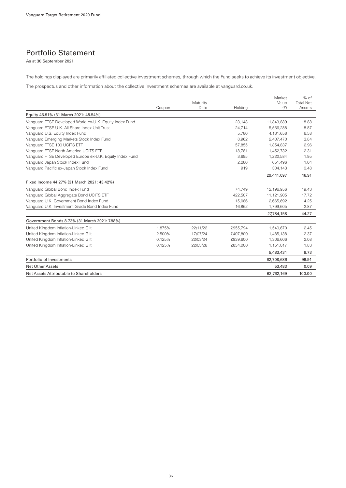## Portfolio Statement

As at 30 September 2021

The holdings displayed are primarily affiliated collective investment schemes, through which the Fund seeks to achieve its investment objective.

The prospectus and other information about the collective investment schemes are available at vanguard.co.uk.

|                                                          |        |          |          | Market     | $%$ of           |
|----------------------------------------------------------|--------|----------|----------|------------|------------------|
|                                                          |        | Maturity |          | Value      | <b>Total Net</b> |
|                                                          | Coupon | Date     | Holding  | (E)        | Assets           |
| Equity 46.91% (31 March 2021: 48.54%)                    |        |          |          |            |                  |
| Vanguard FTSE Developed World ex-U.K. Equity Index Fund  |        |          | 23.148   | 11,849,889 | 18.88            |
| Vanguard FTSE U.K. All Share Index Unit Trust            |        |          | 24,714   | 5,566,288  | 8.87             |
| Vanquard U.S. Equity Index Fund                          |        |          | 5,780    | 4,131,658  | 6.58             |
| Vanguard Emerging Markets Stock Index Fund               |        |          | 8,962    | 2,407,470  | 3.84             |
| Vanguard FTSE 100 UCITS ETF                              |        |          | 57.855   | 1.854.837  | 2.96             |
| Vanquard FTSE North America UCITS ETF                    |        |          | 18,781   | 1,452,732  | 2.31             |
| Vanguard FTSE Developed Europe ex-U.K. Equity Index Fund |        |          | 3,695    | 1,222,584  | 1.95             |
| Vanguard Japan Stock Index Fund                          |        |          | 2,280    | 651,496    | 1.04             |
| Vanguard Pacific ex-Japan Stock Index Fund               |        |          | 919      | 304,143    | 0.48             |
|                                                          |        |          |          | 29,441,097 | 46.91            |
| Fixed Income 44.27% (31 March 2021: 43.42%)              |        |          |          |            |                  |
| Vanguard Global Bond Index Fund                          |        |          | 74,749   | 12,196,956 | 19.43            |
| Vanguard Global Aggregate Bond UCITS ETF                 |        |          | 422,507  | 11,121,905 | 17.72            |
| Vanguard U.K. Government Bond Index Fund                 |        |          | 15,086   | 2,665,692  | 4.25             |
| Vanguard U.K. Investment Grade Bond Index Fund           |        |          | 16,862   | 1,799,605  | 2.87             |
|                                                          |        |          |          | 27,784,158 | 44.27            |
| Government Bonds 8.73% (31 March 2021: 7.98%)            |        |          |          |            |                  |
| United Kingdom Inflation-Linked Gilt                     | 1.875% | 22/11/22 | £955,794 | 1,540,670  | 2.45             |
| United Kingdom Inflation-Linked Gilt                     | 2.500% | 17/07/24 | £407.800 | 1,485,138  | 2.37             |
| United Kingdom Inflation-Linked Gilt                     | 0.125% | 22/03/24 | £939,600 | 1,306,606  | 2.08             |
| United Kingdom Inflation-Linked Gilt                     | 0.125% | 22/03/26 | £834,000 | 1,151,017  | 1.83             |
|                                                          |        |          |          | 5,483,431  | 8.73             |
| Portfolio of Investments                                 |        |          |          | 62,708,686 | 99.91            |
| <b>Net Other Assets</b>                                  |        |          |          | 53,483     | 0.09             |
| Net Assets Attributable to Shareholders                  |        |          |          | 62.762.169 | 100.00           |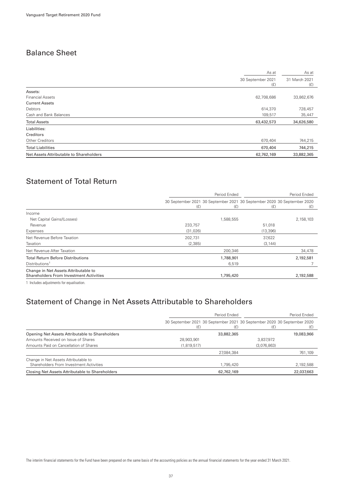## Balance Sheet

|                                         | As at                    | As at                |
|-----------------------------------------|--------------------------|----------------------|
|                                         | 30 September 2021<br>(E) | 31 March 2021<br>(f) |
| Assets:                                 |                          |                      |
| <b>Financial Assets</b>                 | 62,708,686               | 33,862,676           |
| <b>Current Assets</b>                   |                          |                      |
| Debtors                                 | 614,370                  | 728,457              |
| Cash and Bank Balances                  | 109,517                  | 35,447               |
| <b>Total Assets</b>                     | 63,432,573               | 34,626,580           |
| Liabilities:                            |                          |                      |
| Creditors                               |                          |                      |
| Other Creditors                         | 670,404                  | 744,215              |
| <b>Total Liabilities</b>                | 670,404                  | 744,215              |
| Net Assets Attributable to Shareholders | 62,762,169               | 33,882,365           |
|                                         |                          |                      |

# Statement of Total Return

|                                                                                        |                                                                                | Period Ended |           |           |
|----------------------------------------------------------------------------------------|--------------------------------------------------------------------------------|--------------|-----------|-----------|
|                                                                                        | 30 September 2021 30 September 2021 30 September 2020 30 September 2020<br>(E) | (E)          | (E)       | (E)       |
| Income                                                                                 |                                                                                |              |           |           |
| Net Capital Gains/(Losses)                                                             |                                                                                | 1,588,555    |           | 2,158,103 |
| Revenue                                                                                | 233,757                                                                        |              | 51,018    |           |
| Expenses                                                                               | (31, 026)                                                                      |              | (13, 396) |           |
| Net Revenue Before Taxation                                                            | 202,731                                                                        |              | 37,622    |           |
| Taxation                                                                               | (2,385)                                                                        |              | (3, 144)  |           |
| Net Revenue After Taxation                                                             |                                                                                | 200,346      |           | 34,478    |
| <b>Total Return Before Distributions</b>                                               |                                                                                | 1,788,901    |           | 2,192,581 |
| Distributions <sup>1</sup>                                                             |                                                                                | 6,519        |           |           |
| Change in Net Assets Attributable to<br><b>Shareholders From Investment Activities</b> |                                                                                | 1,795,420    |           | 2,192,588 |
|                                                                                        |                                                                                |              |           |           |

1 Includes adjustments for equalisation.

### Statement of Change in Net Assets Attributable to Shareholders

|                                                                                 | Period Ended |            |                                                                                | Period Ended |  |
|---------------------------------------------------------------------------------|--------------|------------|--------------------------------------------------------------------------------|--------------|--|
|                                                                                 | (£)          | (E)        | 30 September 2021 30 September 2021 30 September 2020 30 September 2020<br>(£) |              |  |
| Opening Net Assets Attributable to Shareholders                                 |              | 33,882,365 |                                                                                | 19,083,966   |  |
| Amounts Received on Issue of Shares                                             | 28,903,901   |            | 3,837,972                                                                      |              |  |
| Amounts Paid on Cancellation of Shares                                          | (1,819,517)  |            | (3,076,863)                                                                    |              |  |
|                                                                                 |              | 27,084,384 |                                                                                | 761,109      |  |
| Change in Net Assets Attributable to<br>Shareholders From Investment Activities |              | 1,795,420  |                                                                                | 2,192,588    |  |
| Closing Net Assets Attributable to Shareholders                                 |              | 62,762,169 |                                                                                | 22,037,663   |  |

The interim financial statements for the Fund have been prepared on the same basis of the accounting policies as the annual financial statements for the year ended 31 March 2021.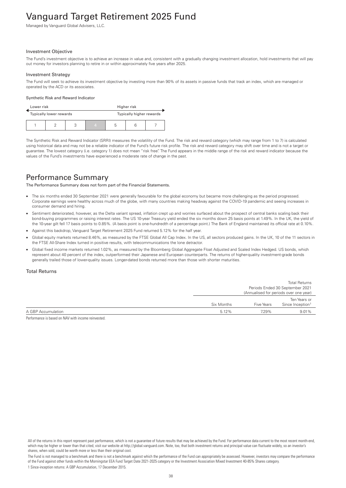# Vanguard Target Retirement 2025 Fund

Managed by Vanguard Global Advisers, LLC.

#### Investment Objective

The Fund's investment objective is to achieve an increase in value and, consistent with a gradually changing investment allocation, hold investments that will pay out money for investors planning to retire in or within approximately five years after 2025.

#### Investment Strategy

The Fund will seek to achieve its investment objective by investing more than 90% of its assets in passive funds that track an index, which are managed or operated by the ACD or its associates.

#### Synthetic Risk and Reward Indicator

| Lower risk | Higher risk             |  |                          |   |  |  |
|------------|-------------------------|--|--------------------------|---|--|--|
|            | Typically lower rewards |  | Typically higher rewards |   |  |  |
|            |                         |  | 4                        | b |  |  |

The Synthetic Risk and Reward Indicator (SRRI) measures the volatility of the Fund. The risk and reward category (which may range from 1 to 7) is calculated using historical data and may not be a reliable indicator of the Fund's future risk profile. The risk and reward category may shift over time and is not a target or guarantee. The lowest category (i.e. category 1) does not mean "risk free". The Fund appears in the middle range of the risk and reward indicator because the values of the Fund's investments have experienced a moderate rate of change in the past.

### Performance Summary

The Performance Summary does not form part of the Financial Statements.

- The six months ended 30 September 2021 were generally favourable for the global economy but became more challenging as the period progressed. Corporate earnings were healthy across much of the globe, with many countries making headway against the COVID-19 pandemic and seeing increases in consumer demand and hiring.
- Sentiment deteriorated, however, as the Delta variant spread, inflation crept up and worries surfaced about the prospect of central banks scaling back their bond-buying programmes or raising interest rates. The US 10-year Treasury yield ended the six months down 25 basis points at 1.49%. In the UK, the yield of the 10-year gilt fell 17 basis points to 0.85%. (A basis point is one-hundredth of a percentage point.) The Bank of England maintained its official rate at 0.10%.
- Against this backdrop, Vanguard Target Retirement 2025 Fund returned 5.12% for the half year.
- Global equity markets returned 8.46%, as measured by the FTSE Global All Cap Index. In the US, all sectors produced gains. In the UK, 10 of the 11 sectors in the FTSE All-Share Index turned in positive results, with telecommunications the lone detractor.
- Global fixed income markets returned 1.02%, as measured by the Bloomberg Global Aggregate Float Adjusted and Scaled Index Hedged. US bonds, which represent about 40 percent of the index, outperformed their Japanese and European counterparts. The returns of higher-quality investment-grade bonds generally trailed those of lower-quality issues. Longer-dated bonds returned more than those with shorter maturities.

### Total Returns

|                    |            | <b>Total Returns</b>                              |              |  |
|--------------------|------------|---------------------------------------------------|--------------|--|
|                    |            | Periods Ended 30 September 2021                   |              |  |
|                    |            | (Annualised for periods over one year)            |              |  |
|                    |            |                                                   | Ten Years or |  |
|                    | Six Months | Since Inception <sup>1</sup><br><b>Five Years</b> |              |  |
| A GBP Accumulation | 5.12%      | 7.29%                                             | 9.01%        |  |
|                    |            |                                                   |              |  |

Performance is based on NAV with income reinvested.

The Fund is not managed to a benchmark and there is not a benchmark against which the performance of the Fund can appropriately be assessed. However, investors may compare the performance of the Fund against other funds within the Morningstar EEA Fund Target Date 2021-2025 category or the Investment Association Mixed Investment 40-85% Shares category. 1 Since-inception returns: A GBP Accumulation, 17 December 2015.

All of the returns in this report represent past performance, which is not a guarantee of future results that may be achieved by the Fund. For performance data current to the most recent month-end, which may be higher or lower than that cited, visit our website at http://global.vanguard.com. Note, too, that both investment returns and principal value can fluctuate widely, so an investor's shares, when sold, could be worth more or less than their original cost.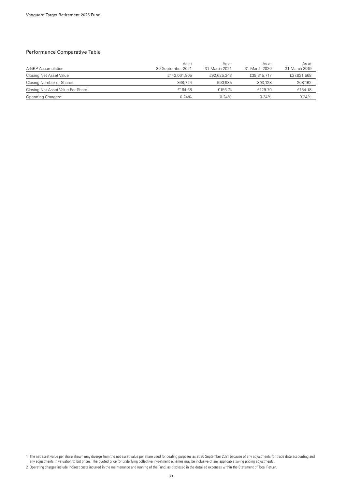### Performance Comparative Table

| A GBP Accumulation                             | As at<br>30 September 2021 | As at<br>31 March 2021 | As at<br>31 March 2020 | As at<br>31 March 2019 |
|------------------------------------------------|----------------------------|------------------------|------------------------|------------------------|
| Closing Net Asset Value                        | £143,061,805               | £92,625,343            | £39,315,717            | £27,931,568            |
| Closing Number of Shares                       | 868.724                    | 590.935                | 303,128                | 208,162                |
| Closing Net Asset Value Per Share <sup>1</sup> | £164.68                    | £156.74                | £129.70                | £134.18                |
| Operating Charges <sup>2</sup>                 | 0.24%                      | 0.24%                  | $0.24\%$               | 0.24%                  |

1 The net asset value per share shown may diverge from the net asset value per share used for dealing purposes as at 30 September 2021 because of any adjustments for trade date accounting and any adjustments in valuation to bid prices. The quoted price for underlying collective investment schemes may be inclusive of any applicable swing pricing adjustments.

<sup>2</sup> Operating charges include indirect costs incurred in the maintenance and running of the Fund, as disclosed in the detailed expenses within the Statement of Total Return.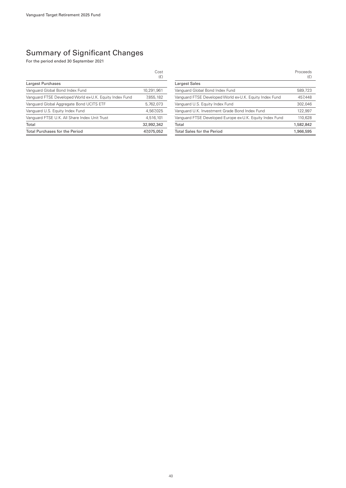|                                                         | Cost<br>(E) |
|---------------------------------------------------------|-------------|
| Largest Purchases                                       |             |
| Vanguard Global Bond Index Fund                         | 10,291,961  |
| Vanguard FTSE Developed World ex-U.K. Equity Index Fund | 7,855,182   |
| Vanguard Global Aggregate Bond UCITS ETF                | 5,762,073   |
| Vanguard U.S. Equity Index Fund                         | 4.567.025   |
| Vanguard FTSE U.K. All Share Index Unit Trust           | 4,516,101   |
| Total                                                   | 32.992.342  |
| <b>Total Purchases for the Period</b>                   | 47.075.052  |

|                                                          | Proceeds<br>(E) |
|----------------------------------------------------------|-----------------|
| Largest Sales                                            |                 |
| Vanguard Global Bond Index Fund                          | 589,723         |
| Vanguard FTSE Developed World ex-U.K. Equity Index Fund  | 457,448         |
| Vanguard U.S. Equity Index Fund                          | 302.046         |
| Vanguard U.K. Investment Grade Bond Index Fund           | 122,997         |
| Vanguard FTSE Developed Europe ex-U.K. Equity Index Fund | 110.628         |
| Total                                                    | 1,582,842       |
| <b>Total Sales for the Period</b>                        | 1,966,595       |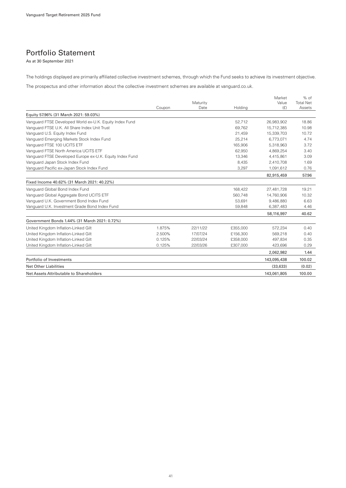## Portfolio Statement

As at 30 September 2021

The holdings displayed are primarily affiliated collective investment schemes, through which the Fund seeks to achieve its investment objective.

The prospectus and other information about the collective investment schemes are available at vanguard.co.uk.

|                                                          |        |          |          | Market      | $%$ of           |
|----------------------------------------------------------|--------|----------|----------|-------------|------------------|
|                                                          |        | Maturity |          | Value       | <b>Total Net</b> |
|                                                          | Coupon | Date     | Holding  | (E)         | Assets           |
| Equity 57.96% (31 March 2021: 59.03%)                    |        |          |          |             |                  |
| Vanguard FTSE Developed World ex-U.K. Equity Index Fund  |        |          | 52,712   | 26,983,902  | 18.86            |
| Vanguard FTSE U.K. All Share Index Unit Trust            |        |          | 69.762   | 15.712.385  | 10.98            |
| Vanguard U.S. Equity Index Fund                          |        |          | 21,459   | 15,339,703  | 10.72            |
| Vanguard Emerging Markets Stock Index Fund               |        |          | 25,214   | 6,773,071   | 4.74             |
| Vanguard FTSE 100 UCITS ETF                              |        |          | 165,906  | 5,318,963   | 3.72             |
| Vanquard FTSE North America UCITS ETF                    |        |          | 62.950   | 4,869,254   | 3.40             |
| Vanguard FTSE Developed Europe ex-U.K. Equity Index Fund |        |          | 13,346   | 4,415,861   | 3.09             |
| Vanguard Japan Stock Index Fund                          |        |          | 8,435    | 2,410,708   | 1.69             |
| Vanguard Pacific ex-Japan Stock Index Fund               |        |          | 3,297    | 1,091,612   | 0.76             |
|                                                          |        |          |          | 82,915,459  | 57.96            |
| Fixed Income 40.62% (31 March 2021: 40.22%)              |        |          |          |             |                  |
| Vanguard Global Bond Index Fund                          |        |          | 168,422  | 27,481,728  | 19.21            |
| Vanguard Global Aggregate Bond UCITS ETF                 |        |          | 560.748  | 14,760,906  | 10.32            |
| Vanguard U.K. Government Bond Index Fund                 |        |          | 53,691   | 9,486,880   | 6.63             |
| Vanguard U.K. Investment Grade Bond Index Fund           |        |          | 59,848   | 6,387,483   | 4.46             |
|                                                          |        |          |          | 58,116,997  | 40.62            |
| Government Bonds 1.44% (31 March 2021: 0.72%)            |        |          |          |             |                  |
| United Kingdom Inflation-Linked Gilt                     | 1.875% | 22/11/22 | £355,000 | 572,234     | 0.40             |
| United Kingdom Inflation-Linked Gilt                     | 2.500% | 17/07/24 | £156.300 | 569.218     | 0.40             |
| United Kingdom Inflation-Linked Gilt                     | 0.125% | 22/03/24 | £358,000 | 497,834     | 0.35             |
| United Kingdom Inflation-Linked Gilt                     | 0.125% | 22/03/26 | £307,000 | 423,696     | 0.29             |
|                                                          |        |          |          | 2,062,982   | 1.44             |
| Portfolio of Investments                                 |        |          |          | 143,095,438 | 100.02           |
| <b>Net Other Liabilities</b>                             |        |          |          | (33, 633)   | (0.02)           |
| Net Assets Attributable to Shareholders                  |        |          |          | 143.061.805 | 100.00           |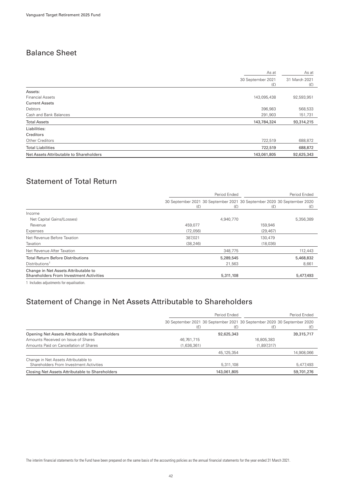## Balance Sheet

|                                         | As at                    | As at                |
|-----------------------------------------|--------------------------|----------------------|
|                                         | 30 September 2021<br>(E) | 31 March 2021<br>(f) |
| Assets:                                 |                          |                      |
| <b>Financial Assets</b>                 | 143,095,438              | 92,593,951           |
| <b>Current Assets</b>                   |                          |                      |
| Debtors                                 | 396,983                  | 568,533              |
| Cash and Bank Balances                  | 291,903                  | 151,731              |
| <b>Total Assets</b>                     | 143,784,324              | 93,314,215           |
| Liabilities:                            |                          |                      |
| Creditors                               |                          |                      |
| Other Creditors                         | 722,519                  | 688,872              |
| <b>Total Liabilities</b>                | 722,519                  | 688,872              |
| Net Assets Attributable to Shareholders | 143,061,805              | 92,625,343           |

# Statement of Total Return

|                                                                                        | Period Ended                                                                   |           |          | Period Ended |  |
|----------------------------------------------------------------------------------------|--------------------------------------------------------------------------------|-----------|----------|--------------|--|
|                                                                                        | 30 September 2021 30 September 2021 30 September 2020 30 September 2020<br>(E) | (E)       | (E)      | (E)          |  |
| Income                                                                                 |                                                                                |           |          |              |  |
| Net Capital Gains/(Losses)                                                             |                                                                                | 4,940,770 |          | 5,356,389    |  |
| Revenue                                                                                | 459,077                                                                        |           | 159,946  |              |  |
| Expenses                                                                               | (72.056)                                                                       |           | (29.467) |              |  |
| Net Revenue Before Taxation                                                            | 387,021                                                                        |           | 130,479  |              |  |
| Taxation                                                                               | (38, 246)                                                                      |           | (18,036) |              |  |
| Net Revenue After Taxation                                                             |                                                                                | 348,775   |          | 112,443      |  |
| <b>Total Return Before Distributions</b>                                               |                                                                                | 5,289,545 |          | 5,468,832    |  |
| Distributions <sup>1</sup>                                                             |                                                                                | 21,563    |          | 8,661        |  |
| Change in Net Assets Attributable to<br><b>Shareholders From Investment Activities</b> |                                                                                | 5,311,108 |          | 5,477,493    |  |
|                                                                                        |                                                                                |           |          |              |  |

1 Includes adjustments for equalisation.

### Statement of Change in Net Assets Attributable to Shareholders

|                                                                                 | Period Ended |             | Period Ended                                                                   |            |
|---------------------------------------------------------------------------------|--------------|-------------|--------------------------------------------------------------------------------|------------|
|                                                                                 | (E)          | (£)         | 30 September 2021 30 September 2021 30 September 2020 30 September 2020<br>(E) | (£)        |
| Opening Net Assets Attributable to Shareholders                                 |              | 92.625.343  |                                                                                | 39,315,717 |
| Amounts Received on Issue of Shares                                             | 46,761,715   |             | 16,805,383                                                                     |            |
| Amounts Paid on Cancellation of Shares                                          | (1,636,361)  |             | (1,897,317)                                                                    |            |
|                                                                                 |              | 45,125,354  |                                                                                | 14,908,066 |
| Change in Net Assets Attributable to<br>Shareholders From Investment Activities |              | 5,311,108   |                                                                                | 5,477,493  |
| Closing Net Assets Attributable to Shareholders                                 |              | 143,061,805 |                                                                                | 59,701,276 |

The interim financial statements for the Fund have been prepared on the same basis of the accounting policies as the annual financial statements for the year ended 31 March 2021.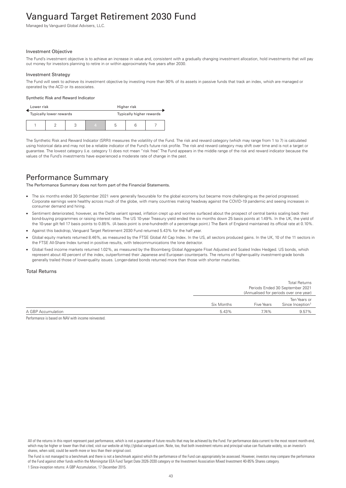# Vanguard Target Retirement 2030 Fund

Managed by Vanguard Global Advisers, LLC.

#### Investment Objective

The Fund's investment objective is to achieve an increase in value and, consistent with a gradually changing investment allocation, hold investments that will pay out money for investors planning to retire in or within approximately five years after 2030.

#### Investment Strategy

The Fund will seek to achieve its investment objective by investing more than 90% of its assets in passive funds that track an index, which are managed or operated by the ACD or its associates.

#### Synthetic Risk and Reward Indicator

| Lower risk |                         |  | Higher risk              |   |  |  |
|------------|-------------------------|--|--------------------------|---|--|--|
|            | Typically lower rewards |  | Typically higher rewards |   |  |  |
|            |                         |  | 4                        | b |  |  |

The Synthetic Risk and Reward Indicator (SRRI) measures the volatility of the Fund. The risk and reward category (which may range from 1 to 7) is calculated using historical data and may not be a reliable indicator of the Fund's future risk profile. The risk and reward category may shift over time and is not a target or guarantee. The lowest category (i.e. category 1) does not mean "risk free". The Fund appears in the middle range of the risk and reward indicator because the values of the Fund's investments have experienced a moderate rate of change in the past.

### Performance Summary

The Performance Summary does not form part of the Financial Statements.

- The six months ended 30 September 2021 were generally favourable for the global economy but became more challenging as the period progressed. Corporate earnings were healthy across much of the globe, with many countries making headway against the COVID-19 pandemic and seeing increases in consumer demand and hiring.
- Sentiment deteriorated, however, as the Delta variant spread, inflation crept up and worries surfaced about the prospect of central banks scaling back their bond-buying programmes or raising interest rates. The US 10-year Treasury yield ended the six months down 25 basis points at 1.49%. In the UK, the yield of the 10-year gilt fell 17 basis points to 0.85%. (A basis point is one-hundredth of a percentage point.) The Bank of England maintained its official rate at 0.10%.
- Against this backdrop, Vanguard Target Retirement 2030 Fund returned 5.43% for the half year.
- Global equity markets returned 8.46%, as measured by the FTSE Global All Cap Index. In the US, all sectors produced gains. In the UK, 10 of the 11 sectors in the FTSE All-Share Index turned in positive results, with telecommunications the lone detractor.
- Global fixed income markets returned 1.02%, as measured by the Bloomberg Global Aggregate Float Adjusted and Scaled Index Hedged. US bonds, which represent about 40 percent of the index, outperformed their Japanese and European counterparts. The returns of higher-quality investment-grade bonds generally trailed those of lower-quality issues. Longer-dated bonds returned more than those with shorter maturities.

### Total Returns

|                                                                 |                                        | Periods Ended 30 September 2021 |  |
|-----------------------------------------------------------------|----------------------------------------|---------------------------------|--|
|                                                                 |                                        |                                 |  |
|                                                                 | (Annualised for periods over one year) |                                 |  |
|                                                                 |                                        | Ten Years or                    |  |
| Since Inception <sup>1</sup><br>Six Months<br><b>Five Years</b> |                                        |                                 |  |
| 5.43%                                                           | 7.74%                                  | 9.57%                           |  |
|                                                                 |                                        |                                 |  |

Performance is based on NAV with income reinvested.

All of the returns in this report represent past performance, which is not a guarantee of future results that may be achieved by the Fund. For performance data current to the most recent month-end, which may be higher or lower than that cited, visit our website at http://global.vanguard.com. Note, too, that both investment returns and principal value can fluctuate widely, so an investor's shares, when sold, could be worth more or less than their original cost.

The Fund is not managed to a benchmark and there is not a benchmark against which the performance of the Fund can appropriately be assessed. However, investors may compare the performance of the Fund against other funds within the Morningstar EEA Fund Target Date 2026-2030 category or the Investment Association Mixed Investment 40-85% Shares category. 1 Since-inception returns: A GBP Accumulation, 17 December 2015.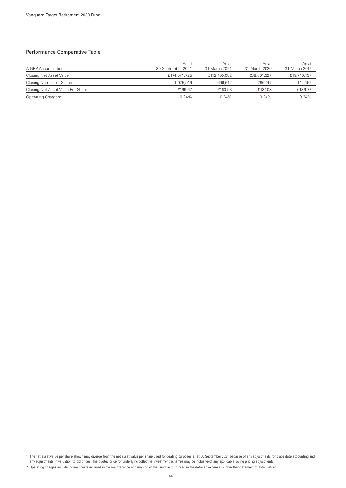### Performance Comparative Table

| A GBP Accumulation                             | As at<br>30 September 2021 | As at<br>31 March 2021 | As at<br>31 March 2020 | As at<br>31 March 2019 |
|------------------------------------------------|----------------------------|------------------------|------------------------|------------------------|
| Closing Net Asset Value                        | £174,071,725               | £112,105,082           | £38,801,327            | £19,710,137            |
| Closing Number of Shares                       | 1.025.919                  | 696.612                | 296.017                | 144,159                |
| Closing Net Asset Value Per Share <sup>1</sup> | £169.67                    | £160.93                | £131.08                | £136.72                |
| Operating Charges <sup>2</sup>                 | 0.24%                      | 0.24%                  | $0.24\%$               | 0.24%                  |

1 The net asset value per share shown may diverge from the net asset value per share used for dealing purposes as at 30 September 2021 because of any adjustments for trade date accounting and any adjustments in valuation to bid prices. The quoted price for underlying collective investment schemes may be inclusive of any applicable swing pricing adjustments.

<sup>2</sup> Operating charges include indirect costs incurred in the maintenance and running of the Fund, as disclosed in the detailed expenses within the Statement of Total Return.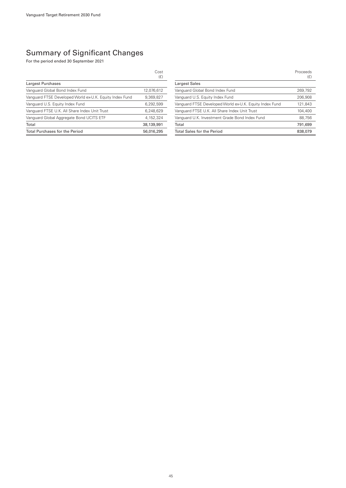|                                                         | Cost<br>(E) |
|---------------------------------------------------------|-------------|
| Largest Purchases                                       |             |
| Vanguard Global Bond Index Fund                         | 12,076,612  |
| Vanguard FTSE Developed World ex-U.K. Equity Index Fund | 9,369,827   |
| Vanguard U.S. Equity Index Fund                         | 6,292,599   |
| Vanguard FTSE U.K. All Share Index Unit Trust           | 6.248.629   |
| Vanguard Global Aggregate Bond UCITS ETF                | 4.152.324   |
| Total                                                   | 38,139,991  |
| <b>Total Purchases for the Period</b>                   | 56.016.295  |

|                                                         | Proceeds<br>(E) |
|---------------------------------------------------------|-----------------|
| <b>Largest Sales</b>                                    |                 |
| Vanguard Global Bond Index Fund                         | 269,792         |
| Vanguard U.S. Equity Index Fund                         | 206.908         |
| Vanguard FTSE Developed World ex-U.K. Equity Index Fund | 121.843         |
| Vanguard FTSE U.K. All Share Index Unit Trust           | 104,400         |
| Vanguard U.K. Investment Grade Bond Index Fund          | 88,756          |
| Total                                                   | 791.699         |
| <b>Total Sales for the Period</b>                       | 838,079         |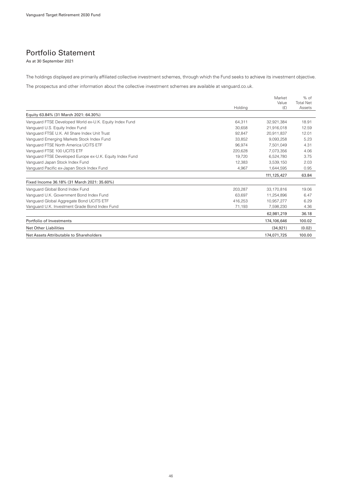### Portfolio Statement

As at 30 September 2021

The holdings displayed are primarily affiliated collective investment schemes, through which the Fund seeks to achieve its investment objective.

The prospectus and other information about the collective investment schemes are available at vanguard.co.uk.

|                                                          | Holding | Market<br>Value<br>(E) | $%$ of<br><b>Total Net</b><br>Assets |
|----------------------------------------------------------|---------|------------------------|--------------------------------------|
| Equity 63.84% (31 March 2021: 64.30%)                    |         |                        |                                      |
| Vanguard FTSE Developed World ex-U.K. Equity Index Fund  | 64.311  | 32.921.384             | 18.91                                |
| Vanguard U.S. Equity Index Fund                          | 30.658  | 21.916.018             | 12.59                                |
| Vanguard FTSE U.K. All Share Index Unit Trust            | 92.847  | 20.911.837             | 12.01                                |
| Vanguard Emerging Markets Stock Index Fund               | 33.852  | 9.093.258              | 5.23                                 |
| Vanquard FTSE North America UCITS ETF                    | 96.974  | 7.501.049              | 4.31                                 |
| Vanguard FTSE 100 UCITS ETF                              | 220.628 | 7.073.356              | 4.06                                 |
| Vanguard FTSE Developed Europe ex-U.K. Equity Index Fund | 19.720  | 6.524.780              | 3.75                                 |
| Vanguard Japan Stock Index Fund                          | 12,383  | 3,539,150              | 2.03                                 |
| Vanguard Pacific ex-Japan Stock Index Fund               | 4,967   | 1,644,595              | 0.95                                 |
|                                                          |         | 111, 125, 427          | 63.84                                |
| Fixed Income 36.18% (31 March 2021: 35.60%)              |         |                        |                                      |
| Vanguard Global Bond Index Fund                          | 203,287 | 33,170,816             | 19.06                                |
| Vanguard U.K. Government Bond Index Fund                 | 63.697  | 11.254.896             | 6.47                                 |
| Vanguard Global Aggregate Bond UCITS ETF                 | 416.253 | 10.957.277             | 6.29                                 |
| Vanguard U.K. Investment Grade Bond Index Fund           | 71.193  | 7,598,230              | 4.36                                 |
|                                                          |         | 62,981,219             | 36.18                                |
| Portfolio of Investments                                 |         | 174,106,646            | 100.02                               |
| <b>Net Other Liabilities</b>                             |         | (34, 921)              | (0.02)                               |
| Net Assets Attributable to Shareholders                  |         | 174,071,725            | 100.00                               |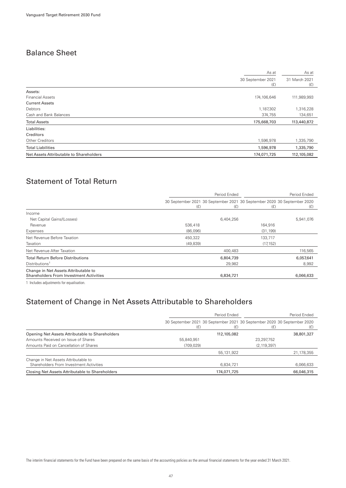## Balance Sheet

|                                         | As at                    | As at                |
|-----------------------------------------|--------------------------|----------------------|
|                                         | 30 September 2021<br>(E) | 31 March 2021<br>(f) |
| Assets:                                 |                          |                      |
| <b>Financial Assets</b>                 | 174, 106, 646            | 111,989,993          |
| <b>Current Assets</b>                   |                          |                      |
| Debtors                                 | 1,187,302                | 1,316,228            |
| Cash and Bank Balances                  | 374,755                  | 134,651              |
| <b>Total Assets</b>                     | 175,668,703              | 113,440,872          |
| Liabilities:                            |                          |                      |
| Creditors                               |                          |                      |
| Other Creditors                         | 1,596,978                | 1,335,790            |
| <b>Total Liabilities</b>                | 1,596,978                | 1,335,790            |
| Net Assets Attributable to Shareholders | 174,071,725              | 112,105,082          |
|                                         |                          |                      |

# Statement of Total Return

|                                                                                        | Period Ended                                                                   |           | Period Ended |           |
|----------------------------------------------------------------------------------------|--------------------------------------------------------------------------------|-----------|--------------|-----------|
|                                                                                        | 30 September 2021 30 September 2021 30 September 2020 30 September 2020<br>(E) | (E)       | (E)          | (E)       |
| Income                                                                                 |                                                                                |           |              |           |
| Net Capital Gains/(Losses)                                                             |                                                                                | 6,404,256 |              | 5,941,076 |
| Revenue                                                                                | 536,418                                                                        |           | 164,916      |           |
| Expenses                                                                               | (86,096)                                                                       |           | (31, 199)    |           |
| Net Revenue Before Taxation                                                            | 450,322                                                                        |           | 133,717      |           |
| Taxation                                                                               | (49, 839)                                                                      |           | (17, 152)    |           |
| Net Revenue After Taxation                                                             |                                                                                | 400,483   |              | 116,565   |
| <b>Total Return Before Distributions</b>                                               |                                                                                | 6,804,739 |              | 6,057,641 |
| Distributions <sup>1</sup>                                                             |                                                                                | 29,982    |              | 8,992     |
| Change in Net Assets Attributable to<br><b>Shareholders From Investment Activities</b> |                                                                                | 6,834,721 |              | 6,066,633 |
|                                                                                        |                                                                                |           |              |           |

1 Includes adjustments for equalisation.

### Statement of Change in Net Assets Attributable to Shareholders

|                                                                                 | Period Ended                                                                   |              | Period Ended  |            |
|---------------------------------------------------------------------------------|--------------------------------------------------------------------------------|--------------|---------------|------------|
|                                                                                 | 30 September 2021 30 September 2021 30 September 2020 30 September 2020<br>(E) | (£)          | (E)           | (£)        |
| Opening Net Assets Attributable to Shareholders                                 |                                                                                | 112,105,082  |               | 38,801,327 |
| Amounts Received on Issue of Shares                                             | 55,840,951                                                                     |              | 23,297,752    |            |
| Amounts Paid on Cancellation of Shares                                          | (709, 029)                                                                     |              | (2, 119, 397) |            |
|                                                                                 |                                                                                | 55, 131, 922 |               | 21,178,355 |
| Change in Net Assets Attributable to<br>Shareholders From Investment Activities |                                                                                | 6,834,721    |               | 6,066,633  |
| Closing Net Assets Attributable to Shareholders                                 |                                                                                | 174,071,725  |               | 66.046.315 |

The interim financial statements for the Fund have been prepared on the same basis of the accounting policies as the annual financial statements for the year ended 31 March 2021.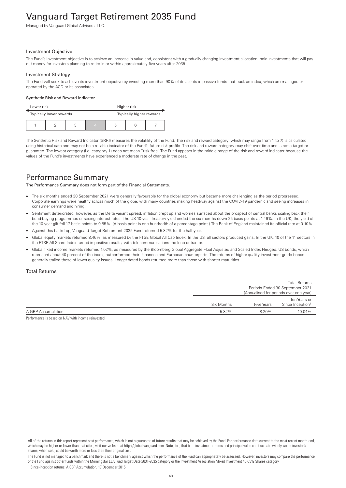# Vanguard Target Retirement 2035 Fund

Managed by Vanguard Global Advisers, LLC.

#### Investment Objective

The Fund's investment objective is to achieve an increase in value and, consistent with a gradually changing investment allocation, hold investments that will pay out money for investors planning to retire in or within approximately five years after 2035.

#### Investment Strategy

The Fund will seek to achieve its investment objective by investing more than 90% of its assets in passive funds that track an index, which are managed or operated by the ACD or its associates.

#### Synthetic Risk and Reward Indicator

| Lower risk<br>Higher risk |                                                     |  |   |   |  |  |
|---------------------------|-----------------------------------------------------|--|---|---|--|--|
|                           | Typically higher rewards<br>Typically lower rewards |  |   |   |  |  |
|                           |                                                     |  | 4 | b |  |  |

The Synthetic Risk and Reward Indicator (SRRI) measures the volatility of the Fund. The risk and reward category (which may range from 1 to 7) is calculated using historical data and may not be a reliable indicator of the Fund's future risk profile. The risk and reward category may shift over time and is not a target or guarantee. The lowest category (i.e. category 1) does not mean "risk free". The Fund appears in the middle range of the risk and reward indicator because the values of the Fund's investments have experienced a moderate rate of change in the past.

### Performance Summary

The Performance Summary does not form part of the Financial Statements.

- The six months ended 30 September 2021 were generally favourable for the global economy but became more challenging as the period progressed. Corporate earnings were healthy across much of the globe, with many countries making headway against the COVID-19 pandemic and seeing increases in consumer demand and hiring.
- Sentiment deteriorated, however, as the Delta variant spread, inflation crept up and worries surfaced about the prospect of central banks scaling back their bond-buying programmes or raising interest rates. The US 10-year Treasury yield ended the six months down 25 basis points at 1.49%. In the UK, the yield of the 10-year gilt fell 17 basis points to 0.85%. (A basis point is one-hundredth of a percentage point.) The Bank of England maintained its official rate at 0.10%.
- Against this backdrop, Vanguard Target Retirement 2035 Fund returned 5.82% for the half year.
- Global equity markets returned 8.46%, as measured by the FTSE Global All Cap Index. In the US, all sectors produced gains. In the UK, 10 of the 11 sectors in the FTSE All-Share Index turned in positive results, with telecommunications the lone detractor.
- Global fixed income markets returned 1.02%, as measured by the Bloomberg Global Aggregate Float Adjusted and Scaled Index Hedged. US bonds, which represent about 40 percent of the index, outperformed their Japanese and European counterparts. The returns of higher-quality investment-grade bonds generally trailed those of lower-quality issues. Longer-dated bonds returned more than those with shorter maturities.

### Total Returns

|                    |            |                   | <b>Total Returns</b>                   |
|--------------------|------------|-------------------|----------------------------------------|
|                    |            |                   | Periods Ended 30 September 2021        |
|                    |            |                   | (Annualised for periods over one year) |
|                    |            |                   | Ten Years or                           |
|                    | Six Months | <b>Five Years</b> | Since Inception <sup>1</sup>           |
| A GBP Accumulation | 5.82%      | 8.20%             | 10.04%                                 |
|                    |            |                   |                                        |

Performance is based on NAV with income reinvested.

All of the returns in this report represent past performance, which is not a guarantee of future results that may be achieved by the Fund. For performance data current to the most recent month-end, which may be higher or lower than that cited, visit our website at http://global.vanguard.com. Note, too, that both investment returns and principal value can fluctuate widely, so an investor's shares, when sold, could be worth more or less than their original cost.

The Fund is not managed to a benchmark and there is not a benchmark against which the performance of the Fund can appropriately be assessed. However, investors may compare the performance of the Fund against other funds within the Morningstar EEA Fund Target Date 2031-2035 category or the Investment Association Mixed Investment 40-85% Shares category. 1 Since-inception returns: A GBP Accumulation, 17 December 2015.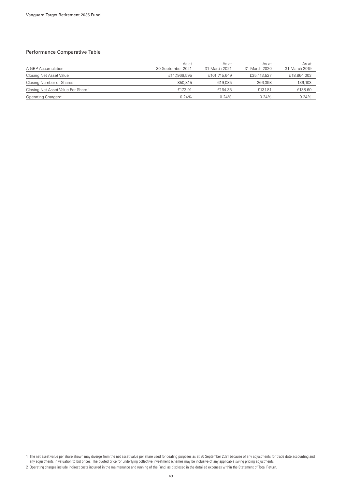### Performance Comparative Table

| A GBP Accumulation                             | As at<br>30 September 2021 | As at<br>31 March 2021 | As at<br>31 March 2020 | As at<br>31 March 2019 |
|------------------------------------------------|----------------------------|------------------------|------------------------|------------------------|
| Closing Net Asset Value                        | £147,966,595               | £101.745.649           | £35,113,527            | £18,864,003            |
| Closing Number of Shares                       | 850.815                    | 619.085                | 266,398                | 136,103                |
| Closing Net Asset Value Per Share <sup>1</sup> | £173.91                    | £164.35                | £131.81                | £138.60                |
| Operating Charges <sup>2</sup>                 | 0.24%                      | 0.24%                  | $0.24\%$               | 0.24%                  |

1 The net asset value per share shown may diverge from the net asset value per share used for dealing purposes as at 30 September 2021 because of any adjustments for trade date accounting and any adjustments in valuation to bid prices. The quoted price for underlying collective investment schemes may be inclusive of any applicable swing pricing adjustments.

<sup>2</sup> Operating charges include indirect costs incurred in the maintenance and running of the Fund, as disclosed in the detailed expenses within the Statement of Total Return.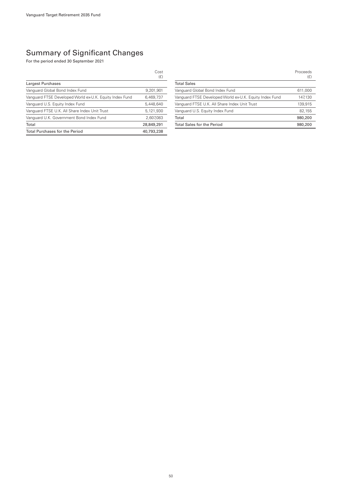|                                                         | Cost<br>(E) |
|---------------------------------------------------------|-------------|
| Largest Purchases                                       |             |
| Vanguard Global Bond Index Fund                         | 9,201,901   |
| Vanguard FTSE Developed World ex-U.K. Equity Index Fund | 6.469.737   |
| Vanguard U.S. Equity Index Fund                         | 5,448,640   |
| Vanguard FTSE U.K. All Share Index Unit Trust           | 5.121.930   |
| Vanquard U.K. Government Bond Index Fund                | 2,607,083   |
| Total                                                   | 28,849,291  |
| <b>Total Purchases for the Period</b>                   | 40.793.238  |

|                                                         | Proceeds<br>(E) |
|---------------------------------------------------------|-----------------|
| <b>Total Sales</b>                                      |                 |
| Vanguard Global Bond Index Fund                         | 611,000         |
| Vanguard FTSE Developed World ex-U.K. Equity Index Fund | 147,130         |
| Vanguard FTSE U.K. All Share Index Unit Trust           | 139.915         |
| Vanguard U.S. Equity Index Fund                         | 82,155          |
| Total                                                   | 980,200         |
| <b>Total Sales for the Period</b>                       | 980,200         |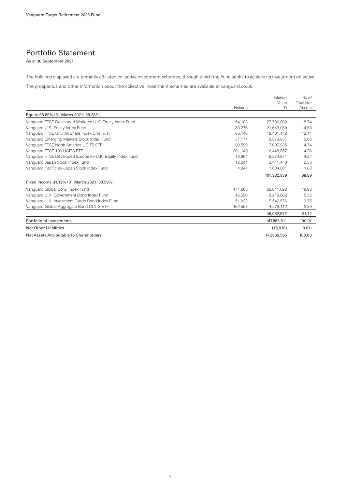### Portfolio Statement

As at 30 September 2021

The holdings displayed are primarily affiliated collective investment schemes, through which the Fund seeks to achieve its investment objective.

The prospectus and other information about the collective investment schemes are available at vanguard.co.uk.

|                                                          | Holding | Market<br>Value<br>(E) | $%$ of<br><b>Total Net</b><br>Assets |
|----------------------------------------------------------|---------|------------------------|--------------------------------------|
| Equity 68.89% (31 March 2021: 69.28%)                    |         |                        |                                      |
| Vanguard FTSE Developed World ex-U.K. Equity Index Fund  | 54.183  | 27.736.802             | 18.74                                |
| Vanguard U.S. Equity Index Fund                          | 30.276  | 21.643.080             | 14.63                                |
| Vanguard FTSE U.K. All Share Index Unit Trust            | 86.140  | 19,401,142             | 13.11                                |
| Vanguard Emerging Markets Stock Index Fund               | 31,174  | 8.373.951              | 5.66                                 |
| Vanguard FTSE North America UCITS ETF                    | 90.599  | 7.007.935              | 4.74                                 |
| Vanguard FTSE 100 UCITS ETF                              | 201.149 | 6.448.857              | 4.36                                 |
| Vanguard FTSE Developed Europe ex-U.K. Equity Index Fund | 18.964  | 6.274.871              | 4.24                                 |
| Vanguard Japan Stock Index Fund                          | 12,041  | 3,441,440              | 2.33                                 |
| Vanguard Pacific ex-Japan Stock Index Fund               | 4,847   | 1,604,861              | 1.08                                 |
|                                                          |         | 101,932,939            | 68.89                                |
| Fixed Income 31.12% (31 March 2021: 30.59%)              |         |                        |                                      |
| Vanguard Global Bond Index Fund                          | 171,665 | 28,011,022             | 18.93                                |
| Vanguard U.K. Government Bond Index Fund                 | 46,520  | 8,219,862              | 5.55                                 |
| Vanguard U.K. Investment Grade Bond Index Fund           | 51.932  | 5.542.576              | 3.75                                 |
| Vanguard Global Aggregate Bond UCITS ETF                 | 162,558 | 4,279,112              | 2.89                                 |
|                                                          |         | 46,052,572             | 31.12                                |
| Portfolio of Investments                                 |         | 147.985.511            | 100.01                               |
| <b>Net Other Liabilities</b>                             |         | (18, 916)              | (0.01)                               |
| Net Assets Attributable to Shareholders                  |         | 147,966,595            | 100.00                               |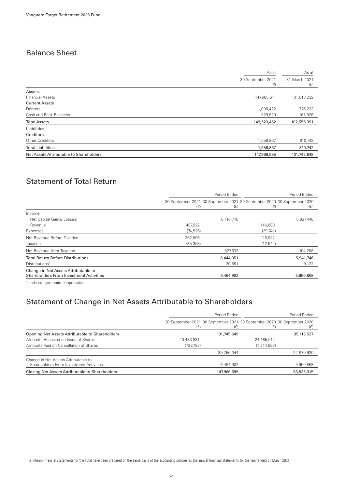## Balance Sheet

|                                         | As at                    | As at                |
|-----------------------------------------|--------------------------|----------------------|
|                                         | 30 September 2021<br>(E) | 31 March 2021<br>(f) |
| Assets:                                 |                          |                      |
| <b>Financial Assets</b>                 | 147,985,511              | 101,618,232          |
| <b>Current Assets</b>                   |                          |                      |
| Debtors                                 | 1,008,422                | 776,233              |
| Cash and Bank Balances                  | 529,529                  | 161,926              |
| <b>Total Assets</b>                     | 149,523,462              | 102,556,391          |
| Liabilities:                            |                          |                      |
| Creditors                               |                          |                      |
| Other Creditors                         | 1,556,867                | 810,742              |
| <b>Total Liabilities</b>                | 1,556,867                | 810,742              |
| Net Assets Attributable to Shareholders | 147,966,595              | 101,745,649          |
|                                         |                          |                      |

# Statement of Total Return

|                                                                                        | Period Ended |           | Period Ended                                                                   |           |
|----------------------------------------------------------------------------------------|--------------|-----------|--------------------------------------------------------------------------------|-----------|
|                                                                                        | (E)          | (E)       | 30 September 2021 30 September 2021 30 September 2020 30 September 2020<br>(E) | (E)       |
| Income                                                                                 |              |           |                                                                                |           |
| Net Capital Gains/(Losses)                                                             |              | 6,116,718 |                                                                                | 5,837,448 |
| Revenue                                                                                | 437,522      |           | 146,683                                                                        |           |
| Expenses                                                                               | (74, 526)    |           | (29, 741)                                                                      |           |
| Net Revenue Before Taxation                                                            | 362,996      |           | 116,942                                                                        |           |
| Taxation                                                                               | (35, 363)    |           | (12, 644)                                                                      |           |
| Net Revenue After Taxation                                                             |              | 327,633   |                                                                                | 104,298   |
| <b>Total Return Before Distributions</b>                                               |              | 6,444,351 |                                                                                | 5,941,746 |
| Distributions <sup>1</sup>                                                             |              | 20.551    |                                                                                | 9,122     |
| Change in Net Assets Attributable to<br><b>Shareholders From Investment Activities</b> |              | 6,464,902 |                                                                                | 5,950,868 |
|                                                                                        |              |           |                                                                                |           |

1 Includes adjustments for equalisation.

### Statement of Change in Net Assets Attributable to Shareholders

|                                                                                 | Period Ended |             |                                                                                | Period Ended |
|---------------------------------------------------------------------------------|--------------|-------------|--------------------------------------------------------------------------------|--------------|
|                                                                                 | (£)          | (E)         | 30 September 2021 30 September 2021 30 September 2020 30 September 2020<br>(£) |              |
| Opening Net Assets Attributable to Shareholders                                 |              | 101,745,649 |                                                                                | 35, 113, 527 |
| Amounts Received on Issue of Shares                                             | 40,483,831   |             | 24,185,912                                                                     |              |
| Amounts Paid on Cancellation of Shares                                          | (727, 787)   |             | (1, 314, 992)                                                                  |              |
|                                                                                 |              | 39,756,044  |                                                                                | 22,870,920   |
| Change in Net Assets Attributable to<br>Shareholders From Investment Activities |              | 6,464,902   |                                                                                | 5,950,868    |
| Closing Net Assets Attributable to Shareholders                                 |              | 147,966,595 |                                                                                | 63,935,315   |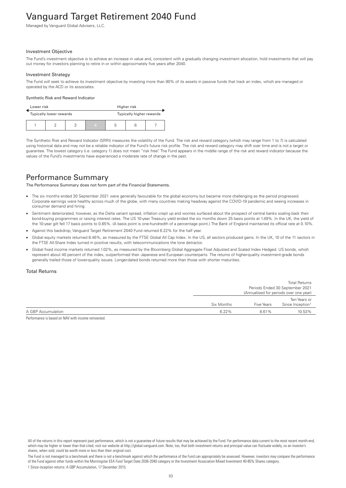# Vanguard Target Retirement 2040 Fund

Managed by Vanguard Global Advisers, LLC.

#### Investment Objective

The Fund's investment objective is to achieve an increase in value and, consistent with a gradually changing investment allocation, hold investments that will pay out money for investors planning to retire in or within approximately five years after 2040.

#### Investment Strategy

The Fund will seek to achieve its investment objective by investing more than 90% of its assets in passive funds that track an index, which are managed or operated by the ACD or its associates.

#### Synthetic Risk and Reward Indicator

| Lower risk<br>Higher risk |                                                     |  |   |   |  |  |
|---------------------------|-----------------------------------------------------|--|---|---|--|--|
|                           | Typically higher rewards<br>Typically lower rewards |  |   |   |  |  |
|                           |                                                     |  | 4 | b |  |  |

The Synthetic Risk and Reward Indicator (SRRI) measures the volatility of the Fund. The risk and reward category (which may range from 1 to 7) is calculated using historical data and may not be a reliable indicator of the Fund's future risk profile. The risk and reward category may shift over time and is not a target or guarantee. The lowest category (i.e. category 1) does not mean "risk free". The Fund appears in the middle range of the risk and reward indicator because the values of the Fund's investments have experienced a moderate rate of change in the past.

### Performance Summary

The Performance Summary does not form part of the Financial Statements.

- The six months ended 30 September 2021 were generally favourable for the global economy but became more challenging as the period progressed. Corporate earnings were healthy across much of the globe, with many countries making headway against the COVID-19 pandemic and seeing increases in consumer demand and hiring.
- Sentiment deteriorated, however, as the Delta variant spread, inflation crept up and worries surfaced about the prospect of central banks scaling back their bond-buying programmes or raising interest rates. The US 10-year Treasury yield ended the six months down 25 basis points at 1.49%. In the UK, the yield of the 10-year gilt fell 17 basis points to 0.85%. (A basis point is one-hundredth of a percentage point.) The Bank of England maintained its official rate at 0.10%.
- Against this backdrop, Vanguard Target Retirement 2040 Fund returned 6.22% for the half year.
- Global equity markets returned 8.46%, as measured by the FTSE Global All Cap Index. In the US, all sectors produced gains. In the UK, 10 of the 11 sectors in the FTSE All-Share Index turned in positive results, with telecommunications the lone detractor.
- Global fixed income markets returned 1.02%, as measured by the Bloomberg Global Aggregate Float Adjusted and Scaled Index Hedged. US bonds, which represent about 40 percent of the index, outperformed their Japanese and European counterparts. The returns of higher-quality investment-grade bonds generally trailed those of lower-quality issues. Longer-dated bonds returned more than those with shorter maturities.

### Total Returns

|            |                   | <b>Total Returns</b>                   |
|------------|-------------------|----------------------------------------|
|            |                   | Periods Ended 30 September 2021        |
|            |                   | (Annualised for periods over one year) |
|            |                   | Ten Years or                           |
| Six Months | <b>Five Years</b> | Since Inception <sup>1</sup>           |
| 6.22%      | 8.61%             | 10.53%                                 |
|            |                   |                                        |

Performance is based on NAV with income reinvested.

All of the returns in this report represent past performance, which is not a guarantee of future results that may be achieved by the Fund. For performance data current to the most recent month-end, which may be higher or lower than that cited, visit our website at http://global.vanguard.com. Note, too, that both investment returns and principal value can fluctuate widely, so an investor's shares, when sold, could be worth more or less than their original cost.

The Fund is not managed to a benchmark and there is not a benchmark against which the performance of the Fund can appropriately be assessed. However, investors may compare the performance of the Fund against other funds within the Morningstar EEA Fund Target Date 2036-2040 category or the Investment Association Mixed Investment 40-85% Shares category. 1 Since-inception returns: A GBP Accumulation, 17 December 2015.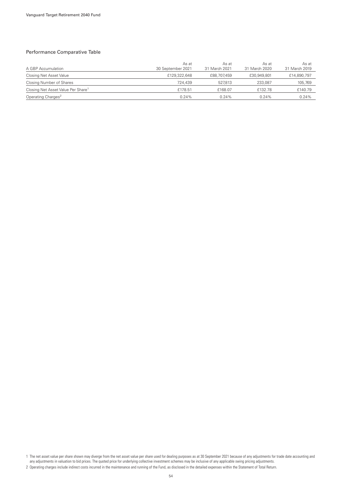### Performance Comparative Table

| A GBP Accumulation                             | As at<br>30 September 2021 | As at<br>31 March 2021 | As at<br>31 March 2020 | As at<br>31 March 2019 |
|------------------------------------------------|----------------------------|------------------------|------------------------|------------------------|
| Closing Net Asset Value                        | £129,322,648               | £88,707,459            | £30,949,801            | £14,890,797            |
| Closing Number of Shares                       | 724,439                    | 527.813                | 233,087                | 105,769                |
| Closing Net Asset Value Per Share <sup>1</sup> | £178.51                    | £168.07                | £132.78                | £140.79                |
| Operating Charges <sup>2</sup>                 | 0.24%                      | 0.24%                  | $0.24\%$               | 0.24%                  |

1 The net asset value per share shown may diverge from the net asset value per share used for dealing purposes as at 30 September 2021 because of any adjustments for trade date accounting and any adjustments in valuation to bid prices. The quoted price for underlying collective investment schemes may be inclusive of any applicable swing pricing adjustments.

<sup>2</sup> Operating charges include indirect costs incurred in the maintenance and running of the Fund, as disclosed in the detailed expenses within the Statement of Total Return.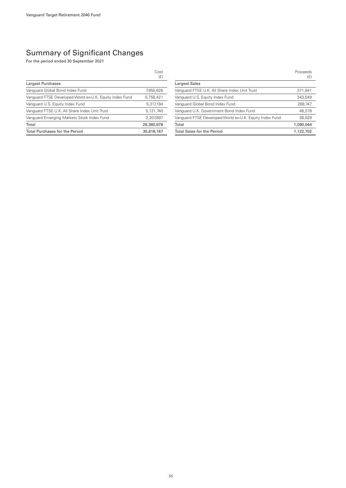|                                                         | Cost<br>(E) |
|---------------------------------------------------------|-------------|
| Largest Purchases                                       |             |
| Vanguard Global Bond Index Fund                         | 7,955,626   |
| Vanguard FTSE Developed World ex-U.K. Equity Index Fund | 5.758.421   |
| Vanguard U.S. Equity Index Fund                         | 5,317,194   |
| Vanguard FTSE U.K. All Share Index Unit Trust           | 5.121.740   |
| Vanguard Emerging Markets Stock Index Fund              | 2.207.697   |
| Total                                                   | 26,360,678  |
| <b>Total Purchases for the Period</b>                   | 35,618,167  |

|                                                         | Proceeds<br>(E) |
|---------------------------------------------------------|-----------------|
| <b>Largest Sales</b>                                    |                 |
| Vanguard FTSE U.K. All Share Index Unit Trust           | 371.941         |
| Vanguard U.S. Equity Index Fund                         | 343.049         |
| Vanguard Global Bond Index Fund                         | 288,747         |
| Vanguard U.K. Government Bond Index Fund                | 48.278          |
| Vanguard FTSE Developed World ex-U.K. Equity Index Fund | 38,029          |
| Total                                                   | 1.090.044       |
| <b>Total Sales for the Period</b>                       | 1,122,702       |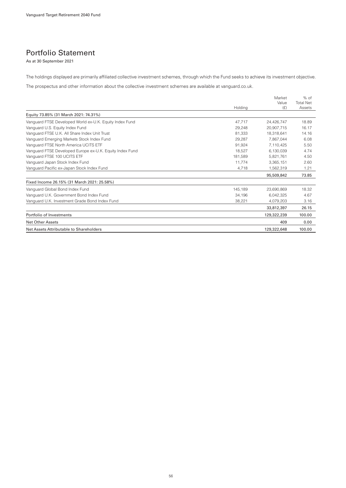### Portfolio Statement

As at 30 September 2021

The holdings displayed are primarily affiliated collective investment schemes, through which the Fund seeks to achieve its investment objective.

The prospectus and other information about the collective investment schemes are available at vanguard.co.uk.

|                                                          | Holding | Market<br>Value<br>(E) | $%$ of<br><b>Total Net</b><br>Assets |
|----------------------------------------------------------|---------|------------------------|--------------------------------------|
| Equity 73.85% (31 March 2021: 74.31%)                    |         |                        |                                      |
| Vanguard FTSE Developed World ex-U.K. Equity Index Fund  | 47,717  | 24.426.747             | 18.89                                |
| Vanguard U.S. Equity Index Fund                          | 29,248  | 20.907.715             | 16.17                                |
| Vanguard FTSE U.K. All Share Index Unit Trust            | 81,333  | 18.318.641             | 14.16                                |
| Vanguard Emerging Markets Stock Index Fund               | 29,287  | 7,867,044              | 6.08                                 |
| Vanquard FTSE North America UCITS ETF                    | 91,924  | 7.110.425              | 5.50                                 |
| Vanguard FTSE Developed Europe ex-U.K. Equity Index Fund | 18.527  | 6.130.039              | 4.74                                 |
| Vanguard FTSE 100 UCITS ETF                              | 181.589 | 5.821.761              | 4.50                                 |
| Vanguard Japan Stock Index Fund                          | 11.774  | 3,365,151              | 2.60                                 |
| Vanguard Pacific ex-Japan Stock Index Fund               | 4,718   | 1,562,319              | 1.21                                 |
|                                                          |         | 95,509,842             | 73.85                                |
| Fixed Income 26.15% (31 March 2021: 25.58%)              |         |                        |                                      |
| Vanguard Global Bond Index Fund                          | 145.189 | 23,690,869             | 18.32                                |
| Vanguard U.K. Government Bond Index Fund                 | 34,196  | 6,042,325              | 4.67                                 |
| Vanguard U.K. Investment Grade Bond Index Fund           | 38,221  | 4,079,203              | 3.16                                 |
|                                                          |         | 33,812,397             | 26.15                                |
| Portfolio of Investments                                 |         | 129,322,239            | 100.00                               |
| <b>Net Other Assets</b>                                  |         | 409                    | 0.00                                 |
| Net Assets Attributable to Shareholders                  |         | 129,322,648            | 100.00                               |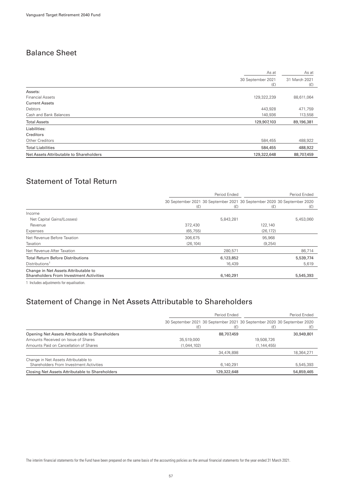## Balance Sheet

|                                         | As at                    | As at                |
|-----------------------------------------|--------------------------|----------------------|
|                                         | 30 September 2021<br>(E) | 31 March 2021<br>(f) |
| Assets:                                 |                          |                      |
| <b>Financial Assets</b>                 | 129,322,239              | 88,611,064           |
| <b>Current Assets</b>                   |                          |                      |
| Debtors                                 | 443,928                  | 471,759              |
| Cash and Bank Balances                  | 140,936                  | 113,558              |
| <b>Total Assets</b>                     | 129,907,103              | 89,196,381           |
| Liabilities:                            |                          |                      |
| Creditors                               |                          |                      |
| Other Creditors                         | 584,455                  | 488,922              |
| <b>Total Liabilities</b>                | 584,455                  | 488,922              |
| Net Assets Attributable to Shareholders | 129,322,648              | 88,707,459           |
|                                         |                          |                      |

# Statement of Total Return

|                                                                                        | Period Ended                                                                   |           |           | Period Ended |
|----------------------------------------------------------------------------------------|--------------------------------------------------------------------------------|-----------|-----------|--------------|
|                                                                                        | 30 September 2021 30 September 2021 30 September 2020 30 September 2020<br>(E) | (E)       | (E)       | (E)          |
| Income                                                                                 |                                                                                |           |           |              |
| Net Capital Gains/(Losses)                                                             |                                                                                | 5,843,281 |           | 5,453,060    |
| Revenue                                                                                | 372,430                                                                        |           | 122,140   |              |
| Expenses                                                                               | (65, 755)                                                                      |           | (26, 172) |              |
| Net Revenue Before Taxation                                                            | 306,675                                                                        |           | 95,968    |              |
| Taxation                                                                               | (26, 104)                                                                      |           | (9, 254)  |              |
| Net Revenue After Taxation                                                             |                                                                                | 280,571   |           | 86,714       |
| <b>Total Return Before Distributions</b>                                               |                                                                                | 6,123,852 |           | 5,539,774    |
| Distributions <sup>1</sup>                                                             |                                                                                | 16,439    |           | 5,619        |
| Change in Net Assets Attributable to<br><b>Shareholders From Investment Activities</b> |                                                                                | 6,140,291 |           | 5,545,393    |
|                                                                                        |                                                                                |           |           |              |

1 Includes adjustments for equalisation.

### Statement of Change in Net Assets Attributable to Shareholders

|                                                                                 | Period Ended |             | Period Ended                                                                   |            |
|---------------------------------------------------------------------------------|--------------|-------------|--------------------------------------------------------------------------------|------------|
|                                                                                 | (£)          | (E)         | 30 September 2021 30 September 2021 30 September 2020 30 September 2020<br>(E) |            |
| Opening Net Assets Attributable to Shareholders                                 |              | 88,707,459  |                                                                                | 30,949,801 |
| Amounts Received on Issue of Shares                                             | 35,519,000   |             | 19,508,726                                                                     |            |
| Amounts Paid on Cancellation of Shares                                          | (1,044,102)  |             | (1, 144, 455)                                                                  |            |
|                                                                                 |              | 34.474.898  |                                                                                | 18,364,271 |
| Change in Net Assets Attributable to<br>Shareholders From Investment Activities |              | 6,140,291   |                                                                                | 5,545,393  |
| Closing Net Assets Attributable to Shareholders                                 |              | 129,322,648 |                                                                                | 54.859.465 |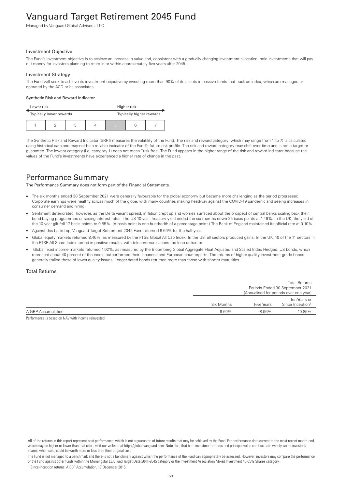# Vanguard Target Retirement 2045 Fund

Managed by Vanguard Global Advisers, LLC.

#### Investment Objective

The Fund's investment objective is to achieve an increase in value and, consistent with a gradually changing investment allocation, hold investments that will pay out money for investors planning to retire in or within approximately five years after 2045.

#### Investment Strategy

The Fund will seek to achieve its investment objective by investing more than 90% of its assets in passive funds that track an index, which are managed or operated by the ACD or its associates.

#### Synthetic Risk and Reward Indicator

| Lower risk |                                                     |  | Higher risk |   |  |  |
|------------|-----------------------------------------------------|--|-------------|---|--|--|
|            | Typically higher rewards<br>Typically lower rewards |  |             |   |  |  |
|            |                                                     |  |             | 5 |  |  |

The Synthetic Risk and Reward Indicator (SRRI) measures the volatility of the Fund. The risk and reward category (which may range from 1 to 7) is calculated using historical data and may not be a reliable indicator of the Fund's future risk profile. The risk and reward category may shift over time and is not a target or guarantee. The lowest category (i.e. category 1) does not mean "risk free". The Fund appears in the higher range of the risk and reward indicator because the values of the Fund's investments have experienced a higher rate of change in the past.

### Performance Summary

The Performance Summary does not form part of the Financial Statements.

- The six months ended 30 September 2021 were generally favourable for the global economy but became more challenging as the period progressed. Corporate earnings were healthy across much of the globe, with many countries making headway against the COVID-19 pandemic and seeing increases in consumer demand and hiring.
- Sentiment deteriorated, however, as the Delta variant spread, inflation crept up and worries surfaced about the prospect of central banks scaling back their bond-buying programmes or raising interest rates. The US 10-year Treasury yield ended the six months down 25 basis points at 1.49%. In the UK, the yield of the 10-year gilt fell 17 basis points to 0.85%. (A basis point is one-hundredth of a percentage point.) The Bank of England maintained its official rate at 0.10%.
- Against this backdrop, Vanguard Target Retirement 2045 Fund returned 6.60% for the half year.
- Global equity markets returned 8.46%, as measured by the FTSE Global All Cap Index. In the US, all sectors produced gains. In the UK, 10 of the 11 sectors in the FTSE All-Share Index turned in positive results, with telecommunications the lone detractor.
- Global fixed income markets returned 1.02%, as measured by the Bloomberg Global Aggregate Float Adjusted and Scaled Index Hedged. US bonds, which represent about 40 percent of the index, outperformed their Japanese and European counterparts. The returns of higher-quality investment-grade bonds generally trailed those of lower-quality issues. Longer-dated bonds returned more than those with shorter maturities.

### Total Returns

|                    |            |                                              | <b>Total Returns</b><br>Periods Ended 30 September 2021<br>(Annualised for periods over one year) |
|--------------------|------------|----------------------------------------------|---------------------------------------------------------------------------------------------------|
|                    | Six Months | Ten Years or<br>Since Inception <sup>1</sup> |                                                                                                   |
| A GBP Accumulation | 6.60%      | 8.96%                                        | 10.85%                                                                                            |

Performance is based on NAV with income reinvested.

All of the returns in this report represent past performance, which is not a guarantee of future results that may be achieved by the Fund. For performance data current to the most recent month-end, which may be higher or lower than that cited, visit our website at http://global.vanguard.com. Note, too, that both investment returns and principal value can fluctuate widely, so an investor's shares, when sold, could be worth more or less than their original cost.

The Fund is not managed to a benchmark and there is not a benchmark against which the performance of the Fund can appropriately be assessed. However, investors may compare the performance of the Fund against other funds within the Morningstar EEA Fund Target Date 2041-2045 category or the Investment Association Mixed Investment 40-85% Shares category. 1 Since-inception returns: A GBP Accumulation, 17 December 2015.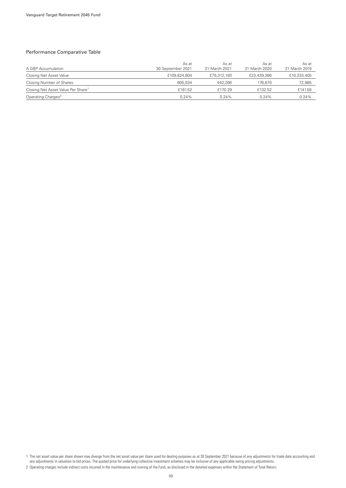### Performance Comparative Table

| A GBP Accumulation                             | As at<br>30 September 2021 | As at<br>31 March 2021 | As at<br>31 March 2020 | As at<br>31 March 2019 |
|------------------------------------------------|----------------------------|------------------------|------------------------|------------------------|
| Closing Net Asset Value                        | £109,824,804               | £75,312,193            | £23,439,366            | £10,333,405            |
| Closing Number of Shares                       | 605.034                    | 442.266                | 176.870                | 72,985                 |
| Closing Net Asset Value Per Share <sup>1</sup> | £181.52                    | £170.29                | £132.52                | £141.58                |
| Operating Charges <sup>2</sup>                 | 0.24%                      | 0.24%                  | $0.24\%$               | 0.24%                  |

1 The net asset value per share shown may diverge from the net asset value per share used for dealing purposes as at 30 September 2021 because of any adjustments for trade date accounting and any adjustments in valuation to bid prices. The quoted price for underlying collective investment schemes may be inclusive of any applicable swing pricing adjustments.

<sup>2</sup> Operating charges include indirect costs incurred in the maintenance and running of the Fund, as disclosed in the detailed expenses within the Statement of Total Return.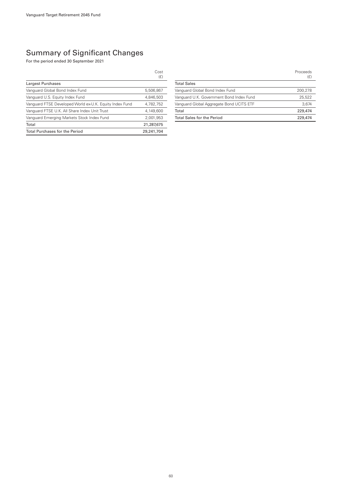|                                                         | Cost<br>(E) |
|---------------------------------------------------------|-------------|
| Largest Purchases                                       |             |
| Vanguard Global Bond Index Fund                         | 5,506,867   |
| Vanquard U.S. Equity Index Fund                         | 4.846.503   |
| Vanguard FTSE Developed World ex-U.K. Equity Index Fund | 4,782,752   |
| Vanguard FTSE U.K. All Share Index Unit Trust           | 4.149.600   |
| Vanguard Emerging Markets Stock Index Fund              | 2.001.953   |
| Total                                                   | 21,287,675  |
| <b>Total Purchases for the Period</b>                   | 29,241,704  |

|                                          | Proceeds<br>(E) |
|------------------------------------------|-----------------|
| <b>Total Sales</b>                       |                 |
| Vanguard Global Bond Index Fund          | 200,278         |
| Vanguard U.K. Government Bond Index Fund | 25.522          |
| Vanguard Global Aggregate Bond UCITS ETF | 3.674           |
| Total                                    | 229,474         |
| <b>Total Sales for the Period</b>        | 229,474         |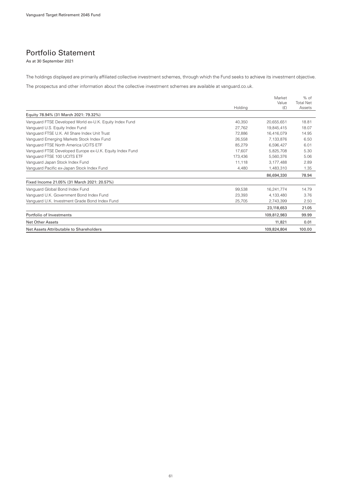### Portfolio Statement

As at 30 September 2021

The holdings displayed are primarily affiliated collective investment schemes, through which the Fund seeks to achieve its investment objective.

The prospectus and other information about the collective investment schemes are available at vanguard.co.uk.

|                                                          | Holding | Market<br>Value<br>(E) | $%$ of<br><b>Total Net</b><br>Assets |
|----------------------------------------------------------|---------|------------------------|--------------------------------------|
| Equity 78.94% (31 March 2021: 79.32%)                    |         |                        |                                      |
| Vanguard FTSE Developed World ex-U.K. Equity Index Fund  | 40.350  | 20,655,651             | 18.81                                |
| Vanguard U.S. Equity Index Fund                          | 27.762  | 19.845.415             | 18.07                                |
| Vanguard FTSE U.K. All Share Index Unit Trust            | 72,886  | 16.416.079             | 14.95                                |
| Vanguard Emerging Markets Stock Index Fund               | 26,558  | 7,133,876              | 6.50                                 |
| Vanquard FTSE North America UCITS ETF                    | 85,279  | 6,596,427              | 6.01                                 |
| Vanguard FTSE Developed Europe ex-U.K. Equity Index Fund | 17,607  | 5,825,708              | 5.30                                 |
| Vanguard FTSE 100 UCITS ETF                              | 173,436 | 5,560,376              | 5.06                                 |
| Vanguard Japan Stock Index Fund                          | 11.118  | 3,177,488              | 2.89                                 |
| Vanguard Pacific ex-Japan Stock Index Fund               | 4.480   | 1,483,310              | 1.35                                 |
|                                                          |         | 86,694,330             | 78.94                                |
| Fixed Income 21.05% (31 March 2021: 20.57%)              |         |                        |                                      |
| Vanguard Global Bond Index Fund                          | 99,538  | 16,241,774             | 14.79                                |
| Vanguard U.K. Government Bond Index Fund                 | 23.393  | 4.133.480              | 3.76                                 |
| Vanguard U.K. Investment Grade Bond Index Fund           | 25,705  | 2,743,399              | 2.50                                 |
|                                                          |         | 23,118,653             | 21.05                                |
| Portfolio of Investments                                 |         | 109,812,983            | 99.99                                |
| <b>Net Other Assets</b>                                  |         | 11,821                 | 0.01                                 |
| Net Assets Attributable to Shareholders                  |         | 109,824,804            | 100.00                               |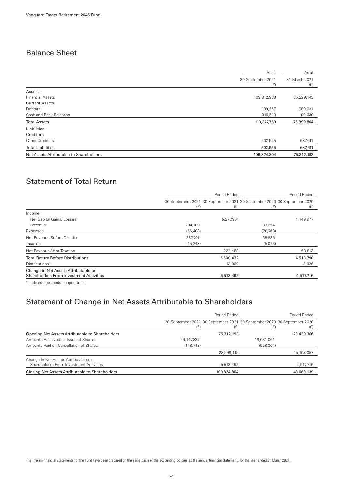## Balance Sheet

|                                         | As at                    |                      |
|-----------------------------------------|--------------------------|----------------------|
|                                         | 30 September 2021<br>(E) | 31 March 2021<br>(f) |
| Assets:                                 |                          |                      |
| <b>Financial Assets</b>                 | 109,812,983              | 75,229,143           |
| <b>Current Assets</b>                   |                          |                      |
| Debtors                                 | 199,257                  | 680,031              |
| Cash and Bank Balances                  | 315,519                  | 90,630               |
| <b>Total Assets</b>                     | 110,327,759              | 75,999,804           |
| Liabilities:                            |                          |                      |
| Creditors                               |                          |                      |
| Other Creditors                         | 502,955                  | 687,611              |
| <b>Total Liabilities</b>                | 502,955                  | 687,611              |
| Net Assets Attributable to Shareholders | 109,824,804              | 75,312,193           |

# Statement of Total Return

|                                                                                        | Period Ended                                                                   |           | Period Ended |           |
|----------------------------------------------------------------------------------------|--------------------------------------------------------------------------------|-----------|--------------|-----------|
|                                                                                        | 30 September 2021 30 September 2021 30 September 2020 30 September 2020<br>(E) | (E)       | (E)          | (E)       |
| Income                                                                                 |                                                                                |           |              |           |
| Net Capital Gains/(Losses)                                                             |                                                                                | 5,277,974 |              | 4,449,977 |
| Revenue                                                                                | 294,109                                                                        |           | 89,654       |           |
| Expenses                                                                               | (56, 408)                                                                      |           | (20, 768)    |           |
| Net Revenue Before Taxation                                                            | 237,701                                                                        |           | 68,886       |           |
| Taxation                                                                               | (15, 243)                                                                      |           | (5,073)      |           |
| Net Revenue After Taxation                                                             |                                                                                | 222,458   |              | 63,813    |
| <b>Total Return Before Distributions</b>                                               |                                                                                | 5,500,432 |              | 4,513,790 |
| Distributions <sup>1</sup>                                                             |                                                                                | 13,060    |              | 3,926     |
| Change in Net Assets Attributable to<br><b>Shareholders From Investment Activities</b> |                                                                                | 5,513,492 |              | 4,517,716 |
|                                                                                        |                                                                                |           |              |           |

1 Includes adjustments for equalisation.

### Statement of Change in Net Assets Attributable to Shareholders

|                                                                                 | Period Ended |             | Period Ended                                                                   |              |
|---------------------------------------------------------------------------------|--------------|-------------|--------------------------------------------------------------------------------|--------------|
|                                                                                 | (E)          | (£)         | 30 September 2021 30 September 2021 30 September 2020 30 September 2020<br>(E) | (£)          |
| Opening Net Assets Attributable to Shareholders                                 |              | 75,312,193  |                                                                                | 23,439,366   |
| Amounts Received on Issue of Shares                                             | 29,147,837   |             | 16.031.061                                                                     |              |
| Amounts Paid on Cancellation of Shares                                          | (148, 718)   |             | (928,004)                                                                      |              |
|                                                                                 |              | 28,999,119  |                                                                                | 15, 103, 057 |
| Change in Net Assets Attributable to<br>Shareholders From Investment Activities |              | 5,513,492   |                                                                                | 4,517,716    |
| Closing Net Assets Attributable to Shareholders                                 |              | 109,824,804 |                                                                                | 43,060,139   |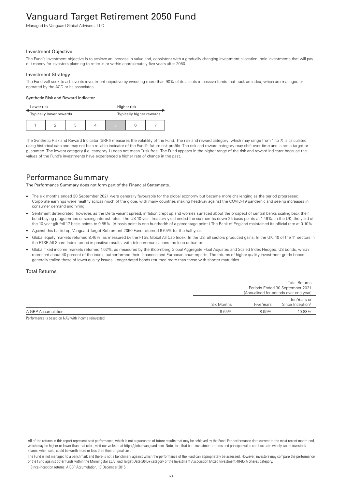# Vanguard Target Retirement 2050 Fund

Managed by Vanguard Global Advisers, LLC.

#### Investment Objective

The Fund's investment objective is to achieve an increase in value and, consistent with a gradually changing investment allocation, hold investments that will pay out money for investors planning to retire in or within approximately five years after 2050.

#### Investment Strategy

The Fund will seek to achieve its investment objective by investing more than 90% of its assets in passive funds that track an index, which are managed or operated by the ACD or its associates.

#### Synthetic Risk and Reward Indicator

| Lower risk |  |                         | Higher risk |                          |   |  |  |
|------------|--|-------------------------|-------------|--------------------------|---|--|--|
|            |  | Typically lower rewards |             | Typically higher rewards |   |  |  |
|            |  |                         |             |                          | 5 |  |  |

The Synthetic Risk and Reward Indicator (SRRI) measures the volatility of the Fund. The risk and reward category (which may range from 1 to 7) is calculated using historical data and may not be a reliable indicator of the Fund's future risk profile. The risk and reward category may shift over time and is not a target or guarantee. The lowest category (i.e. category 1) does not mean "risk free". The Fund appears in the higher range of the risk and reward indicator because the values of the Fund's investments have experienced a higher rate of change in the past.

### Performance Summary

The Performance Summary does not form part of the Financial Statements.

- The six months ended 30 September 2021 were generally favourable for the global economy but became more challenging as the period progressed. Corporate earnings were healthy across much of the globe, with many countries making headway against the COVID-19 pandemic and seeing increases in consumer demand and hiring.
- Sentiment deteriorated, however, as the Delta variant spread, inflation crept up and worries surfaced about the prospect of central banks scaling back their bond-buying programmes or raising interest rates. The US 10-year Treasury yield ended the six months down 25 basis points at 1.49%. In the UK, the yield of the 10-year gilt fell 17 basis points to 0.85%. (A basis point is one-hundredth of a percentage point.) The Bank of England maintained its official rate at 0.10%.
- Against this backdrop, Vanguard Target Retirement 2050 Fund returned 6.65% for the half year.
- Global equity markets returned 8.46%, as measured by the FTSE Global All Cap Index. In the US, all sectors produced gains. In the UK, 10 of the 11 sectors in the FTSE All-Share Index turned in positive results, with telecommunications the lone detractor.
- Global fixed income markets returned 1.02%, as measured by the Bloomberg Global Aggregate Float Adjusted and Scaled Index Hedged. US bonds, which represent about 40 percent of the index, outperformed their Japanese and European counterparts. The returns of higher-quality investment-grade bonds generally trailed those of lower-quality issues. Longer-dated bonds returned more than those with shorter maturities.

### Total Returns

|                    |            |            | <b>Total Returns</b><br>Periods Ended 30 September 2021<br>(Annualised for periods over one year) |
|--------------------|------------|------------|---------------------------------------------------------------------------------------------------|
|                    | Six Months | Five Years | Ten Years or<br>Since Inception <sup>1</sup>                                                      |
| A GBP Accumulation | 6.65%      | 8.99%      | 10.88%                                                                                            |

Performance is based on NAV with income reinvested.

All of the returns in this report represent past performance, which is not a guarantee of future results that may be achieved by the Fund. For performance data current to the most recent month-end, which may be higher or lower than that cited, visit our website at http://global.vanguard.com. Note, too, that both investment returns and principal value can fluctuate widely, so an investor's shares, when sold, could be worth more or less than their original cost.

The Fund is not managed to a benchmark and there is not a benchmark against which the performance of the Fund can appropriately be assessed. However, investors may compare the performance of the Fund against other funds within the Morningstar EEA Fund Target Date 2046+ category or the Investment Association Mixed Investment 40-85% Shares category. 1 Since-inception returns: A GBP Accumulation, 17 December 2015.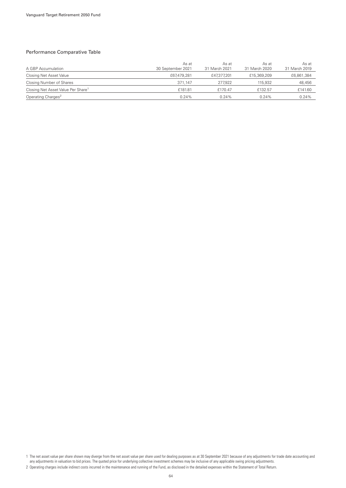### Performance Comparative Table

| A GBP Accumulation                             | As at<br>30 September 2021 | As at<br>31 March 2021 | As at<br>31 March 2020 | As at<br>31 March 2019 |
|------------------------------------------------|----------------------------|------------------------|------------------------|------------------------|
| Closing Net Asset Value                        | £67,479,281                | £47,377,201            | £15,369,209            | £6,861,384             |
| Closing Number of Shares                       | 371.147                    | 277.922                | 115,932                | 48,456                 |
| Closing Net Asset Value Per Share <sup>1</sup> | £181.81                    | £170.47                | £132.57                | £141.60                |
| Operating Charges <sup>2</sup>                 | 0.24%                      | 0.24%                  | $0.24\%$               | 0.24%                  |

1 The net asset value per share shown may diverge from the net asset value per share used for dealing purposes as at 30 September 2021 because of any adjustments for trade date accounting and any adjustments in valuation to bid prices. The quoted price for underlying collective investment schemes may be inclusive of any applicable swing pricing adjustments.

<sup>2</sup> Operating charges include indirect costs incurred in the maintenance and running of the Fund, as disclosed in the detailed expenses within the Statement of Total Return.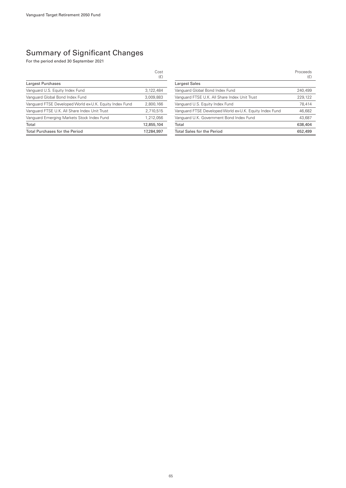|                                                         | Cost<br>(E) |
|---------------------------------------------------------|-------------|
| Largest Purchases                                       |             |
| Vanguard U.S. Equity Index Fund                         | 3.122.484   |
| Vanguard Global Bond Index Fund                         | 3.009.883   |
| Vanguard FTSE Developed World ex-U.K. Equity Index Fund | 2,800,166   |
| Vanguard FTSE U.K. All Share Index Unit Trust           | 2,710,515   |
| Vanguard Emerging Markets Stock Index Fund              | 1,212,056   |
| Total                                                   | 12,855,104  |
| <b>Total Purchases for the Period</b>                   | 17,284,997  |

|                                                         | Proceeds<br>(E) |
|---------------------------------------------------------|-----------------|
| Largest Sales                                           |                 |
| Vanguard Global Bond Index Fund                         | 240,499         |
| Vanguard FTSE U.K. All Share Index Unit Trust           | 229,122         |
| Vanguard U.S. Equity Index Fund                         | 78.414          |
| Vanguard FTSE Developed World ex-U.K. Equity Index Fund | 46,682          |
| Vanguard U.K. Government Bond Index Fund                | 43,687          |
| Total                                                   | 638,404         |
| <b>Total Sales for the Period</b>                       | 652,499         |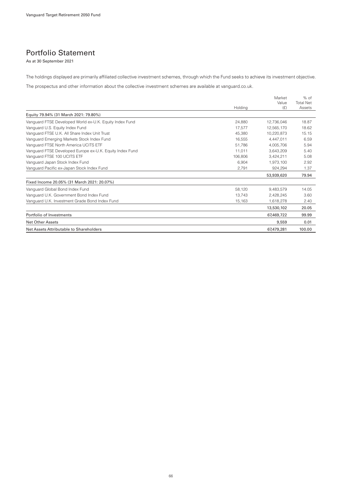### Portfolio Statement

As at 30 September 2021

The holdings displayed are primarily affiliated collective investment schemes, through which the Fund seeks to achieve its investment objective.

The prospectus and other information about the collective investment schemes are available at vanguard.co.uk.

|                                                          | Holdina | Market<br>Value<br>(E) | $%$ of<br><b>Total Net</b><br>Assets |
|----------------------------------------------------------|---------|------------------------|--------------------------------------|
| Equity 79.94% (31 March 2021: 79.80%)                    |         |                        |                                      |
| Vanguard FTSE Developed World ex-U.K. Equity Index Fund  | 24,880  | 12,736,046             | 18.87                                |
| Vanguard U.S. Equity Index Fund                          | 17,577  | 12.565.170             | 18.62                                |
| Vanguard FTSE U.K. All Share Index Unit Trust            | 45.380  | 10,220,873             | 15.15                                |
| Vanguard Emerging Markets Stock Index Fund               | 16,555  | 4.447.011              | 6.59                                 |
| Vanquard FTSE North America UCITS ETF                    | 51,786  | 4.005.706              | 5.94                                 |
| Vanguard FTSE Developed Europe ex-U.K. Equity Index Fund | 11,011  | 3,643,209              | 5.40                                 |
| Vanguard FTSE 100 UCITS ETF                              | 106,806 | 3,424,211              | 5.08                                 |
| Vanguard Japan Stock Index Fund                          | 6.904   | 1,973,100              | 2.92                                 |
| Vanguard Pacific ex-Japan Stock Index Fund               | 2,791   | 924,294                | 1.37                                 |
|                                                          |         | 53,939,620             | 79.94                                |
| Fixed Income 20.05% (31 March 2021: 20.07%)              |         |                        |                                      |
| Vanguard Global Bond Index Fund                          | 58,120  | 9,483,579              | 14.05                                |
| Vanguard U.K. Government Bond Index Fund                 | 13.743  | 2.428.245              | 3.60                                 |
| Vanguard U.K. Investment Grade Bond Index Fund           | 15,163  | 1,618,278              | 2.40                                 |
|                                                          |         | 13,530,102             | 20.05                                |
| Portfolio of Investments                                 |         | 67,469,722             | 99.99                                |
| <b>Net Other Assets</b>                                  |         | 9,559                  | 0.01                                 |
| Net Assets Attributable to Shareholders                  |         | 67.479.281             | 100.00                               |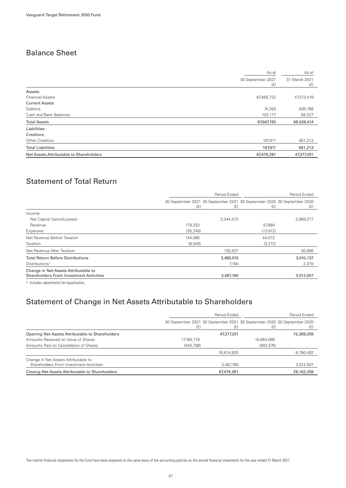## Balance Sheet

|                                         | As at                    | As at                |
|-----------------------------------------|--------------------------|----------------------|
|                                         | 30 September 2021<br>(E) | 31 March 2021<br>(f) |
| Assets:                                 |                          |                      |
| <b>Financial Assets</b>                 | 67,469,722               | 47,313,419           |
| <b>Current Assets</b>                   |                          |                      |
| Debtors                                 | 74,293                   | 630,768              |
| Cash and Bank Balances                  | 103,177                  | 84,227               |
| <b>Total Assets</b>                     | 67,647,192               | 48,028,414           |
| Liabilities:                            |                          |                      |
| Creditors                               |                          |                      |
| Other Creditors                         | 167,911                  | 651,213              |
| <b>Total Liabilities</b>                | 167,911                  | 651,213              |
| Net Assets Attributable to Shareholders | 67,479,281               | 47,377,201           |
|                                         |                          |                      |

# Statement of Total Return

|                                                                                        | Period Ended |                                                                                |           | Period Ended |
|----------------------------------------------------------------------------------------|--------------|--------------------------------------------------------------------------------|-----------|--------------|
|                                                                                        | (E)          | 30 September 2021 30 September 2021 30 September 2020 30 September 2020<br>(E) | (E)       | (E)          |
| Income                                                                                 |              |                                                                                |           |              |
| Net Capital Gains/(Losses)                                                             |              | 3,344,473                                                                      |           | 2,969,277    |
| Revenue                                                                                | 179,333      |                                                                                | 57,884    |              |
| Expenses                                                                               | (35, 248)    |                                                                                | (13, 812) |              |
| Net Revenue Before Taxation                                                            | 144,085      |                                                                                | 44,072    |              |
| Taxation                                                                               | (8,548)      |                                                                                | (3,212)   |              |
| Net Revenue After Taxation                                                             |              | 135,537                                                                        |           | 40,860       |
| <b>Total Return Before Distributions</b>                                               |              | 3,480,010                                                                      |           | 3,010,137    |
| Distributions <sup>1</sup>                                                             |              | 7,150                                                                          |           | 2,370        |
| Change in Net Assets Attributable to<br><b>Shareholders From Investment Activities</b> |              | 3,487,160                                                                      |           | 3,012,507    |
|                                                                                        |              |                                                                                |           |              |

1 Includes adjustments for equalisation.

### Statement of Change in Net Assets Attributable to Shareholders

|                                                                                 | Period Ended |            |                                                                                | Period Ended |
|---------------------------------------------------------------------------------|--------------|------------|--------------------------------------------------------------------------------|--------------|
|                                                                                 | (£)          | (E)        | 30 September 2021 30 September 2021 30 September 2020 30 September 2020<br>(£) |              |
| Opening Net Assets Attributable to Shareholders                                 |              | 47,377,201 |                                                                                | 15,369,209   |
| Amounts Received on Issue of Shares                                             | 17,160,718   |            | 10,684,068                                                                     |              |
| Amounts Paid on Cancellation of Shares                                          | (545, 798)   |            | (903, 576)                                                                     |              |
|                                                                                 |              | 16,614,920 |                                                                                | 9,780,492    |
| Change in Net Assets Attributable to<br>Shareholders From Investment Activities |              | 3,487,160  |                                                                                | 3,012,507    |
| Closing Net Assets Attributable to Shareholders                                 |              | 67,479,281 |                                                                                | 28,162,208   |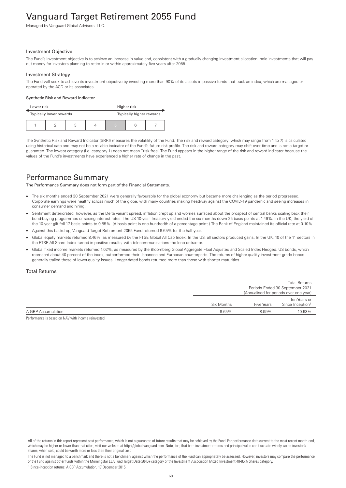# Vanguard Target Retirement 2055 Fund

Managed by Vanguard Global Advisers, LLC.

#### Investment Objective

The Fund's investment objective is to achieve an increase in value and, consistent with a gradually changing investment allocation, hold investments that will pay out money for investors planning to retire in or within approximately five years after 2055.

#### Investment Strategy

The Fund will seek to achieve its investment objective by investing more than 90% of its assets in passive funds that track an index, which are managed or operated by the ACD or its associates.

#### Synthetic Risk and Reward Indicator

| Lower risk              |  |  | Higher risk |                          |  |  |
|-------------------------|--|--|-------------|--------------------------|--|--|
| Typically lower rewards |  |  |             | Typically higher rewards |  |  |
|                         |  |  |             | 5                        |  |  |

The Synthetic Risk and Reward Indicator (SRRI) measures the volatility of the Fund. The risk and reward category (which may range from 1 to 7) is calculated using historical data and may not be a reliable indicator of the Fund's future risk profile. The risk and reward category may shift over time and is not a target or guarantee. The lowest category (i.e. category 1) does not mean "risk free". The Fund appears in the higher range of the risk and reward indicator because the values of the Fund's investments have experienced a higher rate of change in the past.

### Performance Summary

The Performance Summary does not form part of the Financial Statements.

- The six months ended 30 September 2021 were generally favourable for the global economy but became more challenging as the period progressed. Corporate earnings were healthy across much of the globe, with many countries making headway against the COVID-19 pandemic and seeing increases in consumer demand and hiring.
- Sentiment deteriorated, however, as the Delta variant spread, inflation crept up and worries surfaced about the prospect of central banks scaling back their bond-buying programmes or raising interest rates. The US 10-year Treasury yield ended the six months down 25 basis points at 1.49%. In the UK, the yield of the 10-year gilt fell 17 basis points to 0.85%. (A basis point is one-hundredth of a percentage point.) The Bank of England maintained its official rate at 0.10%.
- Against this backdrop, Vanguard Target Retirement 2055 Fund returned 6.65% for the half year.
- Global equity markets returned 8.46%, as measured by the FTSE Global All Cap Index. In the US, all sectors produced gains. In the UK, 10 of the 11 sectors in the FTSE All-Share Index turned in positive results, with telecommunications the lone detractor.
- Global fixed income markets returned 1.02%, as measured by the Bloomberg Global Aggregate Float Adjusted and Scaled Index Hedged. US bonds, which represent about 40 percent of the index, outperformed their Japanese and European counterparts. The returns of higher-quality investment-grade bonds generally trailed those of lower-quality issues. Longer-dated bonds returned more than those with shorter maturities.

### Total Returns

|                    |            | <b>Total Returns</b><br>Periods Ended 30 September 2021<br>(Annualised for periods over one year) |                                              |
|--------------------|------------|---------------------------------------------------------------------------------------------------|----------------------------------------------|
|                    | Six Months | Five Years                                                                                        | Ten Years or<br>Since Inception <sup>1</sup> |
| A GBP Accumulation | 6.65%      | 8.99%                                                                                             | 10.93%                                       |

Performance is based on NAV with income reinvested.

All of the returns in this report represent past performance, which is not a guarantee of future results that may be achieved by the Fund. For performance data current to the most recent month-end, which may be higher or lower than that cited, visit our website at http://global.vanguard.com. Note, too, that both investment returns and principal value can fluctuate widely, so an investor's shares, when sold, could be worth more or less than their original cost.

The Fund is not managed to a benchmark and there is not a benchmark against which the performance of the Fund can appropriately be assessed. However, investors may compare the performance of the Fund against other funds within the Morningstar EEA Fund Target Date 2046+ category or the Investment Association Mixed Investment 40-85% Shares category. 1 Since-inception returns: A GBP Accumulation, 17 December 2015.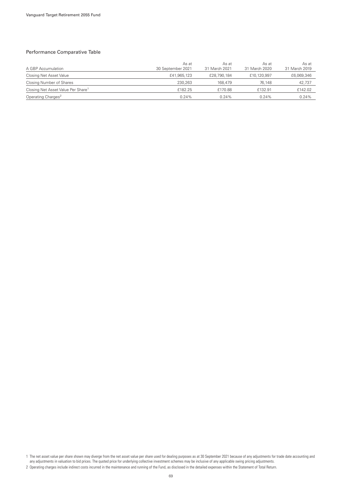### Performance Comparative Table

| A GBP Accumulation                             | As at<br>30 September 2021 | As at<br>31 March 2021 | As at<br>31 March 2020 | As at<br>31 March 2019 |
|------------------------------------------------|----------------------------|------------------------|------------------------|------------------------|
| Closing Net Asset Value                        | £41,965,123                | £28,790,184            | £10,120,997            | £6,069,346             |
| Closing Number of Shares                       | 230.263                    | 168,479                | 76.148                 | 42,737                 |
| Closing Net Asset Value Per Share <sup>1</sup> | £182.25                    | £170.88                | £132.91                | £142.02                |
| Operating Charges <sup>2</sup>                 | 0.24%                      | 0.24%                  | $0.24\%$               | 0.24%                  |

1 The net asset value per share shown may diverge from the net asset value per share used for dealing purposes as at 30 September 2021 because of any adjustments for trade date accounting and any adjustments in valuation to bid prices. The quoted price for underlying collective investment schemes may be inclusive of any applicable swing pricing adjustments.

<sup>2</sup> Operating charges include indirect costs incurred in the maintenance and running of the Fund, as disclosed in the detailed expenses within the Statement of Total Return.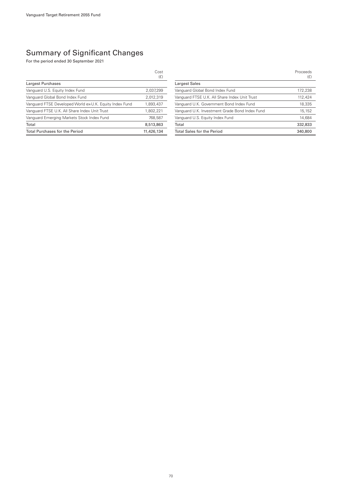|                                                         | Cost<br>(E) |
|---------------------------------------------------------|-------------|
| Largest Purchases                                       |             |
| Vanguard U.S. Equity Index Fund                         | 2.037.299   |
| Vanguard Global Bond Index Fund                         | 2.012.319   |
| Vanguard FTSE Developed World ex-U.K. Equity Index Fund | 1,893,437   |
| Vanguard FTSE U.K. All Share Index Unit Trust           | 1,802,221   |
| Vanguard Emerging Markets Stock Index Fund              | 768.587     |
| Total                                                   | 8,513,863   |
| <b>Total Purchases for the Period</b>                   | 11.426.134  |

|                                                | Proceeds<br>(E) |
|------------------------------------------------|-----------------|
| <b>Largest Sales</b>                           |                 |
| Vanquard Global Bond Index Fund                | 172.238         |
| Vanguard FTSE U.K. All Share Index Unit Trust  | 112.424         |
| Vanguard U.K. Government Bond Index Fund       | 18.335          |
| Vanquard U.K. Investment Grade Bond Index Fund | 15.152          |
| Vanguard U.S. Equity Index Fund                | 14,684          |
| Total                                          | 332,833         |
| <b>Total Sales for the Period</b>              | 340,800         |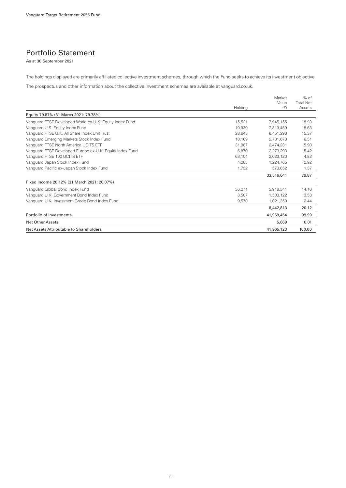### Portfolio Statement

As at 30 September 2021

The holdings displayed are primarily affiliated collective investment schemes, through which the Fund seeks to achieve its investment objective.

The prospectus and other information about the collective investment schemes are available at vanguard.co.uk.

|                                                          |         | Market<br>Value | $%$ of<br><b>Total Net</b> |
|----------------------------------------------------------|---------|-----------------|----------------------------|
|                                                          | Holding | (E)             | Assets                     |
| Equity 79.87% (31 March 2021: 79.78%)                    |         |                 |                            |
| Vanguard FTSE Developed World ex-U.K. Equity Index Fund  | 15,521  | 7.945.155       | 18.93                      |
| Vanguard U.S. Equity Index Fund                          | 10,939  | 7,819,459       | 18.63                      |
| Vanguard FTSE U.K. All Share Index Unit Trust            | 28,643  | 6,451,293       | 15.37                      |
| Vanguard Emerging Markets Stock Index Fund               | 10.169  | 2.731.673       | 6.51                       |
| Vanquard FTSE North America UCITS ETF                    | 31,987  | 2.474.231       | 5.90                       |
| Vanguard FTSE Developed Europe ex-U.K. Equity Index Fund | 6.870   | 2.273.293       | 5.42                       |
| Vanguard FTSE 100 UCITS ETF                              | 63,104  | 2,023,120       | 4.82                       |
| Vanguard Japan Stock Index Fund                          | 4.285   | 1,224,765       | 2.92                       |
| Vanguard Pacific ex-Japan Stock Index Fund               | 1.732   | 573,652         | 1.37                       |
|                                                          |         | 33,516,641      | 79.87                      |
| Fixed Income 20.12% (31 March 2021: 20.07%)              |         |                 |                            |
| Vanguard Global Bond Index Fund                          | 36,271  | 5,918,341       | 14.10                      |
| Vanguard U.K. Government Bond Index Fund                 | 8.507   | 1.503.122       | 3.58                       |
| Vanguard U.K. Investment Grade Bond Index Fund           | 9,570   | 1,021,350       | 2.44                       |
|                                                          |         | 8,442,813       | 20.12                      |
| Portfolio of Investments                                 |         | 41,959,454      | 99.99                      |
| <b>Net Other Assets</b>                                  |         | 5,669           | 0.01                       |
| Net Assets Attributable to Shareholders                  |         | 41,965,123      | 100.00                     |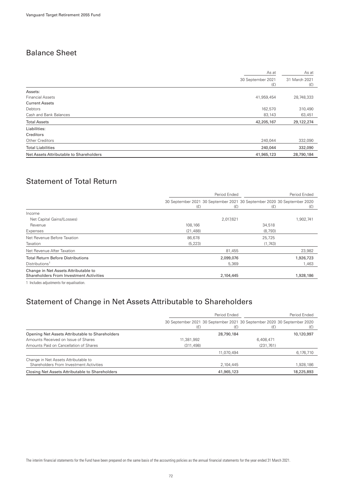## Balance Sheet

|                                         | As at      | As at                |
|-----------------------------------------|------------|----------------------|
| 30 September 2021                       | (E)        | 31 March 2021<br>(f) |
| Assets:                                 |            |                      |
| <b>Financial Assets</b>                 | 41,959,454 | 28,748,333           |
| <b>Current Assets</b>                   |            |                      |
| Debtors                                 | 162,570    | 310,490              |
| Cash and Bank Balances                  | 83,143     | 63,451               |
| <b>Total Assets</b>                     | 42,205,167 | 29,122,274           |
| Liabilities:                            |            |                      |
| Creditors                               |            |                      |
| Other Creditors                         | 240,044    | 332,090              |
| <b>Total Liabilities</b>                | 240,044    | 332,090              |
| Net Assets Attributable to Shareholders | 41,965,123 | 28,790,184           |

# Statement of Total Return

|                                                                                        | Period Ended                                                                   |           |         | Period Ended |
|----------------------------------------------------------------------------------------|--------------------------------------------------------------------------------|-----------|---------|--------------|
|                                                                                        | 30 September 2021 30 September 2021 30 September 2020 30 September 2020<br>(E) | (E)       | (E)     | (E)          |
| Income                                                                                 |                                                                                |           |         |              |
| Net Capital Gains/(Losses)                                                             |                                                                                | 2,017,621 |         | 1,902,741    |
| Revenue                                                                                | 108,166                                                                        |           | 34,518  |              |
| Expenses                                                                               | (21, 488)                                                                      |           | (8.793) |              |
| Net Revenue Before Taxation                                                            | 86,678                                                                         |           | 25,725  |              |
| Taxation                                                                               | (5, 223)                                                                       |           | (1,743) |              |
| Net Revenue After Taxation                                                             |                                                                                | 81,455    |         | 23,982       |
| <b>Total Return Before Distributions</b>                                               |                                                                                | 2,099,076 |         | 1,926,723    |
| Distributions <sup>1</sup>                                                             |                                                                                | 5,369     |         | 1,463        |
| Change in Net Assets Attributable to<br><b>Shareholders From Investment Activities</b> |                                                                                | 2,104,445 |         | 1,928,186    |
|                                                                                        |                                                                                |           |         |              |

1 Includes adjustments for equalisation.

### Statement of Change in Net Assets Attributable to Shareholders

|                                                                                 | Period Ended |            | Period Ended                                                                   |            |
|---------------------------------------------------------------------------------|--------------|------------|--------------------------------------------------------------------------------|------------|
|                                                                                 | (E)          | (£)        | 30 September 2021 30 September 2021 30 September 2020 30 September 2020<br>(E) | (£)        |
| Opening Net Assets Attributable to Shareholders                                 |              | 28,790,184 |                                                                                | 10,120,997 |
| Amounts Received on Issue of Shares                                             | 11,381,992   |            | 6,408,471                                                                      |            |
| Amounts Paid on Cancellation of Shares                                          | (311, 498)   |            | (231, 761)                                                                     |            |
|                                                                                 |              | 11.070.494 |                                                                                | 6,176,710  |
| Change in Net Assets Attributable to<br>Shareholders From Investment Activities |              | 2,104,445  |                                                                                | 1,928,186  |
| Closing Net Assets Attributable to Shareholders                                 |              | 41,965,123 |                                                                                | 18,225,893 |

The interim financial statements for the Fund have been prepared on the same basis of the accounting policies as the annual financial statements for the year ended 31 March 2021.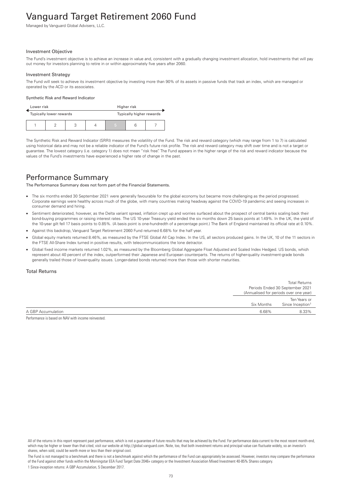# Vanguard Target Retirement 2060 Fund

Managed by Vanguard Global Advisers, LLC.

#### Investment Objective

The Fund's investment objective is to achieve an increase in value and, consistent with a gradually changing investment allocation, hold investments that will pay out money for investors planning to retire in or within approximately five years after 2060.

#### Investment Strategy

The Fund will seek to achieve its investment objective by investing more than 90% of its assets in passive funds that track an index, which are managed or operated by the ACD or its associates.

#### Synthetic Risk and Reward Indicator

| Lower risk<br>Higher risk |  |  |   |                          |  |
|---------------------------|--|--|---|--------------------------|--|
| Typically lower rewards   |  |  |   | Typically higher rewards |  |
|                           |  |  | 5 |                          |  |

The Synthetic Risk and Reward Indicator (SRRI) measures the volatility of the Fund. The risk and reward category (which may range from 1 to 7) is calculated using historical data and may not be a reliable indicator of the Fund's future risk profile. The risk and reward category may shift over time and is not a target or guarantee. The lowest category (i.e. category 1) does not mean "risk free". The Fund appears in the higher range of the risk and reward indicator because the values of the Fund's investments have experienced a higher rate of change in the past.

### Performance Summary

The Performance Summary does not form part of the Financial Statements.

- The six months ended 30 September 2021 were generally favourable for the global economy but became more challenging as the period progressed. Corporate earnings were healthy across much of the globe, with many countries making headway against the COVID-19 pandemic and seeing increases in consumer demand and hiring.
- Sentiment deteriorated, however, as the Delta variant spread, inflation crept up and worries surfaced about the prospect of central banks scaling back their bond-buying programmes or raising interest rates. The US 10-year Treasury yield ended the six months down 25 basis points at 1.49%. In the UK, the yield of the 10-year gilt fell 17 basis points to 0.85%. (A basis point is one-hundredth of a percentage point.) The Bank of England maintained its official rate at 0.10%.
- Against this backdrop, Vanguard Target Retirement 2060 Fund returned 6.68% for the half year.
- Global equity markets returned 8.46%, as measured by the FTSE Global All Cap Index. In the US, all sectors produced gains. In the UK, 10 of the 11 sectors in the FTSE All-Share Index turned in positive results, with telecommunications the lone detractor.
- Global fixed income markets returned 1.02%, as measured by the Bloomberg Global Aggregate Float Adjusted and Scaled Index Hedged. US bonds, which represent about 40 percent of the index, outperformed their Japanese and European counterparts. The returns of higher-quality investment-grade bonds generally trailed those of lower-quality issues. Longer-dated bonds returned more than those with shorter maturities.

#### Total Returns

|                    |            | <b>Total Returns</b>                   |  |
|--------------------|------------|----------------------------------------|--|
|                    |            | Periods Ended 30 September 2021        |  |
|                    |            | (Annualised for periods over one year) |  |
|                    |            | Ten Years or                           |  |
|                    | Six Months | Since Inception <sup>1</sup>           |  |
| A GBP Accumulation | 6.68%      | 8.33%                                  |  |

Performance is based on NAV with income reinvested.

The Fund is not managed to a benchmark and there is not a benchmark against which the performance of the Fund can appropriately be assessed. However, investors may compare the performance of the Fund against other funds within the Morningstar EEA Fund Target Date 2046+ category or the Investment Association Mixed Investment 40-85% Shares category. 1 Since-inception returns: A GBP Accumulation, 5 December 2017.

All of the returns in this report represent past performance, which is not a guarantee of future results that may be achieved by the Fund. For performance data current to the most recent month-end, which may be higher or lower than that cited, visit our website at http://global.vanguard.com. Note, too, that both investment returns and principal value can fluctuate widely, so an investor's shares, when sold, could be worth more or less than their original cost.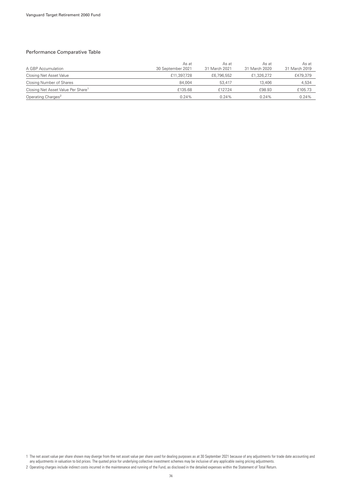### Performance Comparative Table

| A GBP Accumulation                             | As at<br>30 September 2021 | As at<br>31 March 2021 | As at<br>31 March 2020 | As at<br>31 March 2019 |
|------------------------------------------------|----------------------------|------------------------|------------------------|------------------------|
| Closing Net Asset Value                        | £11,397,728                | £6,796,552             | £1,326,272             | £479,379               |
| Closing Number of Shares                       | 84.004                     | 53.417                 | 13,406                 | 4,534                  |
| Closing Net Asset Value Per Share <sup>1</sup> | £135.68                    | £127.24                | £98.93                 | £105.73                |
| Operating Charges <sup>2</sup>                 | 0.24%                      | 0.24%                  | $0.24\%$               | 0.24%                  |

1 The net asset value per share shown may diverge from the net asset value per share used for dealing purposes as at 30 September 2021 because of any adjustments for trade date accounting and any adjustments in valuation to bid prices. The quoted price for underlying collective investment schemes may be inclusive of any applicable swing pricing adjustments.

<sup>2</sup> Operating charges include indirect costs incurred in the maintenance and running of the Fund, as disclosed in the detailed expenses within the Statement of Total Return.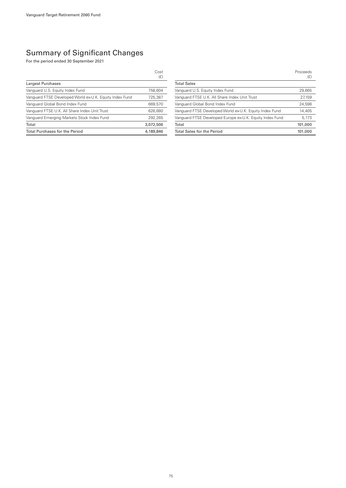### Summary of Significant Changes

For the period ended 30 September 2021

|                                                         | Cost<br>(E) |
|---------------------------------------------------------|-------------|
| Largest Purchases                                       |             |
| Vanguard U.S. Equity Index Fund                         | 758.604     |
| Vanguard FTSE Developed World ex-U.K. Equity Index Fund | 725.387     |
| Vanguard Global Bond Index Fund                         | 669,570     |
| Vanguard FTSE U.K. All Share Index Unit Trust           | 626,680     |
| Vanguard Emerging Markets Stock Index Fund              | 292.265     |
| Total                                                   | 3,072,506   |
| <b>Total Purchases for the Period</b>                   | 4,189,846   |

|                                                          | Proceeds<br>(E) |
|----------------------------------------------------------|-----------------|
| <b>Total Sales</b>                                       |                 |
| Vanguard U.S. Equity Index Fund                          | 29.665          |
| Vanguard FTSE U.K. All Share Index Unit Trust            | 27.159          |
| Vanguard Global Bond Index Fund                          | 24.598          |
| Vanguard FTSE Developed World ex-U.K. Equity Index Fund  | 14,405          |
| Vanguard FTSE Developed Europe ex-U.K. Equity Index Fund | 5.173           |
| Total                                                    | 101,000         |
| <b>Total Sales for the Period</b>                        | 101,000         |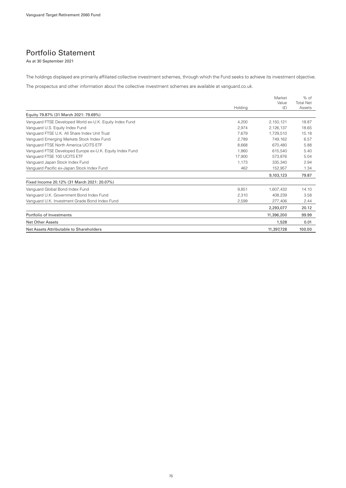### Portfolio Statement

As at 30 September 2021

The holdings displayed are primarily affiliated collective investment schemes, through which the Fund seeks to achieve its investment objective.

The prospectus and other information about the collective investment schemes are available at vanguard.co.uk.

|                                                          | Holding | Market<br>Value<br>(E) | $%$ of<br><b>Total Net</b><br>Assets |
|----------------------------------------------------------|---------|------------------------|--------------------------------------|
| Equity 79.87% (31 March 2021: 79.69%)                    |         |                        |                                      |
| Vanguard FTSE Developed World ex-U.K. Equity Index Fund  | 4,200   | 2,150,121              | 18.87                                |
| Vanguard U.S. Equity Index Fund                          | 2.974   | 2,126,137              | 18.65                                |
| Vanguard FTSE U.K. All Share Index Unit Trust            | 7.679   | 1,729,510              | 15.18                                |
| Vanguard Emerging Markets Stock Index Fund               | 2.789   | 749.162                | 6.57                                 |
| Vanquard FTSE North America UCITS ETF                    | 8.668   | 670.480                | 5.88                                 |
| Vanguard FTSE Developed Europe ex-U.K. Equity Index Fund | 1.860   | 615.540                | 5.40                                 |
| Vanguard FTSE 100 UCITS ETF                              | 17.900  | 573.876                | 5.04                                 |
| Vanguard Japan Stock Index Fund                          | 1.173   | 335.340                | 2.94                                 |
| Vanguard Pacific ex-Japan Stock Index Fund               | 462     | 152,957                | 1.34                                 |
|                                                          |         | 9,103,123              | 79.87                                |
| Fixed Income 20.12% (31 March 2021: 20.07%)              |         |                        |                                      |
| Vanguard Global Bond Index Fund                          | 9.851   | 1,607,432              | 14.10                                |
| Vanguard U.K. Government Bond Index Fund                 | 2,310   | 408,239                | 3.58                                 |
| Vanguard U.K. Investment Grade Bond Index Fund           | 2.599   | 277,406                | 2.44                                 |
|                                                          |         | 2,293,077              | 20.12                                |
| Portfolio of Investments                                 |         | 11,396,200             | 99.99                                |
| <b>Net Other Assets</b>                                  |         | 1,528                  | 0.01                                 |
| Net Assets Attributable to Shareholders                  |         | 11,397,728             | 100.00                               |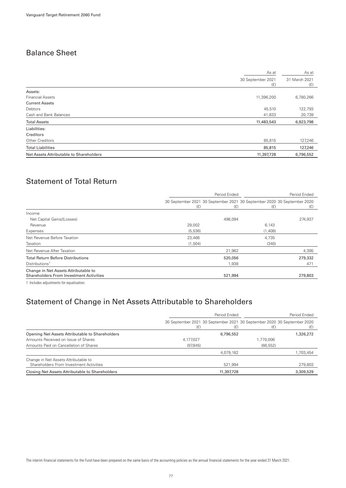## Balance Sheet

|                                         | As at                    | As at                |
|-----------------------------------------|--------------------------|----------------------|
|                                         | 30 September 2021<br>(E) | 31 March 2021<br>(f) |
| Assets:                                 |                          |                      |
| <b>Financial Assets</b>                 | 11,396,200               | 6,780,266            |
| <b>Current Assets</b>                   |                          |                      |
| Debtors                                 | 45,510                   | 122,793              |
| Cash and Bank Balances                  | 41,833                   | 20,739               |
| <b>Total Assets</b>                     | 11,483,543               | 6,923,798            |
| Liabilities:                            |                          |                      |
| Creditors                               |                          |                      |
| Other Creditors                         | 85,815                   | 127,246              |
| <b>Total Liabilities</b>                | 85,815                   | 127,246              |
| Net Assets Attributable to Shareholders | 11,397,728               | 6,796,552            |
|                                         |                          |                      |

# Statement of Total Return

|                                                                                        | Period Ended                                                                   |         | Period Ended |         |
|----------------------------------------------------------------------------------------|--------------------------------------------------------------------------------|---------|--------------|---------|
|                                                                                        | 30 September 2021 30 September 2021 30 September 2020 30 September 2020<br>(E) | (E)     | (E)          | (E)     |
| Income                                                                                 |                                                                                |         |              |         |
| Net Capital Gains/(Losses)                                                             |                                                                                | 498,094 |              | 274,937 |
| Revenue                                                                                | 29,002                                                                         |         | 6,143        |         |
| Expenses                                                                               | (5,536)                                                                        |         | (1,408)      |         |
| Net Revenue Before Taxation                                                            | 23,466                                                                         |         | 4,735        |         |
| Taxation                                                                               | (1,504)                                                                        |         | (340)        |         |
| Net Revenue After Taxation                                                             |                                                                                | 21,962  |              | 4,395   |
| <b>Total Return Before Distributions</b>                                               |                                                                                | 520,056 |              | 279,332 |
| Distributions <sup>1</sup>                                                             |                                                                                | 1,938   |              | 471     |
| Change in Net Assets Attributable to<br><b>Shareholders From Investment Activities</b> |                                                                                | 521,994 |              | 279,803 |
|                                                                                        |                                                                                |         |              |         |

1 Includes adjustments for equalisation.

### Statement of Change in Net Assets Attributable to Shareholders

|                                                                                 |           | Period Ended |                                                                                | Period Ended |
|---------------------------------------------------------------------------------|-----------|--------------|--------------------------------------------------------------------------------|--------------|
|                                                                                 | (£)       | (E)          | 30 September 2021 30 September 2021 30 September 2020 30 September 2020<br>(E) |              |
| Opening Net Assets Attributable to Shareholders                                 |           | 6,796,552    |                                                                                | 1,326,272    |
| Amounts Received on Issue of Shares                                             | 4,177,027 |              | 1,770,006                                                                      |              |
| Amounts Paid on Cancellation of Shares                                          | (97, 845) |              | (66, 552)                                                                      |              |
|                                                                                 |           | 4,079,182    |                                                                                | 1,703,454    |
| Change in Net Assets Attributable to<br>Shareholders From Investment Activities |           | 521,994      |                                                                                | 279,803      |
| Closing Net Assets Attributable to Shareholders                                 |           | 11,397,728   |                                                                                | 3,309,529    |

The interim financial statements for the Fund have been prepared on the same basis of the accounting policies as the annual financial statements for the year ended 31 March 2021.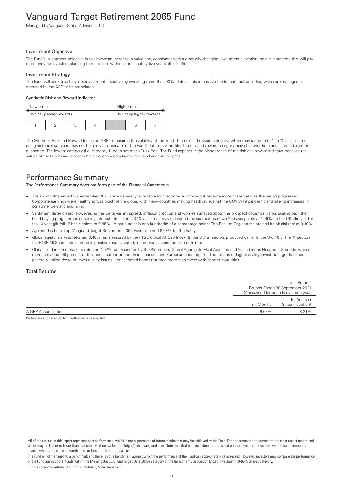# Vanguard Target Retirement 2065 Fund

Managed by Vanguard Global Advisers, LLC.

#### Investment Objective

The Fund's investment objective is to achieve an increase in value and, consistent with a gradually changing investment allocation, hold investments that will pay out money for investors planning to retire in or within approximately five years after 2065.

#### Investment Strategy

The Fund will seek to achieve its investment objective by investing more than 90% of its assets in passive funds that track an index, which are managed or operated by the ACD or its associates.

#### Synthetic Risk and Reward Indicator

| Lower risk |                                                     |  | Higher risk |  |  |  |
|------------|-----------------------------------------------------|--|-------------|--|--|--|
|            | Typically higher rewards<br>Typically lower rewards |  |             |  |  |  |
|            |                                                     |  | 5           |  |  |  |

The Synthetic Risk and Reward Indicator (SRRI) measures the volatility of the Fund. The risk and reward category (which may range from 1 to 7) is calculated using historical data and may not be a reliable indicator of the Fund's future risk profile. The risk and reward category may shift over time and is not a target or guarantee. The lowest category (i.e. category 1) does not mean "risk free". The Fund appears in the higher range of the risk and reward indicator because the values of the Fund's investments have experienced a higher rate of change in the past.

### Performance Summary

The Performance Summary does not form part of the Financial Statements.

- The six months ended 30 September 2021 were generally favourable for the global economy but became more challenging as the period progressed. Corporate earnings were healthy across much of the globe, with many countries making headway against the COVID-19 pandemic and seeing increases in consumer demand and hiring.
- Sentiment deteriorated, however, as the Delta variant spread, inflation crept up and worries surfaced about the prospect of central banks scaling back their bond-buying programmes or raising interest rates. The US 10-year Treasury yield ended the six months down 25 basis points at 1.49%. In the UK, the yield of the 10-year gilt fell 17 basis points to 0.85%. (A basis point is one-hundredth of a percentage point.) The Bank of England maintained its official rate at 0.10%.
- Against this backdrop, Vanguard Target Retirement 2065 Fund returned 6.63% for the half year.
- Global equity markets returned 8.46%, as measured by the FTSE Global All Cap Index. In the US, all sectors produced gains. In the UK, 10 of the 11 sectors in the FTSE All-Share Index turned in positive results, with telecommunications the lone detractor.
- Global fixed income markets returned 1.02%, as measured by the Bloomberg Global Aggregate Float Adjusted and Scaled Index Hedged. US bonds, which represent about 40 percent of the index, outperformed their Japanese and European counterparts. The returns of higher-quality investment-grade bonds generally trailed those of lower-quality issues. Longer-dated bonds returned more than those with shorter maturities.

### Total Returns

|                    |            | <b>Total Returns</b>                   |
|--------------------|------------|----------------------------------------|
|                    |            | Periods Ended 30 September 2021        |
|                    |            | (Annualised for periods over one year) |
|                    |            | Ten Years or                           |
|                    | Six Months | Since Inception <sup>1</sup>           |
| A GBP Accumulation | 6.63%      | 8.31%                                  |

Performance is based on NAV with income reinvested.

The Fund is not managed to a benchmark and there is not a benchmark against which the performance of the Fund can appropriately be assessed. However, investors may compare the performance of the Fund against other funds within the Morningstar EEA Fund Target Date 2046+ category or the Investment Association Mixed Investment 40-85% Shares category. 1 Since-inception returns: A GBP Accumulation, 5 December 2017.

All of the returns in this report represent past performance, which is not a guarantee of future results that may be achieved by the Fund. For performance data current to the most recent month-end, which may be higher or lower than that cited, visit our website at http://global.vanguard.com. Note, too, that both investment returns and principal value can fluctuate widely, so an investor's shares, when sold, could be worth more or less than their original cost.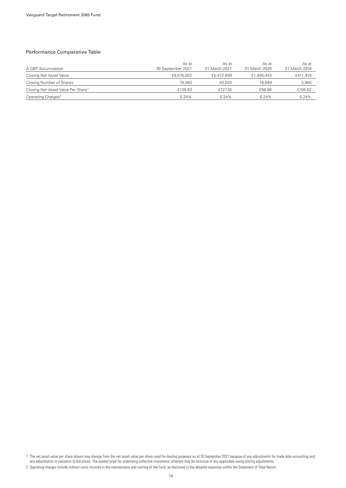### Performance Comparative Table

| A GBP Accumulation                             | As at<br>30 September 2021 | As at<br>31 March 2021 | As at<br>31 March 2020 | As at<br>31 March 2019 |
|------------------------------------------------|----------------------------|------------------------|------------------------|------------------------|
| Closing Net Asset Value                        | £9,570,622                 | £5,472,649             | £1,845,443             | £411,918               |
| Closing Number of Shares                       | 70.563                     | 43.023                 | 18.649                 | 3,900                  |
| Closing Net Asset Value Per Share <sup>1</sup> | £135.63                    | £127.20                | £98.96                 | £105.62                |
| Operating Charges <sup>2</sup>                 | 0.24%                      | 0.24%                  | $0.24\%$               | 0.24%                  |

1 The net asset value per share shown may diverge from the net asset value per share used for dealing purposes as at 30 September 2021 because of any adjustments for trade date accounting and any adjustments in valuation to bid prices. The quoted price for underlying collective investment schemes may be inclusive of any applicable swing pricing adjustments.

<sup>2</sup> Operating charges include indirect costs incurred in the maintenance and running of the Fund, as disclosed in the detailed expenses within the Statement of Total Return.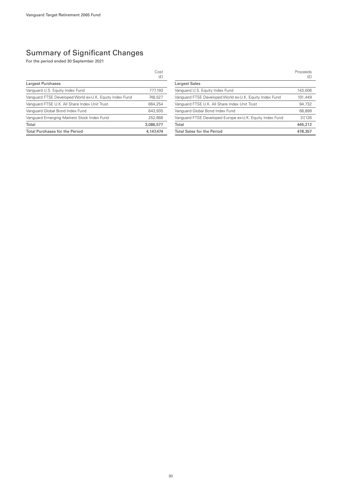### Summary of Significant Changes

For the period ended 30 September 2021

|                                                         | Cost<br>(E) |
|---------------------------------------------------------|-------------|
| Largest Purchases                                       |             |
| Vanguard U.S. Equity Index Fund                         | 777.193     |
| Vanguard FTSE Developed World ex-U.K. Equity Index Fund | 748.527     |
| Vanguard FTSE U.K. All Share Index Unit Trust           | 664.254     |
| Vanquard Global Bond Index Fund                         | 643,935     |
| Vanguard Emerging Markets Stock Index Fund              | 252,668     |
| Total                                                   | 3,086,577   |
| <b>Total Purchases for the Period</b>                   | 4.147.474   |

|                                                          | Proceeds<br>(E) |
|----------------------------------------------------------|-----------------|
| Largest Sales                                            |                 |
| Vanguard U.S. Equity Index Fund                          | 143,006         |
| Vanguard FTSE Developed World ex-U.K. Equity Index Fund  | 101,449         |
| Vanguard FTSE U.K. All Share Index Unit Trust            | 94,732          |
| Vanguard Global Bond Index Fund                          | 68,899          |
| Vanguard FTSE Developed Europe ex-U.K. Equity Index Fund | 37.126          |
| Total                                                    | 445,212         |
| <b>Total Sales for the Period</b>                        | 478.357         |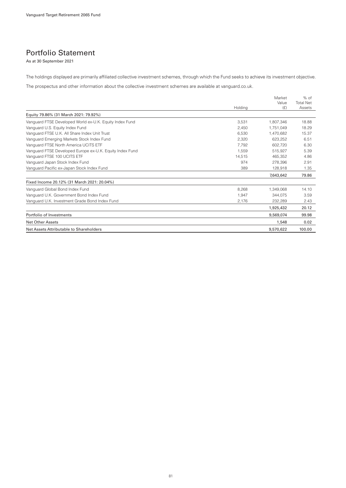### Portfolio Statement

As at 30 September 2021

The holdings displayed are primarily affiliated collective investment schemes, through which the Fund seeks to achieve its investment objective.

The prospectus and other information about the collective investment schemes are available at vanguard.co.uk.

|                                                          | Holding | Market<br>Value<br>(E) | $%$ of<br><b>Total Net</b><br>Assets |
|----------------------------------------------------------|---------|------------------------|--------------------------------------|
| Equity 79.86% (31 March 2021: 79.92%)                    |         |                        |                                      |
| Vanguard FTSE Developed World ex-U.K. Equity Index Fund  | 3.531   | 1.807.346              | 18.88                                |
| Vanguard U.S. Equity Index Fund                          | 2.450   | 1.751.049              | 18.29                                |
| Vanguard FTSE U.K. All Share Index Unit Trust            | 6.530   | 1.470.682              | 15.37                                |
| Vanguard Emerging Markets Stock Index Fund               | 2.320   | 623.252                | 6.51                                 |
| Vanquard FTSE North America UCITS ETF                    | 7.792   | 602.720                | 6.30                                 |
| Vanguard FTSE Developed Europe ex-U.K. Equity Index Fund | 1.559   | 515,927                | 5.39                                 |
| Vanguard FTSE 100 UCITS ETF                              | 14.515  | 465.352                | 4.86                                 |
| Vanguard Japan Stock Index Fund                          | 974     | 278.396                | 2.91                                 |
| Vanguard Pacific ex-Japan Stock Index Fund               | 389     | 128,918                | 1.35                                 |
|                                                          |         | 7,643,642              | 79.86                                |
| Fixed Income 20.12% (31 March 2021: 20.04%)              |         |                        |                                      |
| Vanguard Global Bond Index Fund                          | 8,268   | 1,349,068              | 14.10                                |
| Vanguard U.K. Government Bond Index Fund                 | 1.947   | 344.075                | 3.59                                 |
| Vanguard U.K. Investment Grade Bond Index Fund           | 2,176   | 232,289                | 2.43                                 |
|                                                          |         | 1,925,432              | 20.12                                |
| Portfolio of Investments                                 |         | 9,569,074              | 99.98                                |
| <b>Net Other Assets</b>                                  |         | 1,548                  | 0.02                                 |
| Net Assets Attributable to Shareholders                  |         | 9.570.622              | 100.00                               |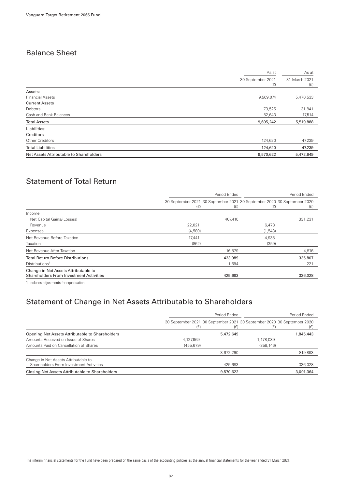## Balance Sheet

| 30 September 2021<br>31 March 2021<br>(E)<br>(f)<br>Assets:<br><b>Financial Assets</b><br>9,569,074<br>5,470,533<br><b>Current Assets</b><br>73,525<br>31,841<br>Debtors<br>Cash and Bank Balances<br>52,643<br>17,514<br><b>Total Assets</b><br>5,519,888<br>9,695,242<br>Liabilities:<br>Creditors<br>Other Creditors<br>47,239<br>124,620 |                          | As at   | As at  |
|----------------------------------------------------------------------------------------------------------------------------------------------------------------------------------------------------------------------------------------------------------------------------------------------------------------------------------------------|--------------------------|---------|--------|
|                                                                                                                                                                                                                                                                                                                                              |                          |         |        |
|                                                                                                                                                                                                                                                                                                                                              |                          |         |        |
|                                                                                                                                                                                                                                                                                                                                              |                          |         |        |
|                                                                                                                                                                                                                                                                                                                                              |                          |         |        |
|                                                                                                                                                                                                                                                                                                                                              |                          |         |        |
|                                                                                                                                                                                                                                                                                                                                              |                          |         |        |
|                                                                                                                                                                                                                                                                                                                                              |                          |         |        |
|                                                                                                                                                                                                                                                                                                                                              |                          |         |        |
|                                                                                                                                                                                                                                                                                                                                              |                          |         |        |
|                                                                                                                                                                                                                                                                                                                                              |                          |         |        |
|                                                                                                                                                                                                                                                                                                                                              | <b>Total Liabilities</b> | 124,620 | 47,239 |
| Net Assets Attributable to Shareholders<br>9,570,622<br>5,472,649                                                                                                                                                                                                                                                                            |                          |         |        |

# Statement of Total Return

|                                                                                                                 |                                                                                | Period Ended |          | Period Ended |
|-----------------------------------------------------------------------------------------------------------------|--------------------------------------------------------------------------------|--------------|----------|--------------|
|                                                                                                                 | 30 September 2021 30 September 2021 30 September 2020 30 September 2020<br>(E) | (E)          | (E)      | (E)          |
| Income                                                                                                          |                                                                                |              |          |              |
| Net Capital Gains/(Losses)                                                                                      |                                                                                | 407,410      |          | 331,231      |
| Revenue                                                                                                         | 22.021                                                                         |              | 6,478    |              |
| Expenses                                                                                                        | (4,580)                                                                        |              | (1, 543) |              |
| Net Revenue Before Taxation                                                                                     | 17,441                                                                         |              | 4,935    |              |
| Taxation                                                                                                        | (862)                                                                          |              | (359)    |              |
| Net Revenue After Taxation                                                                                      |                                                                                | 16,579       |          | 4,576        |
| <b>Total Return Before Distributions</b>                                                                        |                                                                                | 423,989      |          | 335,807      |
| Distributions <sup>1</sup>                                                                                      |                                                                                | 1,694        |          | 221          |
| Change in Net Assets Attributable to<br><b>Shareholders From Investment Activities</b>                          |                                                                                | 425,683      |          | 336,028      |
| the contract of the contract of the contract of the contract of the contract of the contract of the contract of |                                                                                |              |          |              |

1 Includes adjustments for equalisation.

### Statement of Change in Net Assets Attributable to Shareholders

|                                                                                 |            | Period Ended |                                                                                | Period Ended |
|---------------------------------------------------------------------------------|------------|--------------|--------------------------------------------------------------------------------|--------------|
|                                                                                 | (E)        | (£)          | 30 September 2021 30 September 2021 30 September 2020 30 September 2020<br>(E) | (£)          |
| Opening Net Assets Attributable to Shareholders                                 |            | 5,472,649    |                                                                                | 1,845,443    |
| Amounts Received on Issue of Shares                                             | 4,127,969  |              | 1,178,039                                                                      |              |
| Amounts Paid on Cancellation of Shares                                          | (455, 679) |              | (358, 146)                                                                     |              |
|                                                                                 |            | 3,672,290    |                                                                                | 819,893      |
| Change in Net Assets Attributable to<br>Shareholders From Investment Activities |            | 425.683      |                                                                                | 336,028      |
| Closing Net Assets Attributable to Shareholders                                 |            | 9,570,622    |                                                                                | 3,001,364    |

The interim financial statements for the Fund have been prepared on the same basis of the accounting policies as the annual financial statements for the year ended 31 March 2021.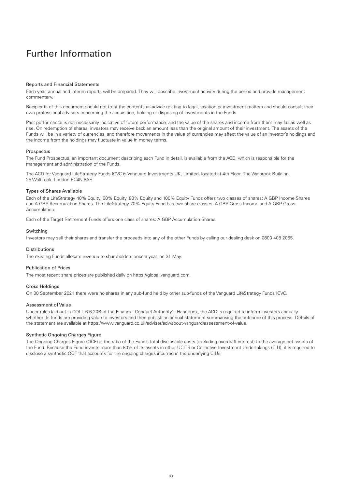# Further Information

#### Reports and Financial Statements

Each year, annual and interim reports will be prepared. They will describe investment activity during the period and provide management commentary.

Recipients of this document should not treat the contents as advice relating to legal, taxation or investment matters and should consult their own professional advisers concerning the acquisition, holding or disposing of investments in the Funds.

Past performance is not necessarily indicative of future performance, and the value of the shares and income from them may fall as well as rise. On redemption of shares, investors may receive back an amount less than the original amount of their investment. The assets of the Funds will be in a variety of currencies, and therefore movements in the value of currencies may affect the value of an investor's holdings and the income from the holdings may fluctuate in value in money terms.

#### Prospectus

The Fund Prospectus, an important document describing each Fund in detail, is available from the ACD, which is responsible for the management and administration of the Funds.

The ACD for Vanguard LifeStrategy Funds ICVC is Vanguard Investments UK, Limited, located at 4th Floor, The Walbrook Building, 25 Walbrook, London EC4N 8AF.

#### Types of Shares Available

Each of the LifeStrategy 40% Equity, 60% Equity, 80% Equity and 100% Equity Funds offers two classes of shares: A GBP Income Shares and A GBP Accumulation Shares. The LifeStrategy 20% Equity Fund has two share classes: A GBP Gross Income and A GBP Gross **Accumulation** 

Each of the Target Retirement Funds offers one class of shares: A GBP Accumulation Shares.

#### Switching

Investors may sell their shares and transfer the proceeds into any of the other Funds by calling our dealing desk on 0800 408 2065.

#### Distributions

The existing Funds allocate revenue to shareholders once a year, on 31 May.

#### Publication of Prices

The most recent share prices are published daily on https://global.vanguard.com.

#### Cross Holdings

On 30 September 2021 there were no shares in any sub-fund held by other sub-funds of the Vanguard LifeStrategy Funds ICVC.

#### Assessment of Value

Under rules laid out in COLL 6.6.20R of the Financial Conduct Authority's Handbook, the ACD is required to inform investors annually whether its funds are providing value to investors and then publish an annual statement summarising the outcome of this process. Details of the statement are available at https://www.vanguard.co.uk/adviser/adv/about-vanguard/assessment-of-value.

#### Synthetic Ongoing Charges Figure

The Ongoing Charges Figure (OCF) is the ratio of the Fund's total disclosable costs (excluding overdraft interest) to the average net assets of the Fund. Because the Fund invests more than 80% of its assets in other UCITS or Collective Investment Undertakings (CIU), it is required to disclose a synthetic OCF that accounts for the ongoing charges incurred in the underlying CIUs.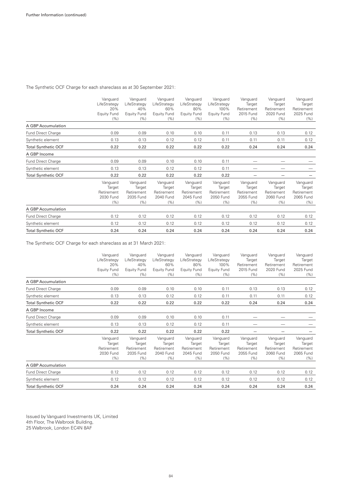The Synthetic OCF Charge for each shareclass as at 30 September 2021:

|                            | Vanguard<br>LifeStrategy<br>20%<br>Equity Fund<br>(% ) | Vanguard<br>LifeStrategy<br>40%<br><b>Equity Fund</b><br>(%) | Vanguard<br>LifeStrategy<br>60%<br>Equity Fund<br>(%) | Vanguard<br>LifeStrategy<br>80%<br><b>Equity Fund</b><br>(% ) | Vanguard<br>LifeStrategy<br>100%<br>Equity Fund<br>(%) | Vanguard<br>Target<br>Retirement<br>2015 Fund<br>(% ) | Vanguard<br>Target<br>Retirement<br>2020 Fund<br>(%) | Vanguard<br>Target<br>Retirement<br>2025 Fund<br>(% ) |
|----------------------------|--------------------------------------------------------|--------------------------------------------------------------|-------------------------------------------------------|---------------------------------------------------------------|--------------------------------------------------------|-------------------------------------------------------|------------------------------------------------------|-------------------------------------------------------|
| A GBP Accumulation         |                                                        |                                                              |                                                       |                                                               |                                                        |                                                       |                                                      |                                                       |
| Fund Direct Charge         | 0.09                                                   | 0.09                                                         | 0.10                                                  | 0.10                                                          | 0.11                                                   | 0.13                                                  | 0.13                                                 | 0.12                                                  |
| Synthetic element          | 0.13                                                   | 0.13                                                         | 0.12                                                  | 0.12                                                          | 0.11                                                   | 0.11                                                  | 0.11                                                 | 0.12                                                  |
| <b>Total Synthetic OCF</b> | 0.22                                                   | 0.22                                                         | 0.22                                                  | 0.22                                                          | 0.22                                                   | 0.24                                                  | 0.24                                                 | 0.24                                                  |
| A GBP Income               |                                                        |                                                              |                                                       |                                                               |                                                        |                                                       |                                                      |                                                       |
| Fund Direct Charge         | 0.09                                                   | 0.09                                                         | 0.10                                                  | 0.10                                                          | 0.11                                                   |                                                       |                                                      |                                                       |
| Synthetic element          | 0.13                                                   | 0.13                                                         | 0.12                                                  | 0.12                                                          | 0.11                                                   |                                                       |                                                      |                                                       |
| <b>Total Synthetic OCF</b> | 0.22                                                   | 0.22                                                         | 0.22                                                  | 0.22                                                          | 0.22                                                   |                                                       |                                                      |                                                       |
|                            | Vanguard<br>Target<br>Retirement<br>2030 Fund<br>(% )  | Vanguard<br>Target<br>Retirement<br>2035 Fund<br>(%)         | Vanguard<br>Target<br>Retirement<br>2040 Fund<br>(% ) | Vanguard<br>Target<br>Retirement<br>2045 Fund<br>(% )         | Vanguard<br>Target<br>Retirement<br>2050 Fund<br>(% )  | Vanguard<br>Target<br>Retirement<br>2055 Fund<br>(% ) | Vanguard<br>Target<br>Retirement<br>2060 Fund<br>(%) | Vanguard<br>Target<br>Retirement<br>2065 Fund<br>(% ) |
| A GBP Accumulation         |                                                        |                                                              |                                                       |                                                               |                                                        |                                                       |                                                      |                                                       |
| Fund Direct Charge         | 0.12                                                   | 0.12                                                         | 0.12                                                  | 0.12                                                          | 0.12                                                   | 0.12                                                  | 0.12                                                 | 0.12                                                  |
| Synthetic element          | 0.12                                                   | 0.12                                                         | 0.12                                                  | 0.12                                                          | 0.12                                                   | 0.12                                                  | 0.12                                                 | 0.12                                                  |
| <b>Total Synthetic OCF</b> | 0.24                                                   | 0.24                                                         | 0.24                                                  | 0.24                                                          | 0.24                                                   | 0.24                                                  | 0.24                                                 | 0.24                                                  |

The Synthetic OCF Charge for each shareclass as at 31 March 2021:

|                            | Vanguard<br>LifeStrategy<br>20%<br><b>Equity Fund</b><br>(% ) | Vanguard<br>LifeStrategy<br>40%<br><b>Equity Fund</b><br>(% ) | Vanguard<br>LifeStrategy<br>60%<br><b>Equity Fund</b><br>(% ) | Vanguard<br>LifeStrategy<br>80%<br>Equity Fund<br>(% ) | Vanguard<br>LifeStrategy<br>100%<br><b>Equity Fund</b><br>(% ) | Vanguard<br>Target<br>Retirement<br>2015 Fund<br>(% ) | Vanguard<br>Target<br>Retirement<br>2020 Fund<br>(%)  | Vanguard<br>Target<br>Retirement<br>2025 Fund<br>(% ) |
|----------------------------|---------------------------------------------------------------|---------------------------------------------------------------|---------------------------------------------------------------|--------------------------------------------------------|----------------------------------------------------------------|-------------------------------------------------------|-------------------------------------------------------|-------------------------------------------------------|
| A GBP Accumulation         |                                                               |                                                               |                                                               |                                                        |                                                                |                                                       |                                                       |                                                       |
| Fund Direct Charge         | 0.09                                                          | 0.09                                                          | 0.10                                                          | 0.10                                                   | 0.11                                                           | 0.13                                                  | 0.13                                                  | 0.12                                                  |
| Synthetic element          | 0.13                                                          | 0.13                                                          | 0.12                                                          | 0.12                                                   | 0.11                                                           | 0.11                                                  | 0.11                                                  | 0.12                                                  |
| <b>Total Synthetic OCF</b> | 0.22                                                          | 0.22                                                          | 0.22                                                          | 0.22                                                   | 0.22                                                           | 0.24                                                  | 0.24                                                  | 0.24                                                  |
| A GBP Income               |                                                               |                                                               |                                                               |                                                        |                                                                |                                                       |                                                       |                                                       |
| Fund Direct Charge         | 0.09                                                          | 0.09                                                          | 0.10                                                          | 0.10                                                   | 0.11                                                           |                                                       |                                                       |                                                       |
| Synthetic element          | 0.13                                                          | 0.13                                                          | 0.12                                                          | 0.12                                                   | 0.11                                                           |                                                       |                                                       |                                                       |
| <b>Total Synthetic OCF</b> | 0.22                                                          | 0.22                                                          | 0.22                                                          | 0.22                                                   | 0.22                                                           |                                                       |                                                       |                                                       |
|                            | Vanguard<br>Target<br>Retirement<br>2030 Fund<br>(% )         | Vanguard<br>Target<br>Retirement<br>2035 Fund<br>(%)          | Vanguard<br>Target<br>Retirement<br>2040 Fund<br>(% )         | Vanguard<br>Target<br>Retirement<br>2045 Fund<br>(% )  | Vanguard<br>Target<br>Retirement<br>2050 Fund<br>(% )          | Vanguard<br>Target<br>Retirement<br>2055 Fund<br>(%)  | Vanguard<br>Target<br>Retirement<br>2060 Fund<br>(% ) | Vanguard<br>Target<br>Retirement<br>2065 Fund<br>(%)  |
| A GBP Accumulation         |                                                               |                                                               |                                                               |                                                        |                                                                |                                                       |                                                       |                                                       |
| <b>Fund Direct Charge</b>  | 0.12                                                          | 0.12                                                          | 0.12                                                          | 0.12                                                   | 0.12                                                           | 0.12                                                  | 0.12                                                  | 0.12                                                  |
| Synthetic element          | 0.12                                                          | 0.12                                                          | 0.12                                                          | 0.12                                                   | 0.12                                                           | 0.12                                                  | 0.12                                                  | 0.12                                                  |
| <b>Total Synthetic OCF</b> | 0.24                                                          | 0.24                                                          | 0.24                                                          | 0.24                                                   | 0.24                                                           | 0.24                                                  | 0.24                                                  | 0.24                                                  |

Issued by Vanguard Investments UK, Limited 4th Floor, The Walbrook Building, 25 Walbrook, London EC4N 8AF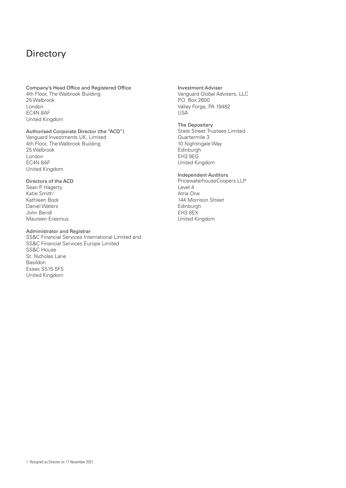# **Directory**

### Company's Head Office and Registered Office 4th Floor, The Walbrook Building 25 Walbrook London EC4N 8AF United Kingdom

### Authorised Corporate Director (the "ACD")

Vanguard Investments UK, Limited 4th Floor, The Walbrook Building 25 Walbrook London EC4N 8AF United Kingdom

#### Directors of the ACD

Sean P. Hagerty Katie Smith<sup>1</sup> Kathleen Bock Daniel Waters John Bendl Maureen Erasmus

#### Administrator and Registrar

SS&C Financial Services International Limited and SS&C Financial Services Europe Limited SS&C House St. Nicholas Lane Basildon Essex SS15 5FS United Kingdom

Investment Adviser Vanguard Global Advisers, LLC P.O. Box 2600 Valley Forge, PA 19482 USA

### The Depositary

State Street Trustees Limited Quartermile 3 10 Nightingale Way Edinburgh EH3 9EG United Kingdom

### Independent Auditors

PricewaterhouseCoopers LLP Level 4 Atria One 144 Morrison Street Edinburgh EH3 8EX United Kingdom